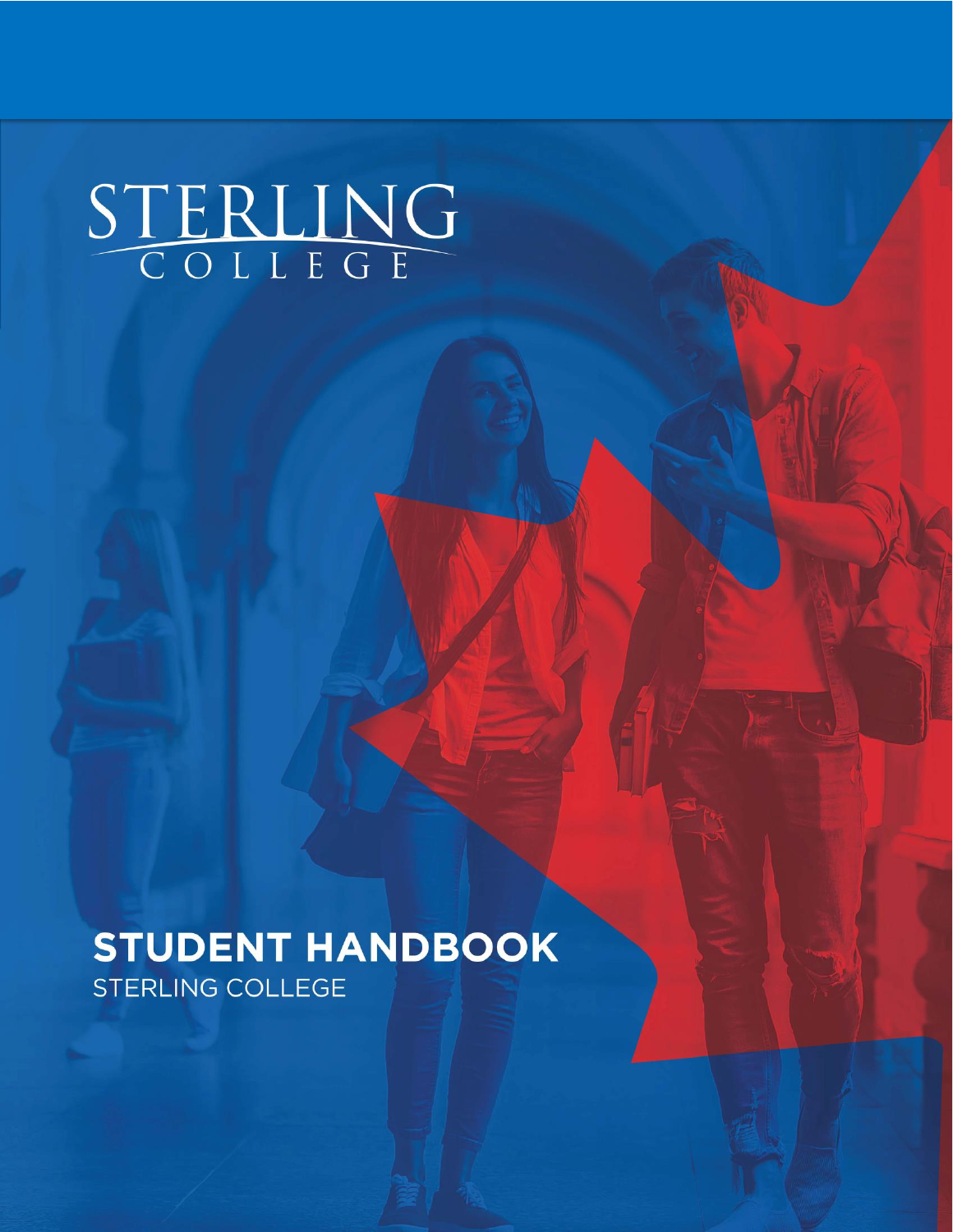# STERLING

**STUDENT HANDBOOK** STERLING COLLEGE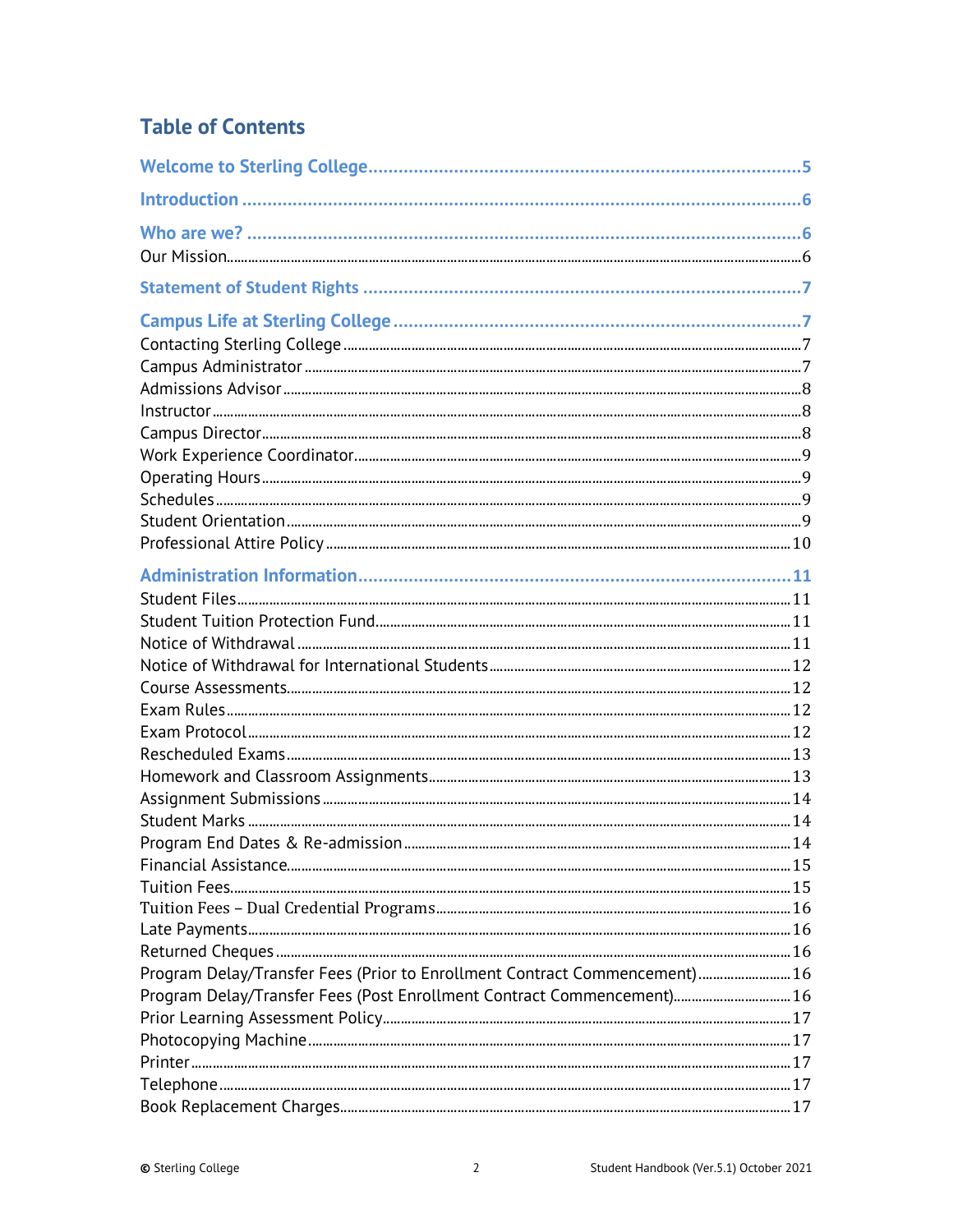# **Table of Contents**

| Program Delay/Transfer Fees (Prior to Enrollment Contract Commencement)  16 |  |
|-----------------------------------------------------------------------------|--|
| Program Delay/Transfer Fees (Post Enrollment Contract Commencement) 16      |  |
|                                                                             |  |
|                                                                             |  |
|                                                                             |  |
|                                                                             |  |
|                                                                             |  |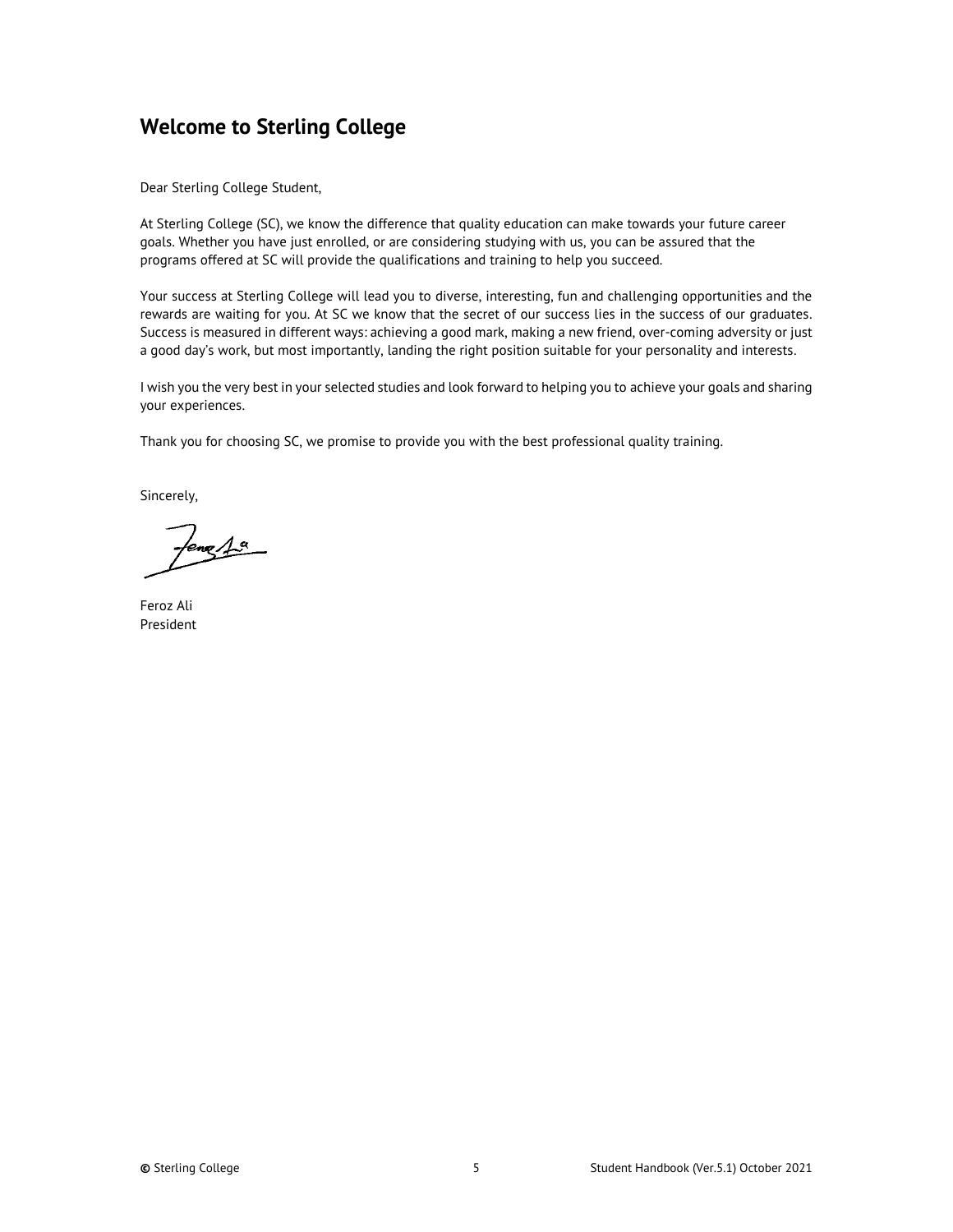# <span id="page-4-0"></span>**Welcome to Sterling College**

Dear Sterling College Student,

At Sterling College (SC), we know the difference that quality education can make towards your future career goals. Whether you have just enrolled, or are considering studying with us, you can be assured that the programs offered at SC will provide the qualifications and training to help you succeed.

Your success at Sterling College will lead you to diverse, interesting, fun and challenging opportunities and the rewards are waiting for you. At SC we know that the secret of our success lies in the success of our graduates. Success is measured in different ways: achieving a good mark, making a new friend, over-coming adversity or just a good day's work, but most importantly, landing the right position suitable for your personality and interests.

I wish you the very best in your selected studies and look forward to helping you to achieve your goals and sharing your experiences.

Thank you for choosing SC, we promise to provide you with the best professional quality training.

Sincerely,

 $l$ eng $A$ <sup>a</sup>

Feroz Ali President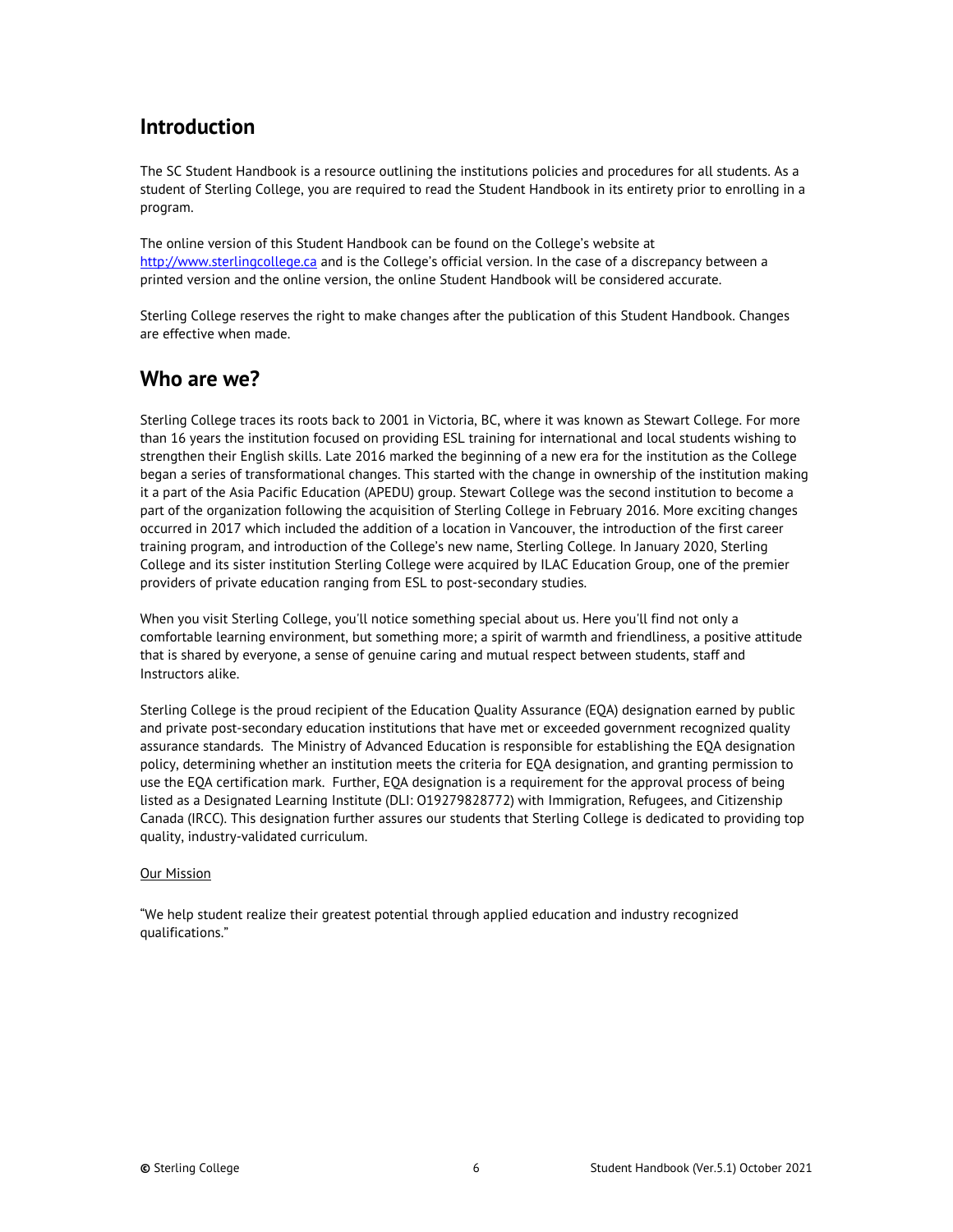# <span id="page-5-0"></span>**Introduction**

The SC Student Handbook is a resource outlining the institutions policies and procedures for all students. As a student of Sterling College, you are required to read the Student Handbook in its entirety prior to enrolling in a program.

The online version of this Student Handbook can be found on the College's website at [http://www.sterlingcollege.ca](http://www.sterlingcollege.ca/) and is the College's official version. In the case of a discrepancy between a printed version and the online version, the online Student Handbook will be considered accurate.

Sterling College reserves the right to make changes after the publication of this Student Handbook. Changes are effective when made.

# <span id="page-5-1"></span>**Who are we?**

Sterling College traces its roots back to 2001 in Victoria, BC, where it was known as Stewart College. For more than 16 years the institution focused on providing ESL training for international and local students wishing to strengthen their English skills. Late 2016 marked the beginning of a new era for the institution as the College began a series of transformational changes. This started with the change in ownership of the institution making it a part of the Asia Pacific Education (APEDU) group. Stewart College was the second institution to become a part of the organization following the acquisition of Sterling College in February 2016. More exciting changes occurred in 2017 which included the addition of a location in Vancouver, the introduction of the first career training program, and introduction of the College's new name, Sterling College. In January 2020, Sterling College and its sister institution Sterling College were acquired by ILAC Education Group, one of the premier providers of private education ranging from ESL to post-secondary studies.

When you visit Sterling College, you'll notice something special about us. Here you'll find not only a comfortable learning environment, but something more; a spirit of warmth and friendliness, a positive attitude that is shared by everyone, a sense of genuine caring and mutual respect between students, staff and Instructors alike.

Sterling College is the proud recipient of the Education Quality Assurance (EQA) designation earned by public and private post-secondary education institutions that have met or exceeded government recognized quality assurance standards. The Ministry of Advanced Education is responsible for establishing the EQA designation policy, determining whether an institution meets the criteria for EQA designation, and granting permission to use the EQA certification mark. Further, EQA designation is a requirement for the approval process of being listed as a Designated Learning Institute (DLI: O19279828772) with Immigration, Refugees, and Citizenship Canada (IRCC). This designation further assures our students that Sterling College is dedicated to providing top quality, industry-validated curriculum.

#### <span id="page-5-2"></span>Our Mission

"We help student realize their greatest potential through applied education and industry recognized qualifications."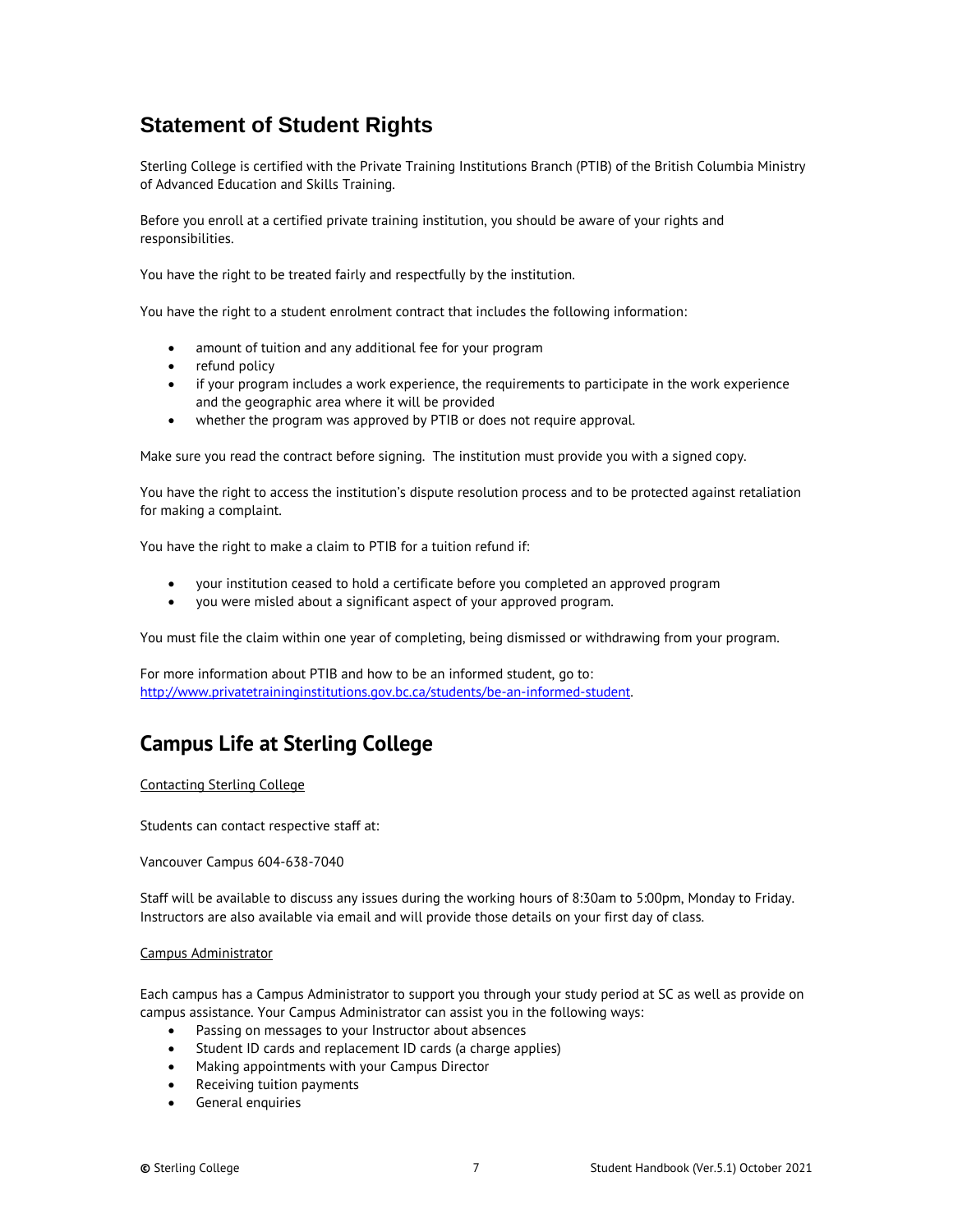# <span id="page-6-0"></span>**Statement of Student Rights**

Sterling College is certified with the Private Training Institutions Branch (PTIB) of the British Columbia Ministry of Advanced Education and Skills Training.

Before you enroll at a certified private training institution, you should be aware of your rights and responsibilities.

You have the right to be treated fairly and respectfully by the institution.

You have the right to a student enrolment contract that includes the following information:

- amount of tuition and any additional fee for your program
- refund policy
- if your program includes a work experience, the requirements to participate in the work experience and the geographic area where it will be provided
- whether the program was approved by PTIB or does not require approval.

Make sure you read the contract before signing. The institution must provide you with a signed copy.

You have the right to access the institution's dispute resolution process and to be protected against retaliation for making a complaint.

You have the right to make a claim to PTIB for a tuition refund if:

- your institution ceased to hold a certificate before you completed an approved program
- you were misled about a significant aspect of your approved program.

You must file the claim within one year of completing, being dismissed or withdrawing from your program.

For more information about PTIB and how to be an informed student, go to: [http://www.privatetraininginstitutions.gov.bc.ca/students/be-an-informed-student.](http://www.privatetraininginstitutions.gov.bc.ca/students/be-an-informed-student)

# <span id="page-6-1"></span>**Campus Life at Sterling College**

#### <span id="page-6-2"></span>Contacting Sterling College

Students can contact respective staff at:

Vancouver Campus 604-638-7040

Staff will be available to discuss any issues during the working hours of 8:30am to 5:00pm, Monday to Friday. Instructors are also available via email and will provide those details on your first day of class.

#### <span id="page-6-3"></span>Campus Administrator

Each campus has a Campus Administrator to support you through your study period at SC as well as provide on campus assistance. Your Campus Administrator can assist you in the following ways:

- Passing on messages to your Instructor about absences
- Student ID cards and replacement ID cards (a charge applies)
- Making appointments with your Campus Director
- Receiving tuition payments
- General enquiries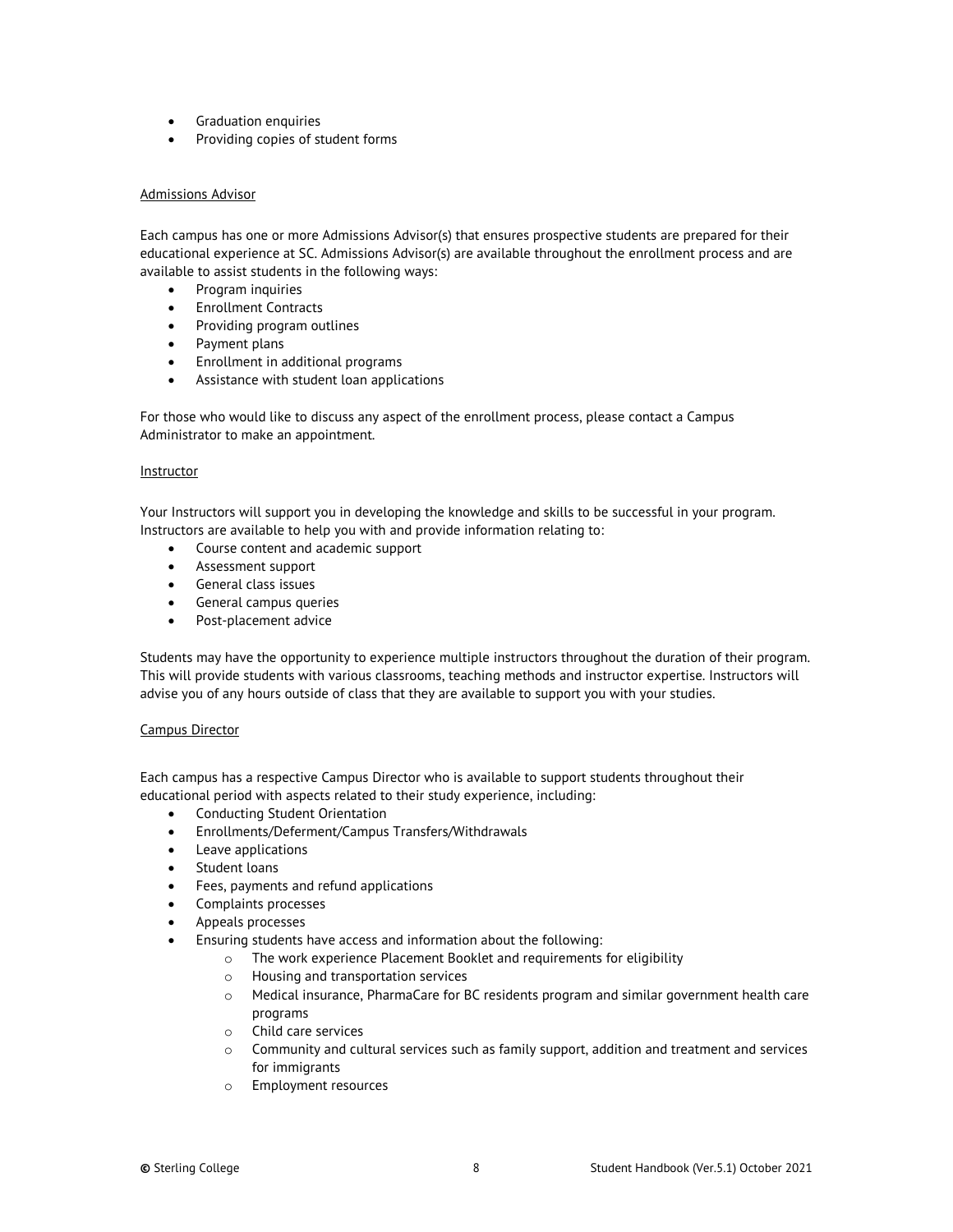- Graduation enquiries
- Providing copies of student forms

#### <span id="page-7-0"></span>Admissions Advisor

Each campus has one or more Admissions Advisor(s) that ensures prospective students are prepared for their educational experience at SC. Admissions Advisor(s) are available throughout the enrollment process and are available to assist students in the following ways:

- Program inquiries
- Enrollment Contracts
- Providing program outlines
- Payment plans
- Enrollment in additional programs
- Assistance with student loan applications

For those who would like to discuss any aspect of the enrollment process, please contact a Campus Administrator to make an appointment.

#### <span id="page-7-1"></span>**Instructor**

Your Instructors will support you in developing the knowledge and skills to be successful in your program. Instructors are available to help you with and provide information relating to:

- Course content and academic support
- Assessment support
- General class issues
- General campus queries
- Post-placement advice

Students may have the opportunity to experience multiple instructors throughout the duration of their program. This will provide students with various classrooms, teaching methods and instructor expertise. Instructors will advise you of any hours outside of class that they are available to support you with your studies.

#### <span id="page-7-2"></span>Campus Director

Each campus has a respective Campus Director who is available to support students throughout their educational period with aspects related to their study experience, including:

- Conducting Student Orientation
- Enrollments/Deferment/Campus Transfers/Withdrawals
- Leave applications
- Student loans
- Fees, payments and refund applications
- Complaints processes
- Appeals processes
- Ensuring students have access and information about the following:
	- o The work experience Placement Booklet and requirements for eligibility
	- o Housing and transportation services
	- o Medical insurance, PharmaCare for BC residents program and similar government health care programs
	- o Child care services
	- $\circ$  Community and cultural services such as family support, addition and treatment and services for immigrants
	- o Employment resources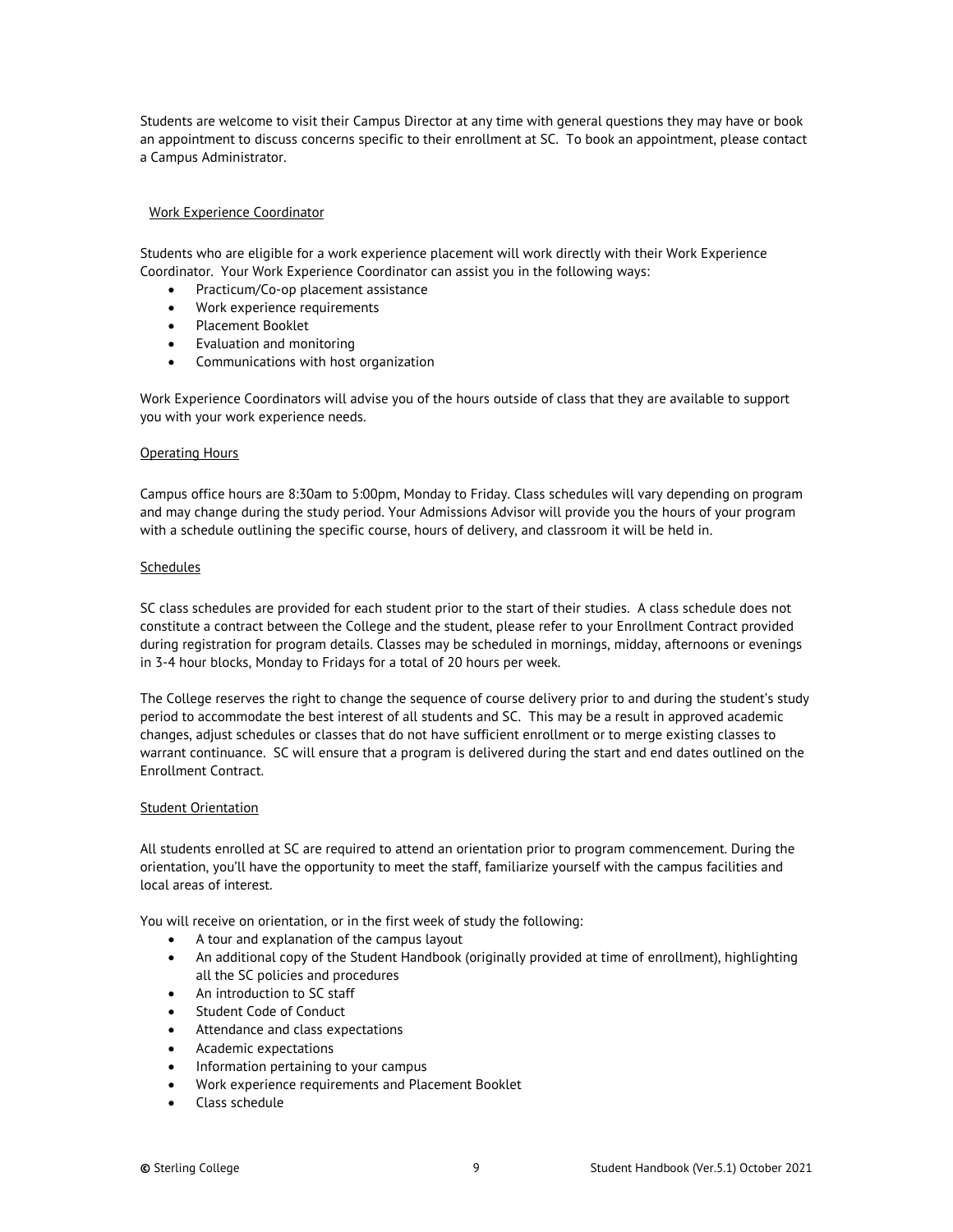Students are welcome to visit their Campus Director at any time with general questions they may have or book an appointment to discuss concerns specific to their enrollment at SC. To book an appointment, please contact a Campus Administrator.

#### <span id="page-8-0"></span>Work Experience Coordinator

Students who are eligible for a work experience placement will work directly with their Work Experience Coordinator. Your Work Experience Coordinator can assist you in the following ways:

- Practicum/Co-op placement assistance
- Work experience requirements
- Placement Booklet
- Evaluation and monitoring
- Communications with host organization

Work Experience Coordinators will advise you of the hours outside of class that they are available to support you with your work experience needs.

#### <span id="page-8-1"></span>Operating Hours

Campus office hours are 8:30am to 5:00pm, Monday to Friday. Class schedules will vary depending on program and may change during the study period. Your Admissions Advisor will provide you the hours of your program with a schedule outlining the specific course, hours of delivery, and classroom it will be held in.

#### <span id="page-8-2"></span>**Schedules**

SC class schedules are provided for each student prior to the start of their studies. A class schedule does not constitute a contract between the College and the student, please refer to your Enrollment Contract provided during registration for program details. Classes may be scheduled in mornings, midday, afternoons or evenings in 3-4 hour blocks, Monday to Fridays for a total of 20 hours per week.

The College reserves the right to change the sequence of course delivery prior to and during the student's study period to accommodate the best interest of all students and SC. This may be a result in approved academic changes, adjust schedules or classes that do not have sufficient enrollment or to merge existing classes to warrant continuance. SC will ensure that a program is delivered during the start and end dates outlined on the Enrollment Contract.

#### <span id="page-8-3"></span>Student Orientation

All students enrolled at SC are required to attend an orientation prior to program commencement. During the orientation, you'll have the opportunity to meet the staff, familiarize yourself with the campus facilities and local areas of interest.

You will receive on orientation, or in the first week of study the following:

- A tour and explanation of the campus layout
- An additional copy of the Student Handbook (originally provided at time of enrollment), highlighting all the SC policies and procedures
- An introduction to SC staff
- Student Code of Conduct
- Attendance and class expectations
- Academic expectations
- Information pertaining to your campus
- Work experience requirements and Placement Booklet
- Class schedule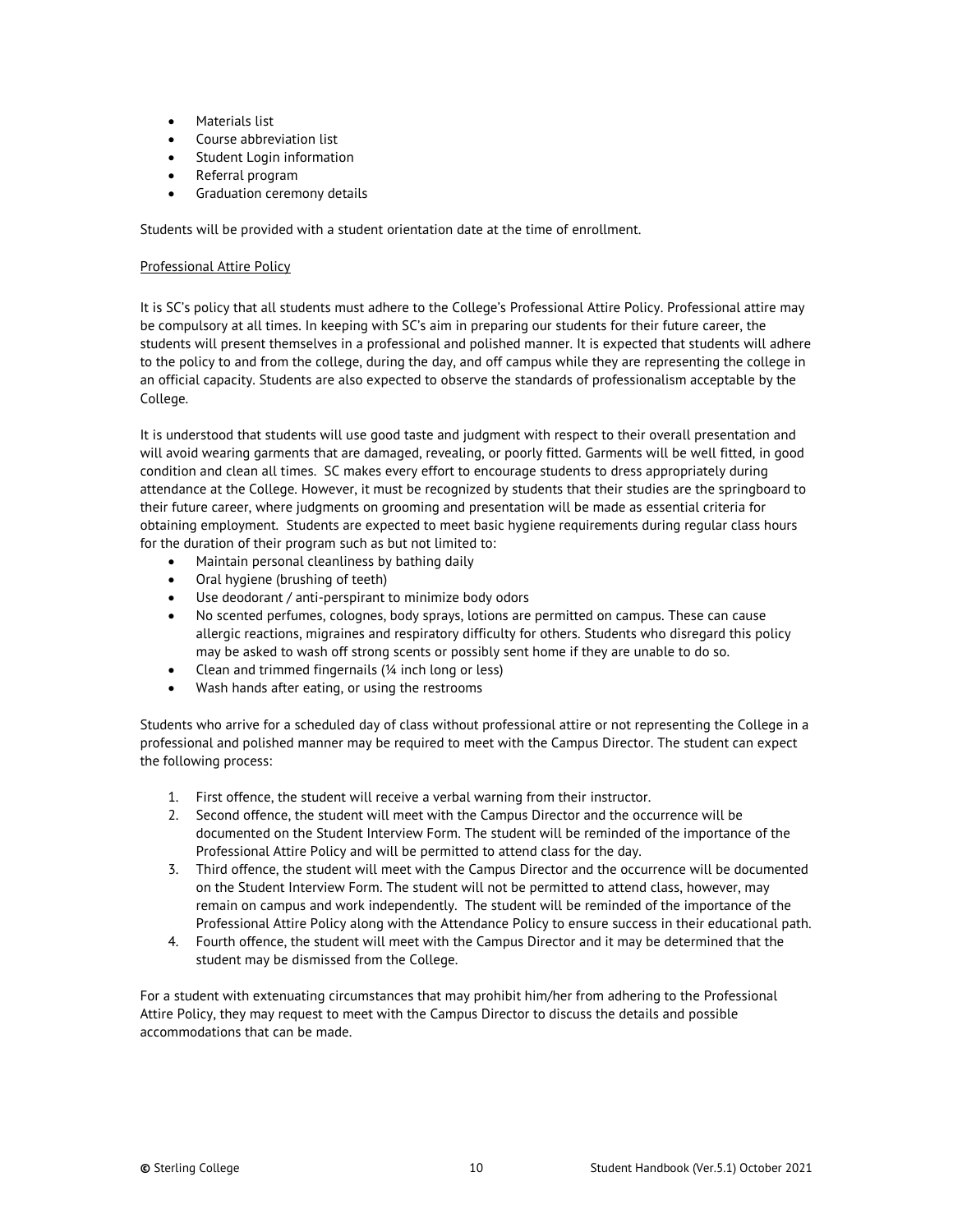- Materials list
- Course abbreviation list
- Student Login information
- Referral program
- Graduation ceremony details

<span id="page-9-0"></span>Students will be provided with a student orientation date at the time of enrollment.

#### Professional Attire Policy

It is SC's policy that all students must adhere to the College's Professional Attire Policy. Professional attire may be compulsory at all times. In keeping with SC's aim in preparing our students for their future career, the students will present themselves in a professional and polished manner. It is expected that students will adhere to the policy to and from the college, during the day, and off campus while they are representing the college in an official capacity. Students are also expected to observe the standards of professionalism acceptable by the College.

It is understood that students will use good taste and judgment with respect to their overall presentation and will avoid wearing garments that are damaged, revealing, or poorly fitted. Garments will be well fitted, in good condition and clean all times. SC makes every effort to encourage students to dress appropriately during attendance at the College. However, it must be recognized by students that their studies are the springboard to their future career, where judgments on grooming and presentation will be made as essential criteria for obtaining employment. Students are expected to meet basic hygiene requirements during regular class hours for the duration of their program such as but not limited to:

- Maintain personal cleanliness by bathing daily
- Oral hygiene (brushing of teeth)
- Use deodorant / anti-perspirant to minimize body odors
- No scented perfumes, colognes, body sprays, lotions are permitted on campus. These can cause allergic reactions, migraines and respiratory difficulty for others. Students who disregard this policy may be asked to wash off strong scents or possibly sent home if they are unable to do so.
- Clean and trimmed fingernails (¼ inch long or less)
- Wash hands after eating, or using the restrooms

Students who arrive for a scheduled day of class without professional attire or not representing the College in a professional and polished manner may be required to meet with the Campus Director. The student can expect the following process:

- 1. First offence, the student will receive a verbal warning from their instructor.
- 2. Second offence, the student will meet with the Campus Director and the occurrence will be documented on the Student Interview Form. The student will be reminded of the importance of the Professional Attire Policy and will be permitted to attend class for the day.
- 3. Third offence, the student will meet with the Campus Director and the occurrence will be documented on the Student Interview Form. The student will not be permitted to attend class, however, may remain on campus and work independently. The student will be reminded of the importance of the Professional Attire Policy along with the Attendance Policy to ensure success in their educational path.
- 4. Fourth offence, the student will meet with the Campus Director and it may be determined that the student may be dismissed from the College.

For a student with extenuating circumstances that may prohibit him/her from adhering to the Professional Attire Policy, they may request to meet with the Campus Director to discuss the details and possible accommodations that can be made.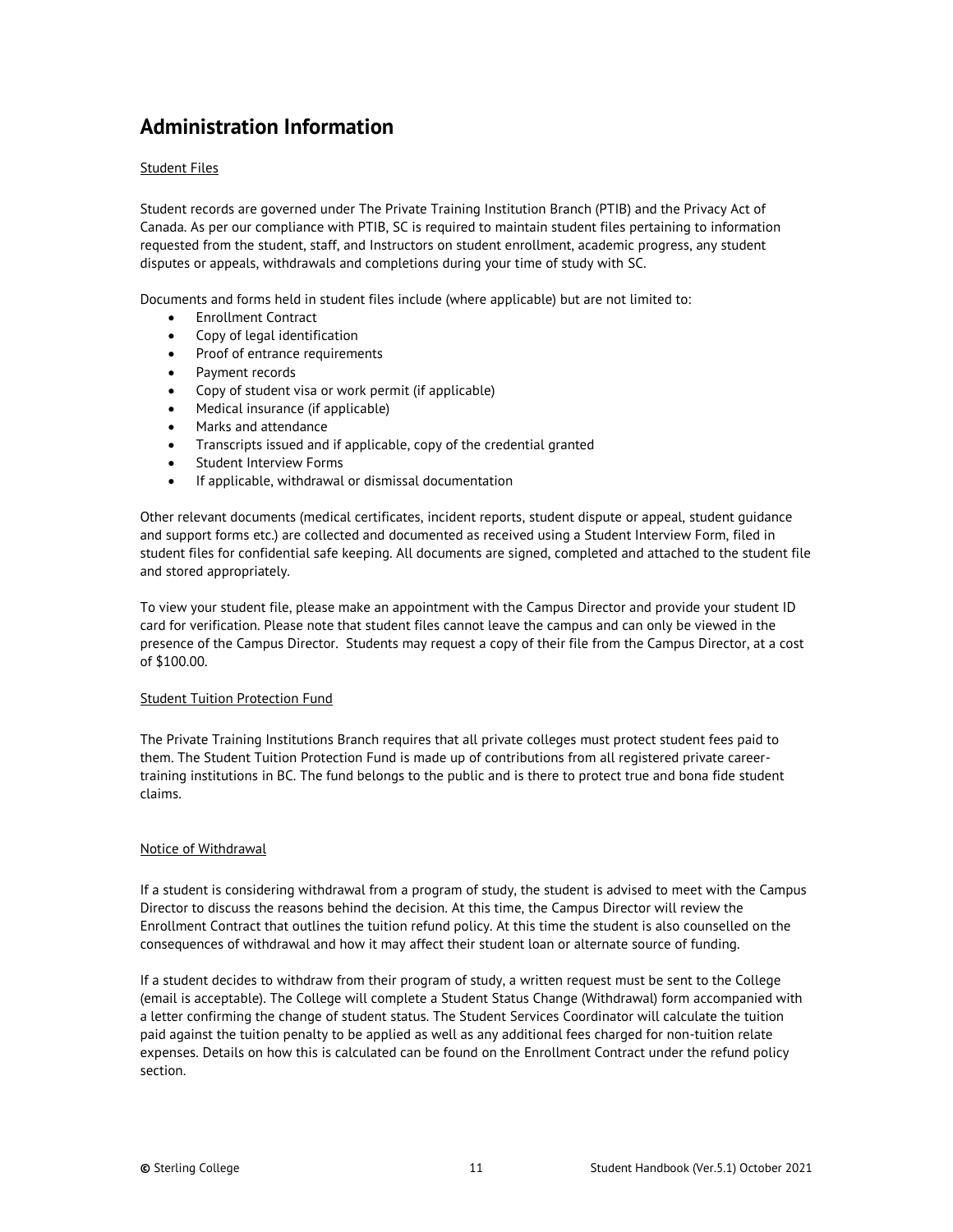# <span id="page-10-0"></span>**Administration Information**

#### <span id="page-10-1"></span>Student Files

Student records are governed under The Private Training Institution Branch (PTIB) and the Privacy Act of Canada. As per our compliance with PTIB, SC is required to maintain student files pertaining to information requested from the student, staff, and Instructors on student enrollment, academic progress, any student disputes or appeals, withdrawals and completions during your time of study with SC.

Documents and forms held in student files include (where applicable) but are not limited to:

- Enrollment Contract
- Copy of legal identification
- Proof of entrance requirements
- Payment records
- Copy of student visa or work permit (if applicable)
- Medical insurance (if applicable)
- Marks and attendance
- Transcripts issued and if applicable, copy of the credential granted
- Student Interview Forms
- If applicable, withdrawal or dismissal documentation

Other relevant documents (medical certificates, incident reports, student dispute or appeal, student guidance and support forms etc.) are collected and documented as received using a Student Interview Form, filed in student files for confidential safe keeping. All documents are signed, completed and attached to the student file and stored appropriately.

To view your student file, please make an appointment with the Campus Director and provide your student ID card for verification. Please note that student files cannot leave the campus and can only be viewed in the presence of the Campus Director. Students may request a copy of their file from the Campus Director, at a cost of \$100.00.

#### <span id="page-10-2"></span>Student Tuition Protection Fund

The Private Training Institutions Branch requires that all private colleges must protect student fees paid to them. The Student Tuition Protection Fund is made up of contributions from all registered private careertraining institutions in BC. The fund belongs to the public and is there to protect true and bona fide student claims.

#### <span id="page-10-3"></span>Notice of Withdrawal

If a student is considering withdrawal from a program of study, the student is advised to meet with the Campus Director to discuss the reasons behind the decision. At this time, the Campus Director will review the Enrollment Contract that outlines the tuition refund policy. At this time the student is also counselled on the consequences of withdrawal and how it may affect their student loan or alternate source of funding.

If a student decides to withdraw from their program of study, a written request must be sent to the College (email is acceptable). The College will complete a Student Status Change (Withdrawal) form accompanied with a letter confirming the change of student status. The Student Services Coordinator will calculate the tuition paid against the tuition penalty to be applied as well as any additional fees charged for non-tuition relate expenses. Details on how this is calculated can be found on the Enrollment Contract under the refund policy section.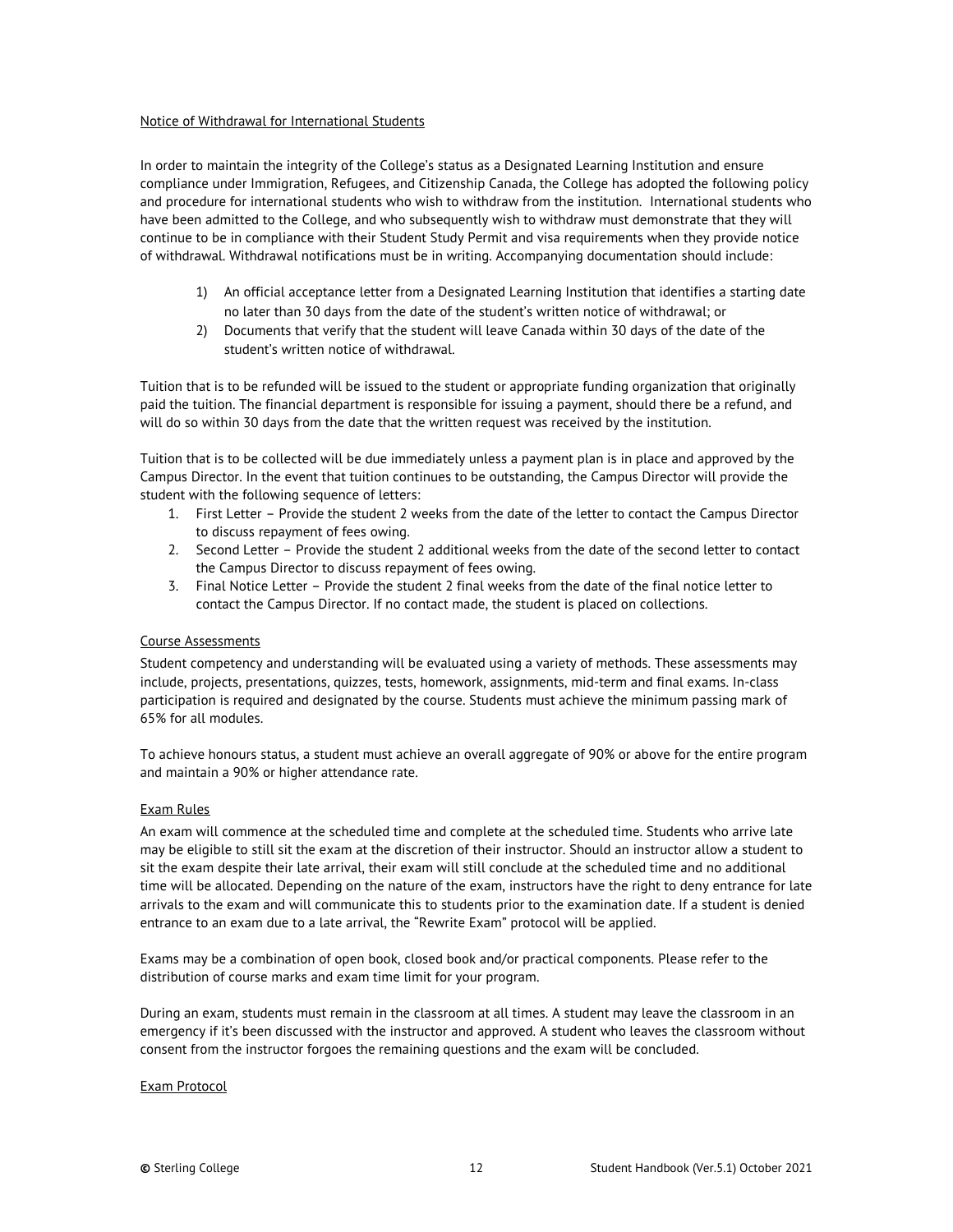#### <span id="page-11-0"></span>Notice of Withdrawal for International Students

In order to maintain the integrity of the College's status as a Designated Learning Institution and ensure compliance under Immigration, Refugees, and Citizenship Canada, the College has adopted the following policy and procedure for international students who wish to withdraw from the institution. International students who have been admitted to the College, and who subsequently wish to withdraw must demonstrate that they will continue to be in compliance with their Student Study Permit and visa requirements when they provide notice of withdrawal. Withdrawal notifications must be in writing. Accompanying documentation should include:

- 1) An official acceptance letter from a Designated Learning Institution that identifies a starting date no later than 30 days from the date of the student's written notice of withdrawal; or
- 2) Documents that verify that the student will leave Canada within 30 days of the date of the student's written notice of withdrawal.

Tuition that is to be refunded will be issued to the student or appropriate funding organization that originally paid the tuition. The financial department is responsible for issuing a payment, should there be a refund, and will do so within 30 days from the date that the written request was received by the institution.

Tuition that is to be collected will be due immediately unless a payment plan is in place and approved by the Campus Director. In the event that tuition continues to be outstanding, the Campus Director will provide the student with the following sequence of letters:

- 1. First Letter Provide the student 2 weeks from the date of the letter to contact the Campus Director to discuss repayment of fees owing.
- 2. Second Letter Provide the student 2 additional weeks from the date of the second letter to contact the Campus Director to discuss repayment of fees owing.
- 3. Final Notice Letter Provide the student 2 final weeks from the date of the final notice letter to contact the Campus Director. If no contact made, the student is placed on collections.

#### <span id="page-11-1"></span>Course Assessments

Student competency and understanding will be evaluated using a variety of methods. These assessments may include, projects, presentations, quizzes, tests, homework, assignments, mid-term and final exams. In-class participation is required and designated by the course. Students must achieve the minimum passing mark of 65% for all modules.

To achieve honours status, a student must achieve an overall aggregate of 90% or above for the entire program and maintain a 90% or higher attendance rate.

#### <span id="page-11-2"></span>Exam Rules

An exam will commence at the scheduled time and complete at the scheduled time. Students who arrive late may be eligible to still sit the exam at the discretion of their instructor. Should an instructor allow a student to sit the exam despite their late arrival, their exam will still conclude at the scheduled time and no additional time will be allocated. Depending on the nature of the exam, instructors have the right to deny entrance for late arrivals to the exam and will communicate this to students prior to the examination date. If a student is denied entrance to an exam due to a late arrival, the "Rewrite Exam" protocol will be applied.

Exams may be a combination of open book, closed book and/or practical components. Please refer to the distribution of course marks and exam time limit for your program.

During an exam, students must remain in the classroom at all times. A student may leave the classroom in an emergency if it's been discussed with the instructor and approved. A student who leaves the classroom without consent from the instructor forgoes the remaining questions and the exam will be concluded.

#### <span id="page-11-3"></span>Exam Protocol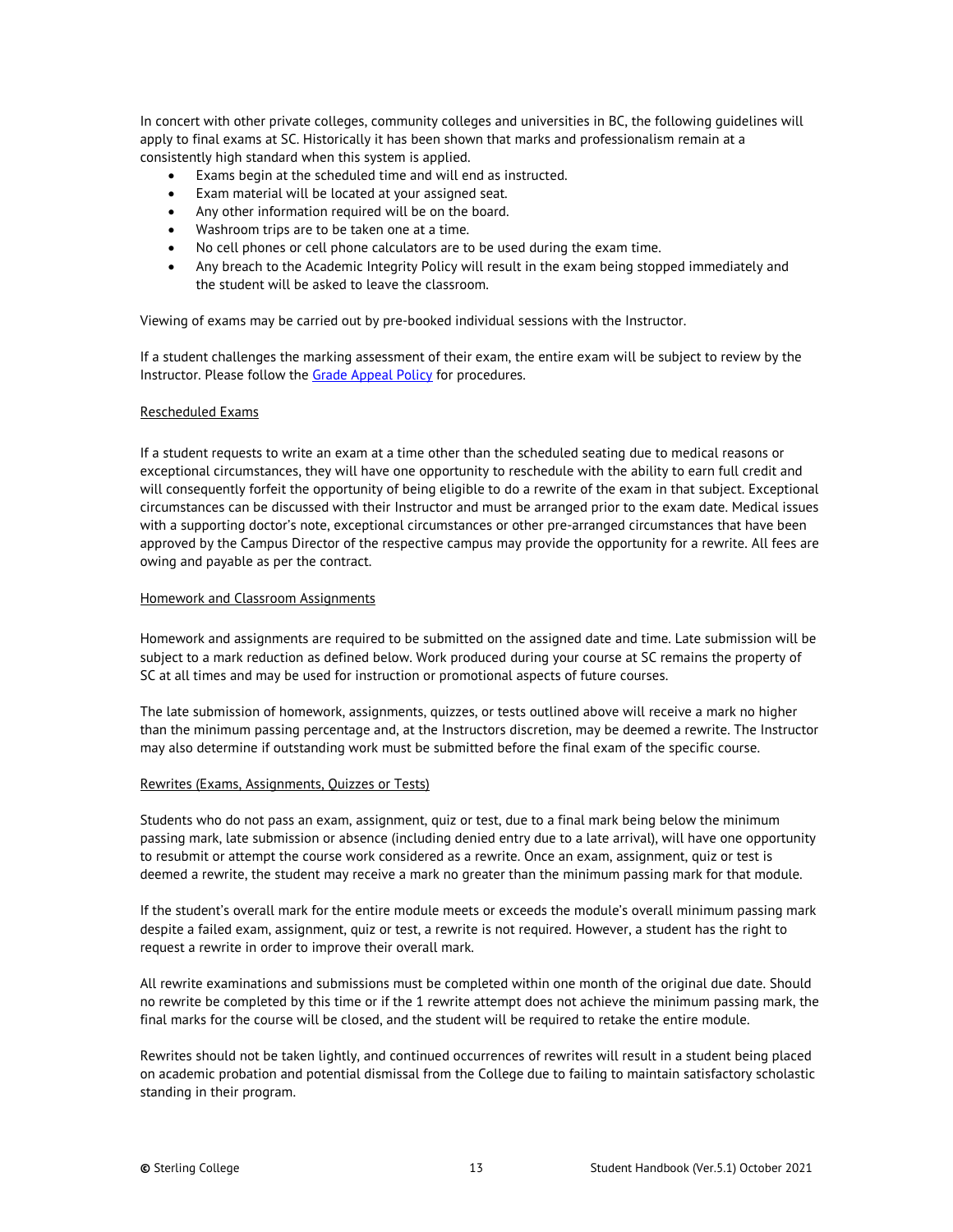In concert with other private colleges, community colleges and universities in BC, the following guidelines will apply to final exams at SC. Historically it has been shown that marks and professionalism remain at a consistently high standard when this system is applied.

- Exams begin at the scheduled time and will end as instructed.
- Exam material will be located at your assigned seat.
- Any other information required will be on the board.
- Washroom trips are to be taken one at a time.
- No cell phones or cell phone calculators are to be used during the exam time.
- Any breach to the Academic Integrity Policy will result in the exam being stopped immediately and the student will be asked to leave the classroom.

Viewing of exams may be carried out by pre-booked individual sessions with the Instructor.

If a student challenges the marking assessment of their exam, the entire exam will be subject to review by the Instructor. Please follow the **Grade Appeal Policy** for procedures.

#### <span id="page-12-0"></span>Rescheduled Exams

If a student requests to write an exam at a time other than the scheduled seating due to medical reasons or exceptional circumstances, they will have one opportunity to reschedule with the ability to earn full credit and will consequently forfeit the opportunity of being eligible to do a rewrite of the exam in that subject. Exceptional circumstances can be discussed with their Instructor and must be arranged prior to the exam date. Medical issues with a supporting doctor's note, exceptional circumstances or other pre-arranged circumstances that have been approved by the Campus Director of the respective campus may provide the opportunity for a rewrite. All fees are owing and payable as per the contract.

#### <span id="page-12-1"></span>Homework and Classroom Assignments

Homework and assignments are required to be submitted on the assigned date and time. Late submission will be subject to a mark reduction as defined below. Work produced during your course at SC remains the property of SC at all times and may be used for instruction or promotional aspects of future courses.

The late submission of homework, assignments, quizzes, or tests outlined above will receive a mark no higher than the minimum passing percentage and, at the Instructors discretion, may be deemed a rewrite. The Instructor may also determine if outstanding work must be submitted before the final exam of the specific course.

#### Rewrites (Exams, Assignments, Quizzes or Tests)

Students who do not pass an exam, assignment, quiz or test, due to a final mark being below the minimum passing mark, late submission or absence (including denied entry due to a late arrival), will have one opportunity to resubmit or attempt the course work considered as a rewrite. Once an exam, assignment, quiz or test is deemed a rewrite, the student may receive a mark no greater than the minimum passing mark for that module.

If the student's overall mark for the entire module meets or exceeds the module's overall minimum passing mark despite a failed exam, assignment, quiz or test, a rewrite is not required. However, a student has the right to request a rewrite in order to improve their overall mark.

All rewrite examinations and submissions must be completed within one month of the original due date. Should no rewrite be completed by this time or if the 1 rewrite attempt does not achieve the minimum passing mark, the final marks for the course will be closed, and the student will be required to retake the entire module.

Rewrites should not be taken lightly, and continued occurrences of rewrites will result in a student being placed on academic probation and potential dismissal from the College due to failing to maintain satisfactory scholastic standing in their program.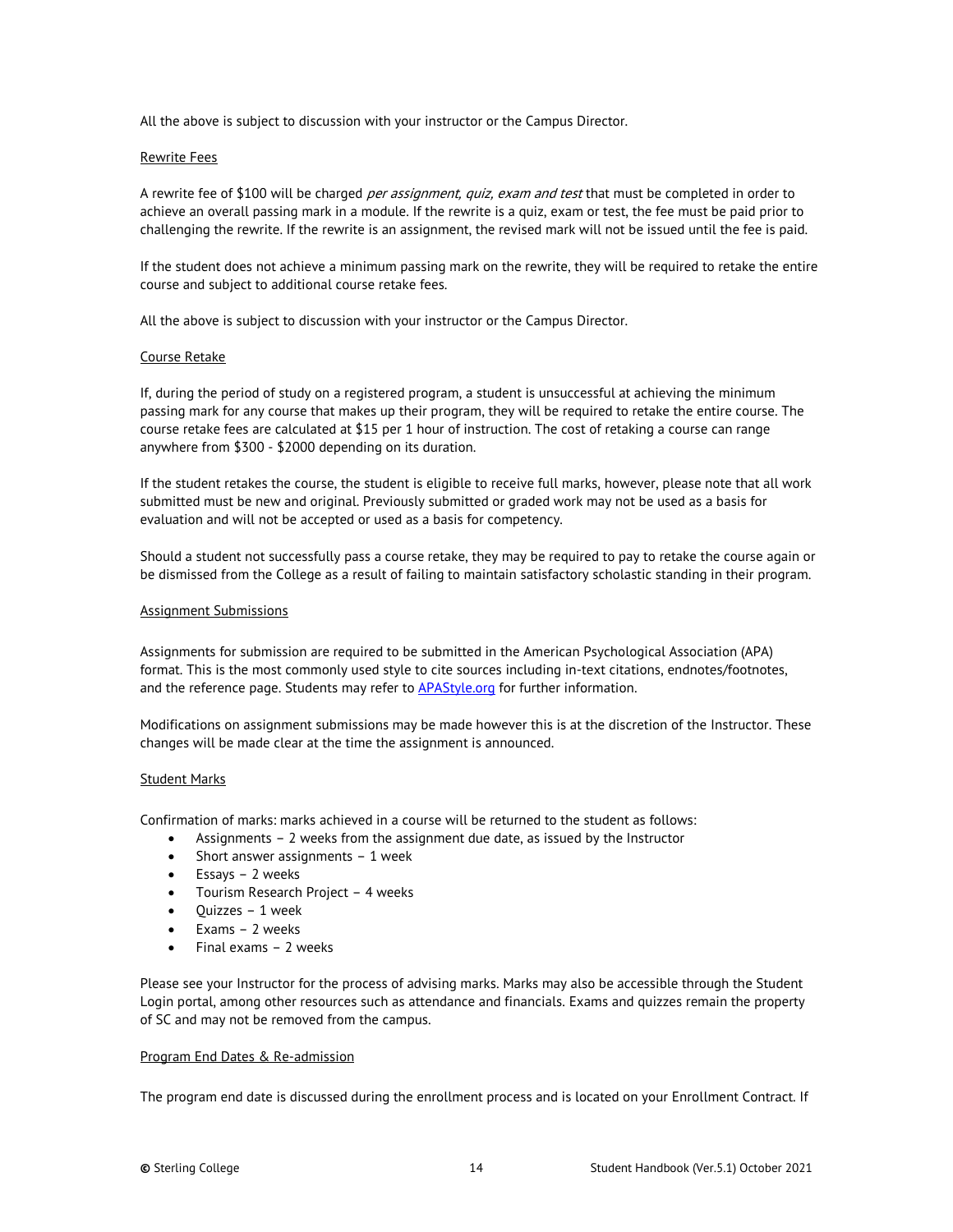All the above is subject to discussion with your instructor or the Campus Director.

#### Rewrite Fees

A rewrite fee of \$100 will be charged *per assignment, quiz, exam and test* that must be completed in order to achieve an overall passing mark in a module. If the rewrite is a quiz, exam or test, the fee must be paid prior to challenging the rewrite. If the rewrite is an assignment, the revised mark will not be issued until the fee is paid.

If the student does not achieve a minimum passing mark on the rewrite, they will be required to retake the entire course and subject to additional course retake fees.

All the above is subject to discussion with your instructor or the Campus Director.

#### Course Retake

If, during the period of study on a registered program, a student is unsuccessful at achieving the minimum passing mark for any course that makes up their program, they will be required to retake the entire course. The course retake fees are calculated at \$15 per 1 hour of instruction. The cost of retaking a course can range anywhere from \$300 - \$2000 depending on its duration.

If the student retakes the course, the student is eligible to receive full marks, however, please note that all work submitted must be new and original. Previously submitted or graded work may not be used as a basis for evaluation and will not be accepted or used as a basis for competency.

Should a student not successfully pass a course retake, they may be required to pay to retake the course again or be dismissed from the College as a result of failing to maintain satisfactory scholastic standing in their program.

#### <span id="page-13-0"></span>Assignment Submissions

Assignments for submission are required to be submitted in the American Psychological Association (APA) format. This is the most commonly used style to cite sources including in-text citations, endnotes/footnotes, and the reference page. Students may refer t[o APAStyle.org](http://www.apastyle.org/) for further information.

Modifications on assignment submissions may be made however this is at the discretion of the Instructor. These changes will be made clear at the time the assignment is announced.

#### <span id="page-13-1"></span>Student Marks

Confirmation of marks: marks achieved in a course will be returned to the student as follows:

- Assignments 2 weeks from the assignment due date, as issued by the Instructor
- Short answer assignments 1 week
- Essays 2 weeks
- Tourism Research Project 4 weeks
- Quizzes 1 week
- Exams 2 weeks
- Final exams 2 weeks

Please see your Instructor for the process of advising marks. Marks may also be accessible through the Student Login portal, among other resources such as attendance and financials. Exams and quizzes remain the property of SC and may not be removed from the campus.

#### <span id="page-13-2"></span>Program End Dates & Re-admission

The program end date is discussed during the enrollment process and is located on your Enrollment Contract. If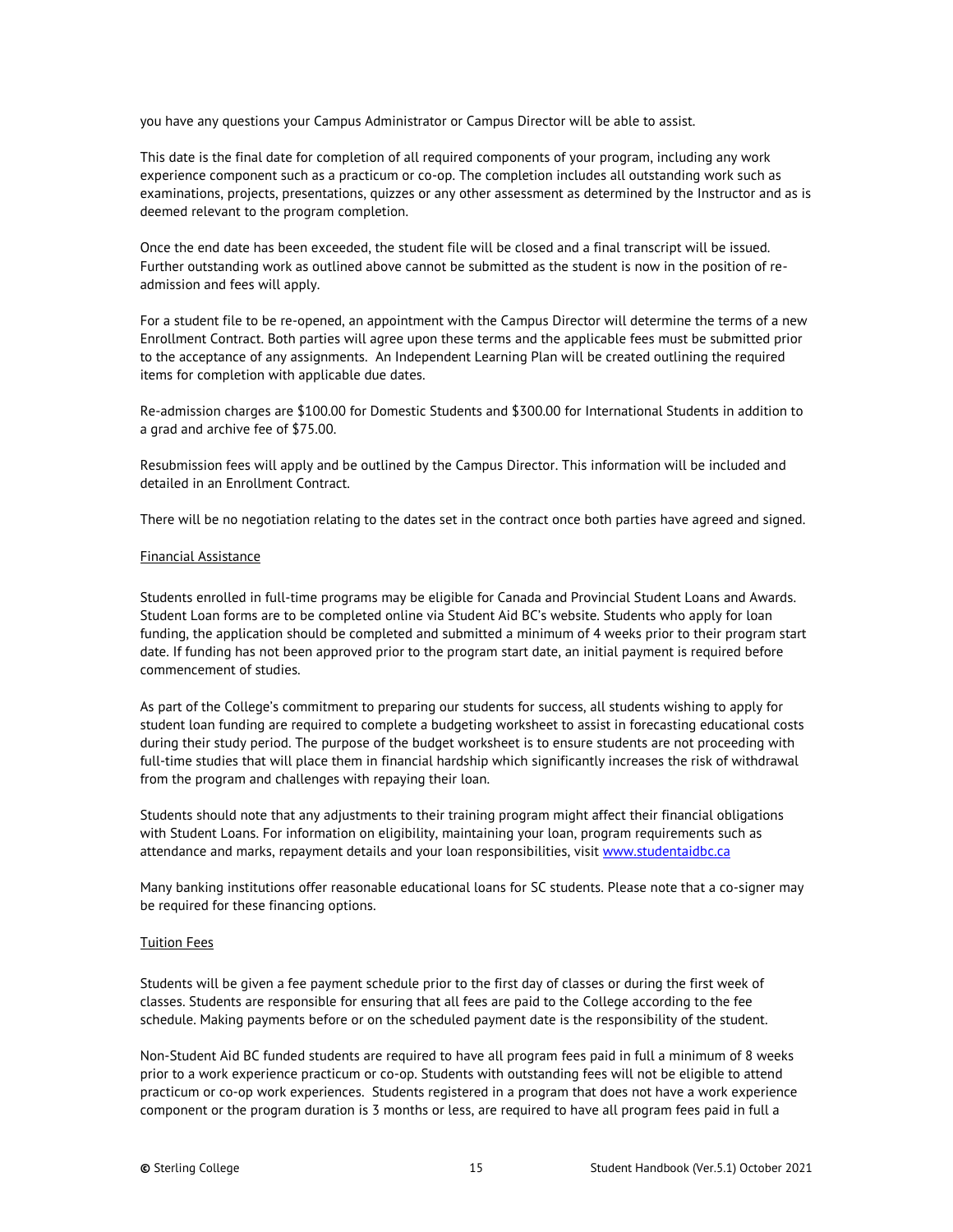you have any questions your Campus Administrator or Campus Director will be able to assist.

This date is the final date for completion of all required components of your program, including any work experience component such as a practicum or co-op. The completion includes all outstanding work such as examinations, projects, presentations, quizzes or any other assessment as determined by the Instructor and as is deemed relevant to the program completion.

Once the end date has been exceeded, the student file will be closed and a final transcript will be issued. Further outstanding work as outlined above cannot be submitted as the student is now in the position of readmission and fees will apply.

For a student file to be re-opened, an appointment with the Campus Director will determine the terms of a new Enrollment Contract. Both parties will agree upon these terms and the applicable fees must be submitted prior to the acceptance of any assignments. An Independent Learning Plan will be created outlining the required items for completion with applicable due dates.

Re-admission charges are \$100.00 for Domestic Students and \$300.00 for International Students in addition to a grad and archive fee of \$75.00.

Resubmission fees will apply and be outlined by the Campus Director. This information will be included and detailed in an Enrollment Contract.

<span id="page-14-0"></span>There will be no negotiation relating to the dates set in the contract once both parties have agreed and signed.

#### Financial Assistance

Students enrolled in full-time programs may be eligible for Canada and Provincial Student Loans and Awards. Student Loan forms are to be completed online via Student Aid BC's website. Students who apply for loan funding, the application should be completed and submitted a minimum of 4 weeks prior to their program start date. If funding has not been approved prior to the program start date, an initial payment is required before commencement of studies.

As part of the College's commitment to preparing our students for success, all students wishing to apply for student loan funding are required to complete a budgeting worksheet to assist in forecasting educational costs during their study period. The purpose of the budget worksheet is to ensure students are not proceeding with full-time studies that will place them in financial hardship which significantly increases the risk of withdrawal from the program and challenges with repaying their loan.

Students should note that any adjustments to their training program might affect their financial obligations with Student Loans. For information on eligibility, maintaining your loan, program requirements such as attendance and marks, repayment details and your loan responsibilities, visi[t www.studentaidbc.ca](http://www.studentaidbc.ca/)

Many banking institutions offer reasonable educational loans for SC students. Please note that a co-signer may be required for these financing options.

#### <span id="page-14-1"></span>Tuition Fees

Students will be given a fee payment schedule prior to the first day of classes or during the first week of classes. Students are responsible for ensuring that all fees are paid to the College according to the fee schedule. Making payments before or on the scheduled payment date is the responsibility of the student.

Non-Student Aid BC funded students are required to have all program fees paid in full a minimum of 8 weeks prior to a work experience practicum or co-op. Students with outstanding fees will not be eligible to attend practicum or co-op work experiences. Students registered in a program that does not have a work experience component or the program duration is 3 months or less, are required to have all program fees paid in full a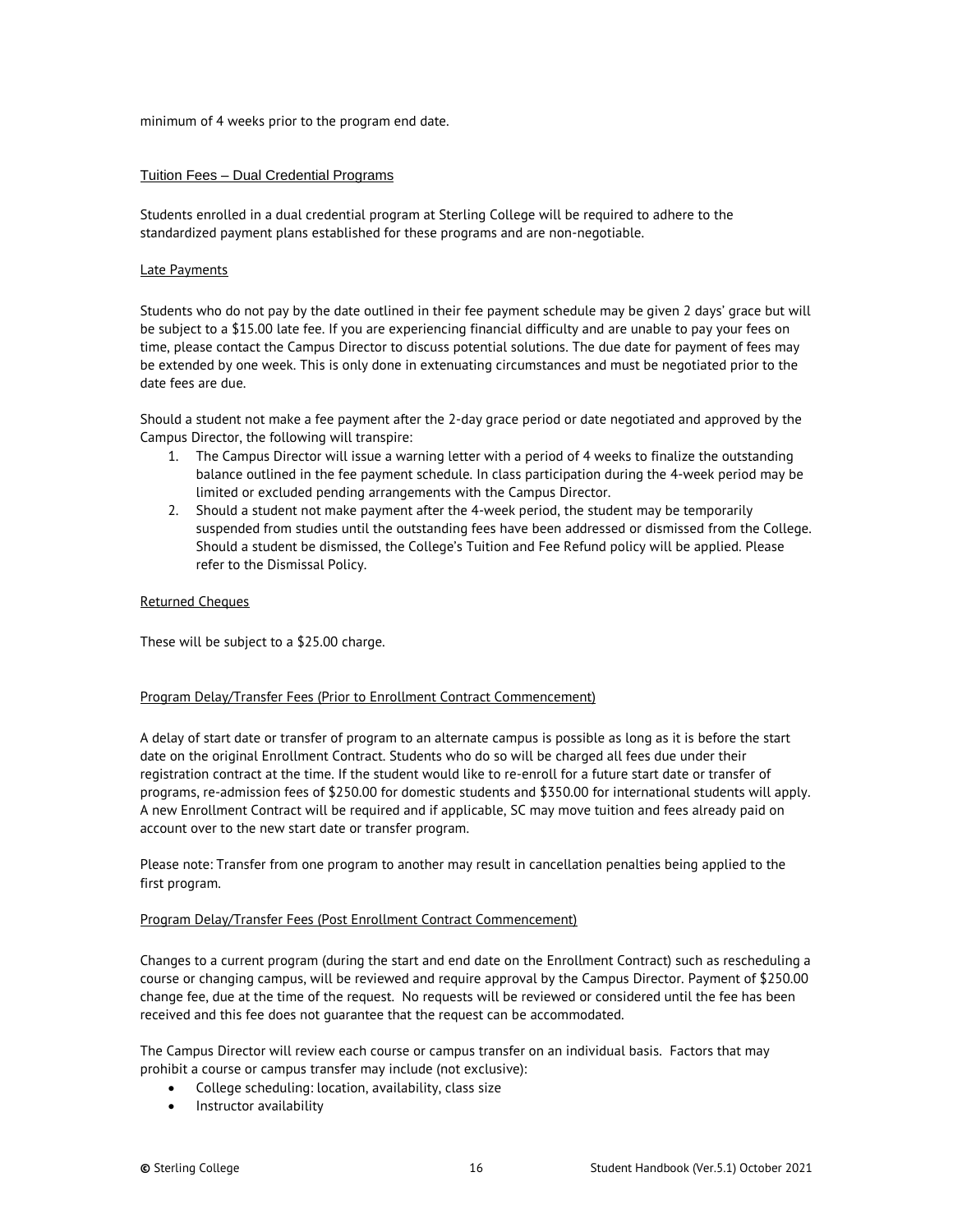minimum of 4 weeks prior to the program end date.

#### <span id="page-15-0"></span>Tuition Fees – Dual Credential Programs

Students enrolled in a dual credential program at Sterling College will be required to adhere to the standardized payment plans established for these programs and are non-negotiable.

#### <span id="page-15-1"></span>Late Payments

Students who do not pay by the date outlined in their fee payment schedule may be given 2 days' grace but will be subject to a \$15.00 late fee. If you are experiencing financial difficulty and are unable to pay your fees on time, please contact the Campus Director to discuss potential solutions. The due date for payment of fees may be extended by one week. This is only done in extenuating circumstances and must be negotiated prior to the date fees are due.

Should a student not make a fee payment after the 2-day grace period or date negotiated and approved by the Campus Director, the following will transpire:

- 1. The Campus Director will issue a warning letter with a period of 4 weeks to finalize the outstanding balance outlined in the fee payment schedule. In class participation during the 4-week period may be limited or excluded pending arrangements with the Campus Director.
- 2. Should a student not make payment after the 4-week period, the student may be temporarily suspended from studies until the outstanding fees have been addressed or dismissed from the College. Should a student be dismissed, the College's Tuition and Fee Refund policy will be applied. Please refer to the Dismissal Policy.

#### <span id="page-15-2"></span>Returned Cheques

These will be subject to a \$25.00 charge.

#### <span id="page-15-3"></span>Program Delay/Transfer Fees (Prior to Enrollment Contract Commencement)

A delay of start date or transfer of program to an alternate campus is possible as long as it is before the start date on the original Enrollment Contract. Students who do so will be charged all fees due under their registration contract at the time. If the student would like to re-enroll for a future start date or transfer of programs, re-admission fees of \$250.00 for domestic students and \$350.00 for international students will apply. A new Enrollment Contract will be required and if applicable, SC may move tuition and fees already paid on account over to the new start date or transfer program.

Please note: Transfer from one program to another may result in cancellation penalties being applied to the first program.

#### <span id="page-15-4"></span>Program Delay/Transfer Fees (Post Enrollment Contract Commencement)

Changes to a current program (during the start and end date on the Enrollment Contract) such as rescheduling a course or changing campus, will be reviewed and require approval by the Campus Director. Payment of \$250.00 change fee, due at the time of the request. No requests will be reviewed or considered until the fee has been received and this fee does not guarantee that the request can be accommodated.

The Campus Director will review each course or campus transfer on an individual basis. Factors that may prohibit a course or campus transfer may include (not exclusive):

- College scheduling: location, availability, class size
- Instructor availability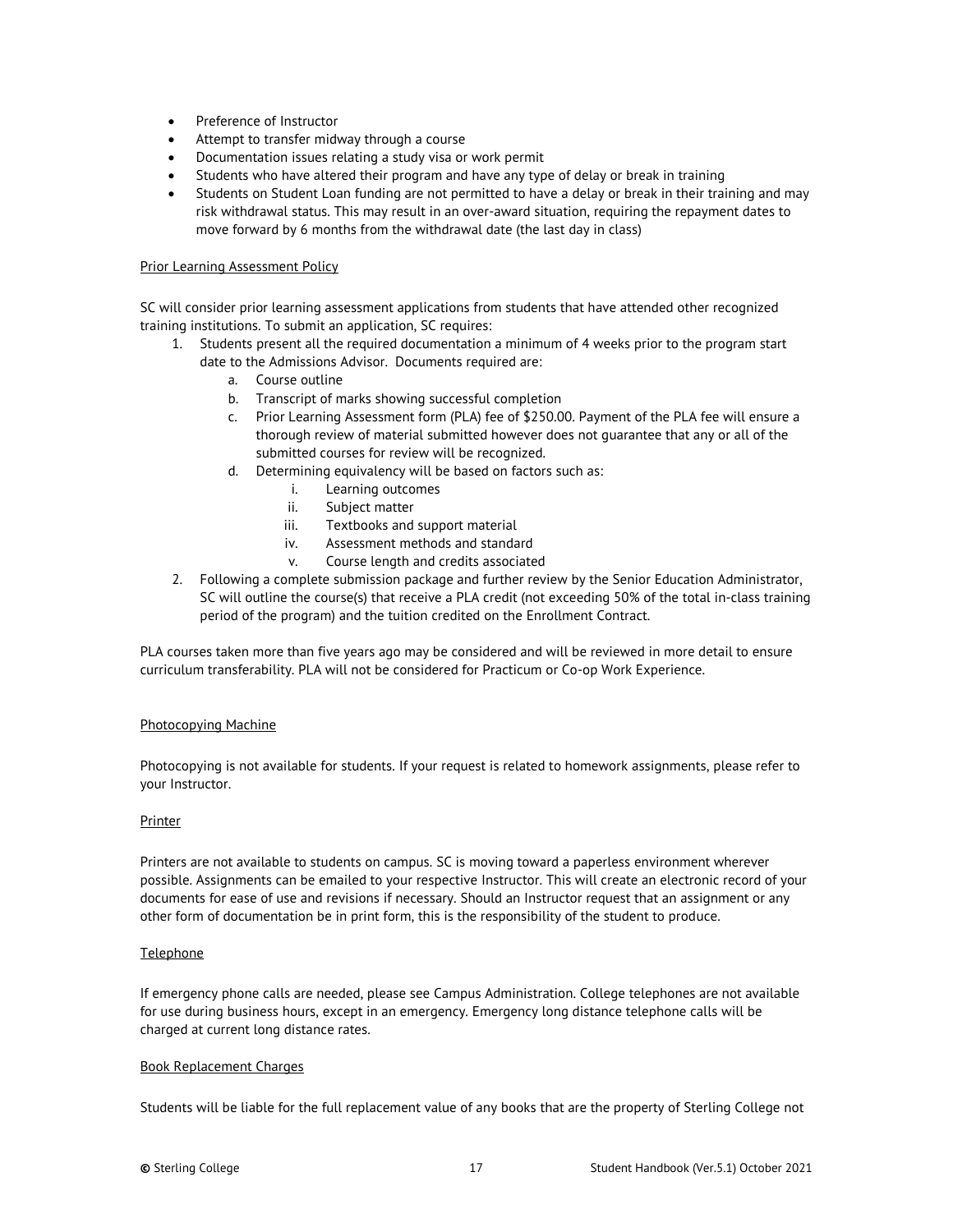- Preference of Instructor
- Attempt to transfer midway through a course
- Documentation issues relating a study visa or work permit
- Students who have altered their program and have any type of delay or break in training
- Students on Student Loan funding are not permitted to have a delay or break in their training and may risk withdrawal status. This may result in an over-award situation, requiring the repayment dates to move forward by 6 months from the withdrawal date (the last day in class)

#### <span id="page-16-0"></span>Prior Learning Assessment Policy

SC will consider prior learning assessment applications from students that have attended other recognized training institutions. To submit an application, SC requires:

- 1. Students present all the required documentation a minimum of 4 weeks prior to the program start date to the Admissions Advisor. Documents required are:
	- a. Course outline
	- b. Transcript of marks showing successful completion
	- c. Prior Learning Assessment form (PLA) fee of \$250.00. Payment of the PLA fee will ensure a thorough review of material submitted however does not guarantee that any or all of the submitted courses for review will be recognized.
	- d. Determining equivalency will be based on factors such as:
		- i. Learning outcomes
		- ii. Subject matter
		- iii. Textbooks and support material
		- iv. Assessment methods and standard
		- v. Course length and credits associated
- 2. Following a complete submission package and further review by the Senior Education Administrator, SC will outline the course(s) that receive a PLA credit (not exceeding 50% of the total in-class training period of the program) and the tuition credited on the Enrollment Contract.

PLA courses taken more than five years ago may be considered and will be reviewed in more detail to ensure curriculum transferability. PLA will not be considered for Practicum or Co-op Work Experience.

#### <span id="page-16-1"></span>Photocopying Machine

Photocopying is not available for students. If your request is related to homework assignments, please refer to your Instructor.

#### <span id="page-16-2"></span>**Printer**

Printers are not available to students on campus. SC is moving toward a paperless environment wherever possible. Assignments can be emailed to your respective Instructor. This will create an electronic record of your documents for ease of use and revisions if necessary. Should an Instructor request that an assignment or any other form of documentation be in print form, this is the responsibility of the student to produce.

#### <span id="page-16-3"></span>**Telephone**

If emergency phone calls are needed, please see Campus Administration. College telephones are not available for use during business hours, except in an emergency. Emergency long distance telephone calls will be charged at current long distance rates.

#### <span id="page-16-4"></span>Book Replacement Charges

Students will be liable for the full replacement value of any books that are the property of Sterling College not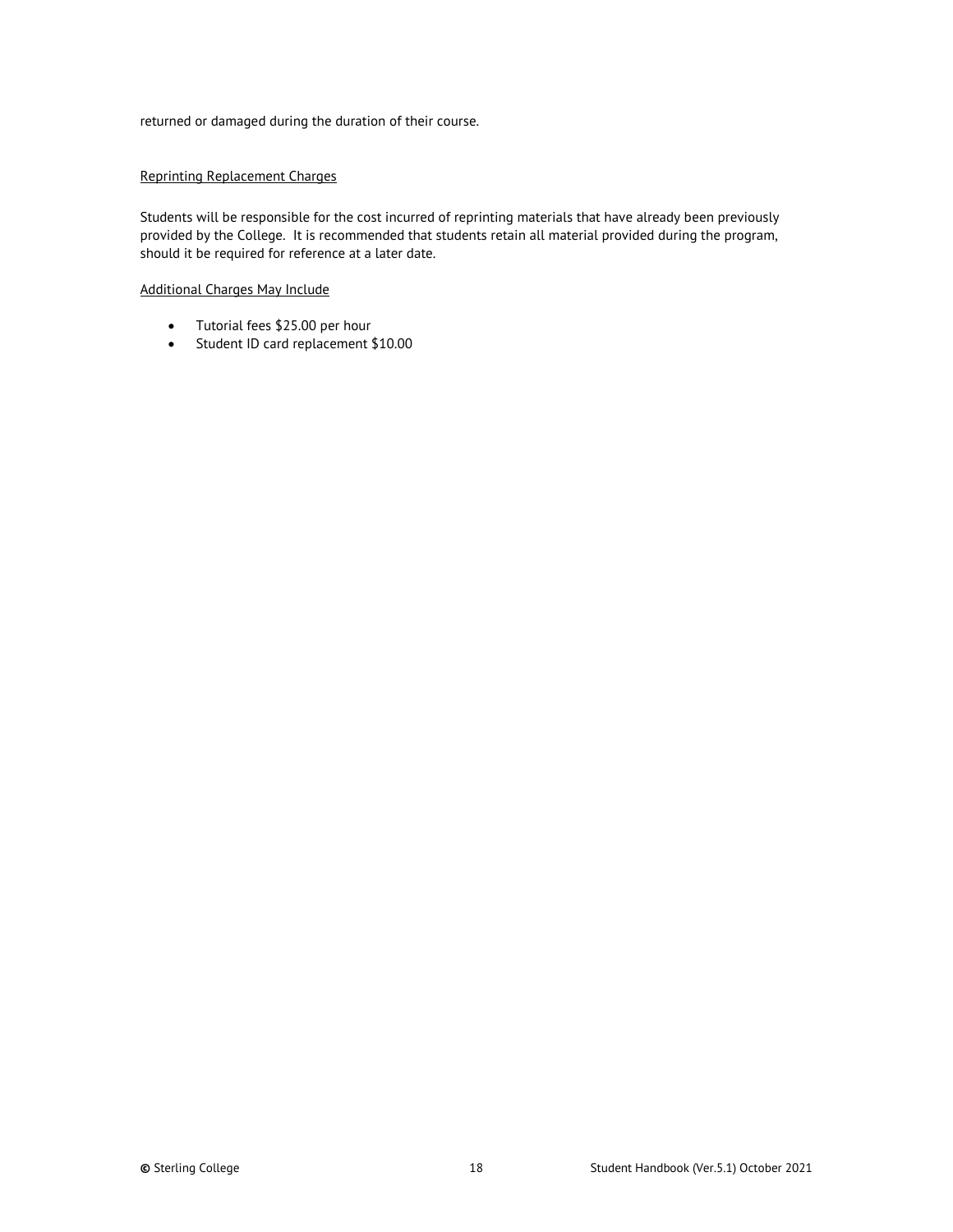returned or damaged during the duration of their course.

#### <span id="page-17-0"></span>Reprinting Replacement Charges

Students will be responsible for the cost incurred of reprinting materials that have already been previously provided by the College. It is recommended that students retain all material provided during the program, should it be required for reference at a later date.

#### Additional Charges May Include

- Tutorial fees \$25.00 per hour
- Student ID card replacement \$10.00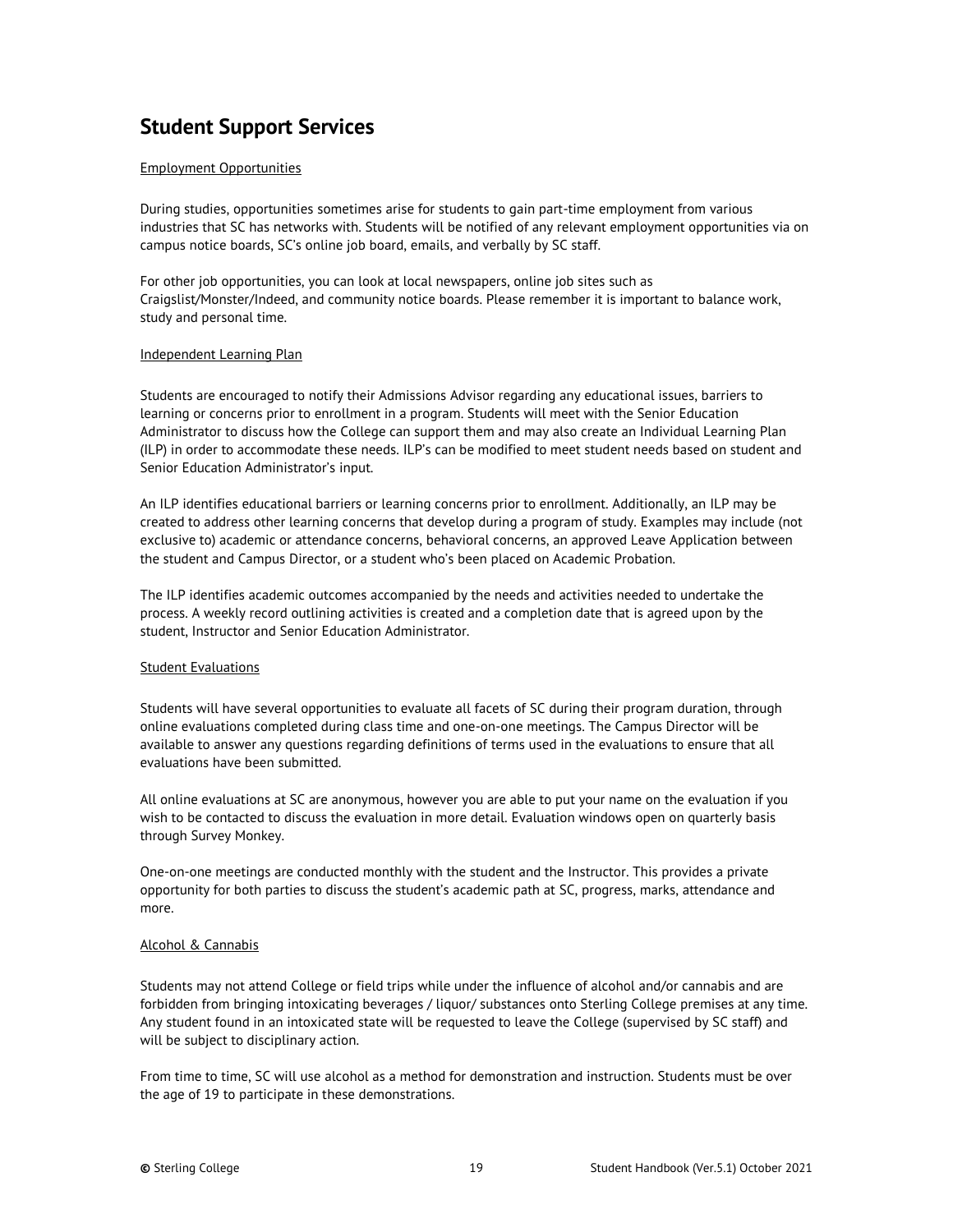# <span id="page-18-0"></span>**Student Support Services**

#### <span id="page-18-1"></span>Employment Opportunities

During studies, opportunities sometimes arise for students to gain part-time employment from various industries that SC has networks with. Students will be notified of any relevant employment opportunities via on campus notice boards, SC's online job board, emails, and verbally by SC staff.

For other job opportunities, you can look at local newspapers, online job sites such as Craigslist/Monster/Indeed, and community notice boards. Please remember it is important to balance work, study and personal time.

#### <span id="page-18-2"></span>Independent Learning Plan

Students are encouraged to notify their Admissions Advisor regarding any educational issues, barriers to learning or concerns prior to enrollment in a program. Students will meet with the Senior Education Administrator to discuss how the College can support them and may also create an Individual Learning Plan (ILP) in order to accommodate these needs. ILP's can be modified to meet student needs based on student and Senior Education Administrator's input.

An ILP identifies educational barriers or learning concerns prior to enrollment. Additionally, an ILP may be created to address other learning concerns that develop during a program of study. Examples may include (not exclusive to) academic or attendance concerns, behavioral concerns, an approved Leave Application between the student and Campus Director, or a student who's been placed on Academic Probation.

The ILP identifies academic outcomes accompanied by the needs and activities needed to undertake the process. A weekly record outlining activities is created and a completion date that is agreed upon by the student, Instructor and Senior Education Administrator.

#### <span id="page-18-3"></span>Student Evaluations

Students will have several opportunities to evaluate all facets of SC during their program duration, through online evaluations completed during class time and one-on-one meetings. The Campus Director will be available to answer any questions regarding definitions of terms used in the evaluations to ensure that all evaluations have been submitted.

All online evaluations at SC are anonymous, however you are able to put your name on the evaluation if you wish to be contacted to discuss the evaluation in more detail. Evaluation windows open on quarterly basis through Survey Monkey.

One-on-one meetings are conducted monthly with the student and the Instructor. This provides a private opportunity for both parties to discuss the student's academic path at SC, progress, marks, attendance and more.

#### <span id="page-18-4"></span>Alcohol & Cannabis

Students may not attend College or field trips while under the influence of alcohol and/or cannabis and are forbidden from bringing intoxicating beverages / liquor/ substances onto Sterling College premises at any time. Any student found in an intoxicated state will be requested to leave the College (supervised by SC staff) and will be subject to disciplinary action.

From time to time, SC will use alcohol as a method for demonstration and instruction. Students must be over the age of 19 to participate in these demonstrations.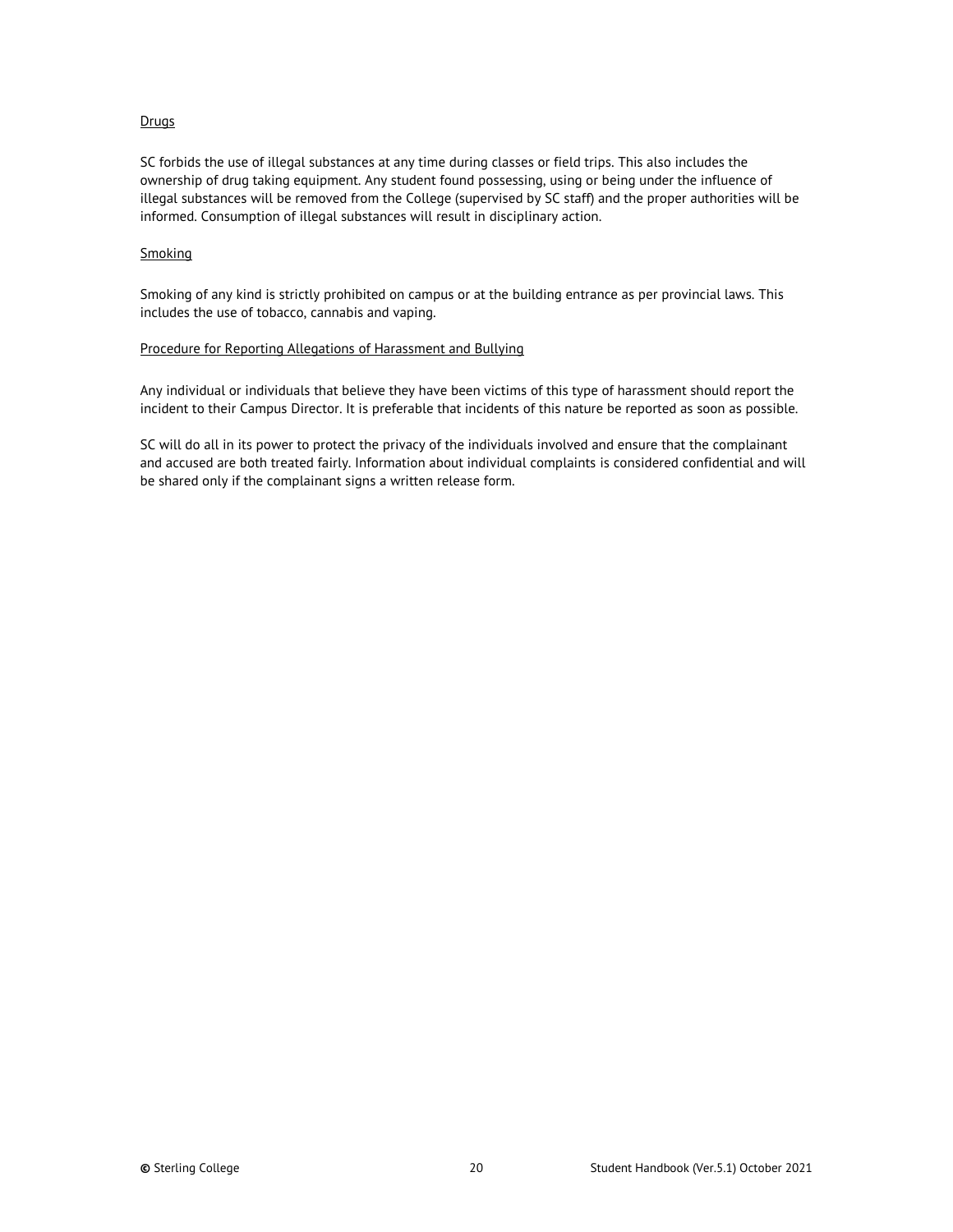#### <span id="page-19-0"></span>**Drugs**

SC forbids the use of illegal substances at any time during classes or field trips. This also includes the ownership of drug taking equipment. Any student found possessing, using or being under the influence of illegal substances will be removed from the College (supervised by SC staff) and the proper authorities will be informed. Consumption of illegal substances will result in disciplinary action.

#### <span id="page-19-1"></span>Smoking

Smoking of any kind is strictly prohibited on campus or at the building entrance as per provincial laws. This includes the use of tobacco, cannabis and vaping.

#### <span id="page-19-2"></span>Procedure for Reporting Allegations of Harassment and Bullying

Any individual or individuals that believe they have been victims of this type of harassment should report the incident to their Campus Director. It is preferable that incidents of this nature be reported as soon as possible.

SC will do all in its power to protect the privacy of the individuals involved and ensure that the complainant and accused are both treated fairly. Information about individual complaints is considered confidential and will be shared only if the complainant signs a written release form.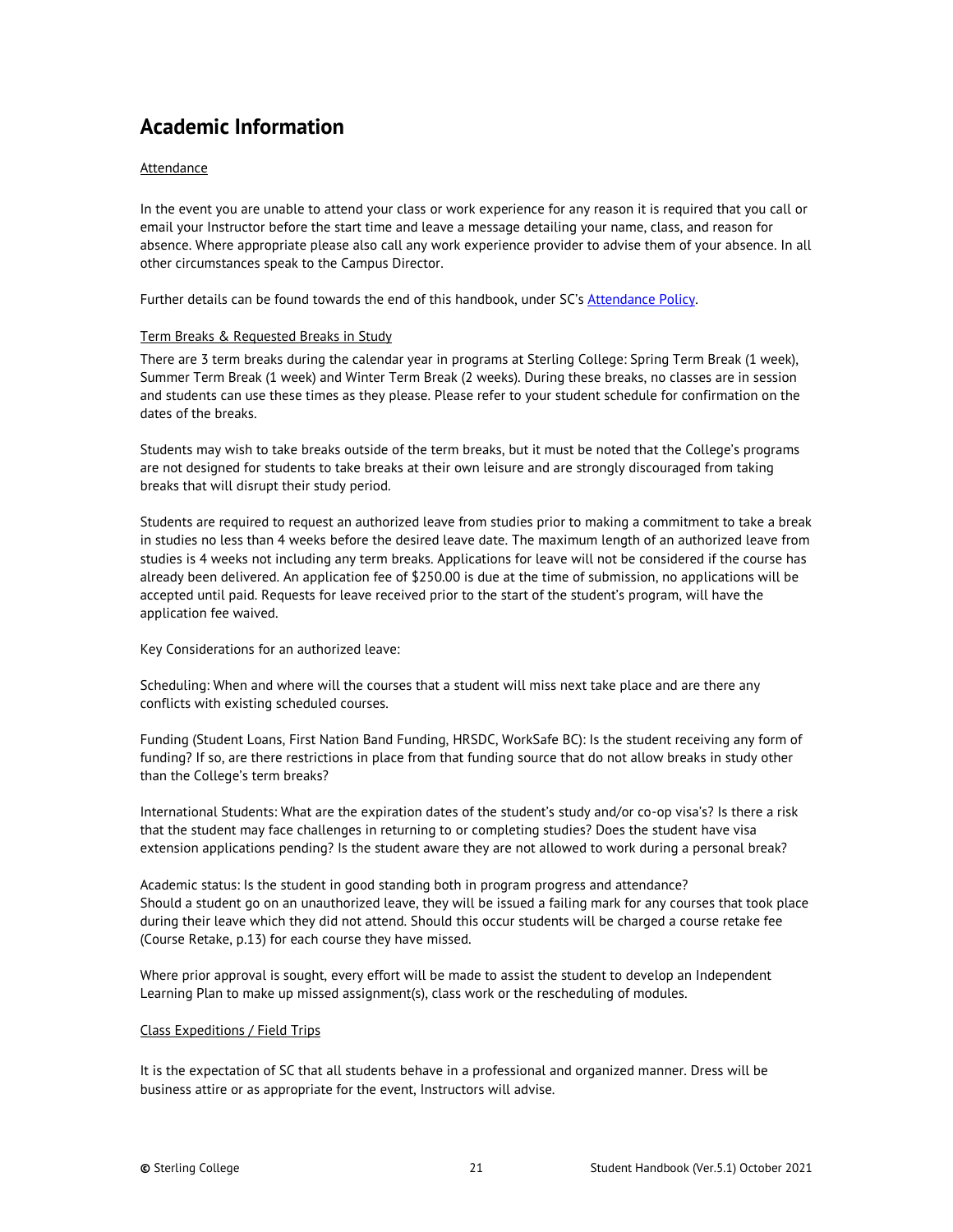# <span id="page-20-0"></span>**Academic Information**

#### <span id="page-20-1"></span>Attendance

In the event you are unable to attend your class or work experience for any reason it is required that you call or email your Instructor before the start time and leave a message detailing your name, class, and reason for absence. Where appropriate please also call any work experience provider to advise them of your absence. In all other circumstances speak to the Campus Director.

<span id="page-20-2"></span>Further details can be found towards the end of this handbook, under SC's [Attendance Policy.](#page-30-0)

#### Term Breaks & Requested Breaks in Study

There are 3 term breaks during the calendar year in programs at Sterling College: Spring Term Break (1 week), Summer Term Break (1 week) and Winter Term Break (2 weeks). During these breaks, no classes are in session and students can use these times as they please. Please refer to your student schedule for confirmation on the dates of the breaks.

Students may wish to take breaks outside of the term breaks, but it must be noted that the College's programs are not designed for students to take breaks at their own leisure and are strongly discouraged from taking breaks that will disrupt their study period.

Students are required to request an authorized leave from studies prior to making a commitment to take a break in studies no less than 4 weeks before the desired leave date. The maximum length of an authorized leave from studies is 4 weeks not including any term breaks. Applications for leave will not be considered if the course has already been delivered. An application fee of \$250.00 is due at the time of submission, no applications will be accepted until paid. Requests for leave received prior to the start of the student's program, will have the application fee waived.

Key Considerations for an authorized leave:

Scheduling: When and where will the courses that a student will miss next take place and are there any conflicts with existing scheduled courses.

Funding (Student Loans, First Nation Band Funding, HRSDC, WorkSafe BC): Is the student receiving any form of funding? If so, are there restrictions in place from that funding source that do not allow breaks in study other than the College's term breaks?

International Students: What are the expiration dates of the student's study and/or co-op visa's? Is there a risk that the student may face challenges in returning to or completing studies? Does the student have visa extension applications pending? Is the student aware they are not allowed to work during a personal break?

Academic status: Is the student in good standing both in program progress and attendance? Should a student go on an unauthorized leave, they will be issued a failing mark for any courses that took place during their leave which they did not attend. Should this occur students will be charged a course retake fee (Course Retake, p.13) for each course they have missed.

Where prior approval is sought, every effort will be made to assist the student to develop an Independent Learning Plan to make up missed assignment(s), class work or the rescheduling of modules.

#### <span id="page-20-3"></span>Class Expeditions / Field Trips

It is the expectation of SC that all students behave in a professional and organized manner. Dress will be business attire or as appropriate for the event, Instructors will advise.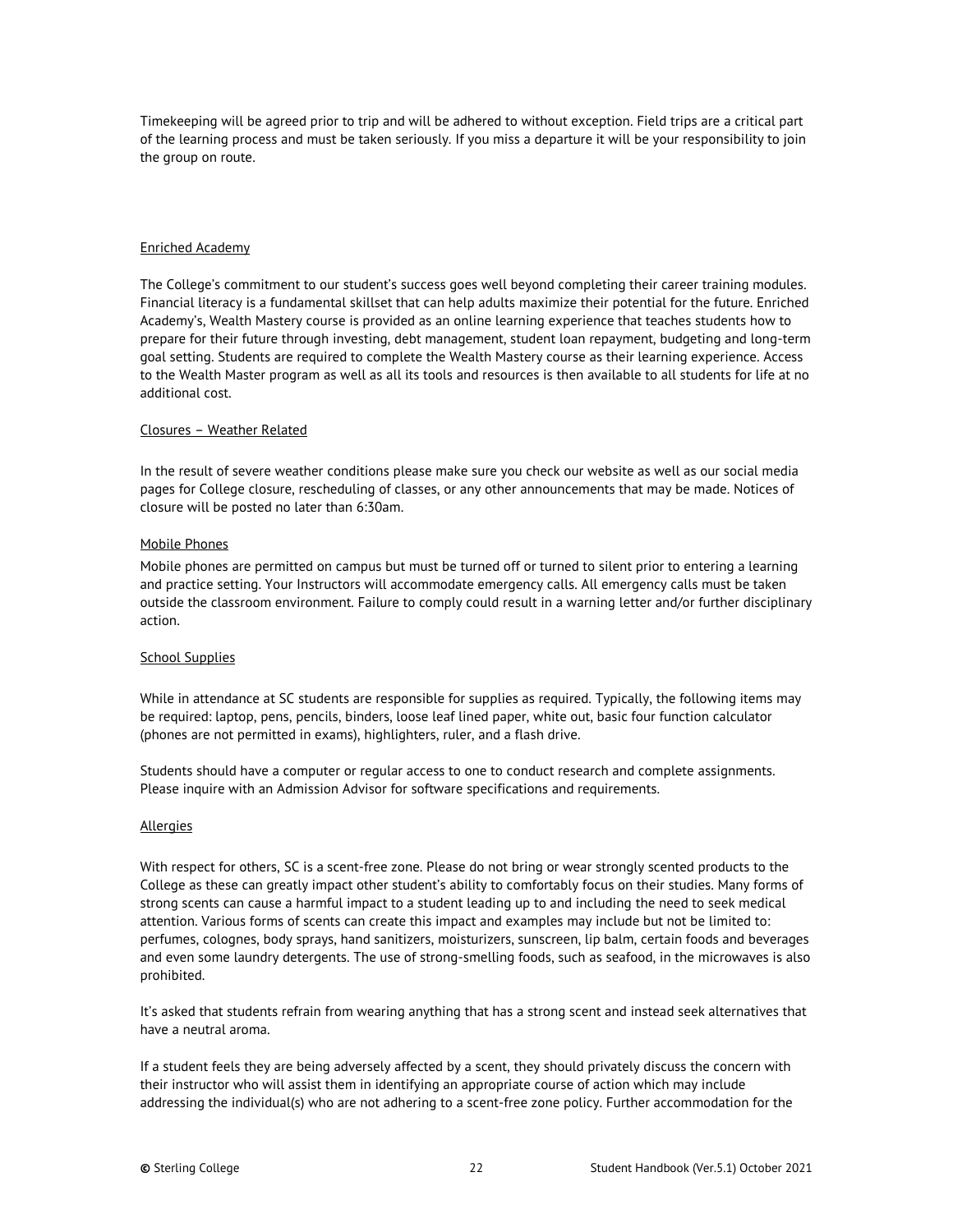Timekeeping will be agreed prior to trip and will be adhered to without exception. Field trips are a critical part of the learning process and must be taken seriously. If you miss a departure it will be your responsibility to join the group on route.

#### Enriched Academy

The College's commitment to our student's success goes well beyond completing their career training modules. Financial literacy is a fundamental skillset that can help adults maximize their potential for the future. Enriched Academy's, Wealth Mastery course is provided as an online learning experience that teaches students how to prepare for their future through investing, debt management, student loan repayment, budgeting and long-term goal setting. Students are required to complete the Wealth Mastery course as their learning experience. Access to the Wealth Master program as well as all its tools and resources is then available to all students for life at no additional cost.

#### <span id="page-21-0"></span>Closures – Weather Related

In the result of severe weather conditions please make sure you check our website as well as our social media pages for College closure, rescheduling of classes, or any other announcements that may be made. Notices of closure will be posted no later than 6:30am.

#### <span id="page-21-1"></span>Mobile Phones

Mobile phones are permitted on campus but must be turned off or turned to silent prior to entering a learning and practice setting. Your Instructors will accommodate emergency calls. All emergency calls must be taken outside the classroom environment. Failure to comply could result in a warning letter and/or further disciplinary action.

#### <span id="page-21-2"></span>School Supplies

While in attendance at SC students are responsible for supplies as required. Typically, the following items may be required: laptop, pens, pencils, binders, loose leaf lined paper, white out, basic four function calculator (phones are not permitted in exams), highlighters, ruler, and a flash drive.

Students should have a computer or regular access to one to conduct research and complete assignments. Please inquire with an Admission Advisor for software specifications and requirements.

#### <span id="page-21-3"></span>Allergies

With respect for others, SC is a scent-free zone. Please do not bring or wear strongly scented products to the College as these can greatly impact other student's ability to comfortably focus on their studies. Many forms of strong scents can cause a harmful impact to a student leading up to and including the need to seek medical attention. Various forms of scents can create this impact and examples may include but not be limited to: perfumes, colognes, body sprays, hand sanitizers, moisturizers, sunscreen, lip balm, certain foods and beverages and even some laundry detergents. The use of strong-smelling foods, such as seafood, in the microwaves is also prohibited.

It's asked that students refrain from wearing anything that has a strong scent and instead seek alternatives that have a neutral aroma.

If a student feels they are being adversely affected by a scent, they should privately discuss the concern with their instructor who will assist them in identifying an appropriate course of action which may include addressing the individual(s) who are not adhering to a scent-free zone policy. Further accommodation for the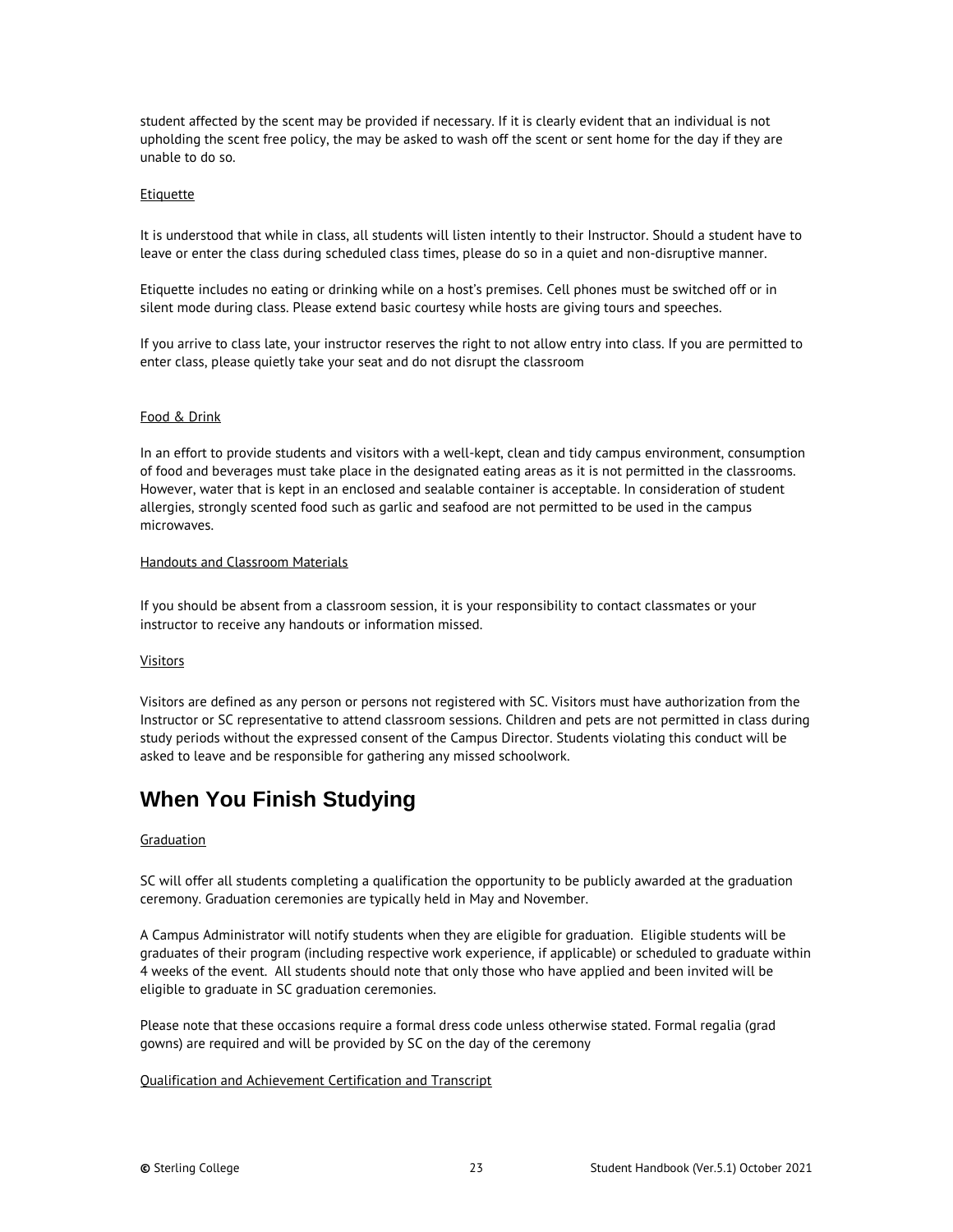student affected by the scent may be provided if necessary. If it is clearly evident that an individual is not upholding the scent free policy, the may be asked to wash off the scent or sent home for the day if they are unable to do so.

#### <span id="page-22-0"></span>**Etiquette**

It is understood that while in class, all students will listen intently to their Instructor. Should a student have to leave or enter the class during scheduled class times, please do so in a quiet and non-disruptive manner.

Etiquette includes no eating or drinking while on a host's premises. Cell phones must be switched off or in silent mode during class. Please extend basic courtesy while hosts are giving tours and speeches.

If you arrive to class late, your instructor reserves the right to not allow entry into class. If you are permitted to enter class, please quietly take your seat and do not disrupt the classroom

#### Food & Drink

In an effort to provide students and visitors with a well-kept, clean and tidy campus environment, consumption of food and beverages must take place in the designated eating areas as it is not permitted in the classrooms. However, water that is kept in an enclosed and sealable container is acceptable. In consideration of student allergies, strongly scented food such as garlic and seafood are not permitted to be used in the campus microwaves.

#### <span id="page-22-1"></span>Handouts and Classroom Materials

If you should be absent from a classroom session, it is your responsibility to contact classmates or your instructor to receive any handouts or information missed.

#### <span id="page-22-2"></span>Visitors

Visitors are defined as any person or persons not registered with SC. Visitors must have authorization from the Instructor or SC representative to attend classroom sessions. Children and pets are not permitted in class during study periods without the expressed consent of the Campus Director. Students violating this conduct will be asked to leave and be responsible for gathering any missed schoolwork.

# <span id="page-22-3"></span>**When You Finish Studying**

#### <span id="page-22-4"></span>**Graduation**

SC will offer all students completing a qualification the opportunity to be publicly awarded at the graduation ceremony. Graduation ceremonies are typically held in May and November.

A Campus Administrator will notify students when they are eligible for graduation. Eligible students will be graduates of their program (including respective work experience, if applicable) or scheduled to graduate within 4 weeks of the event. All students should note that only those who have applied and been invited will be eligible to graduate in SC graduation ceremonies.

Please note that these occasions require a formal dress code unless otherwise stated. Formal regalia (grad gowns) are required and will be provided by SC on the day of the ceremony

#### <span id="page-22-5"></span>Qualification and Achievement Certification and Transcript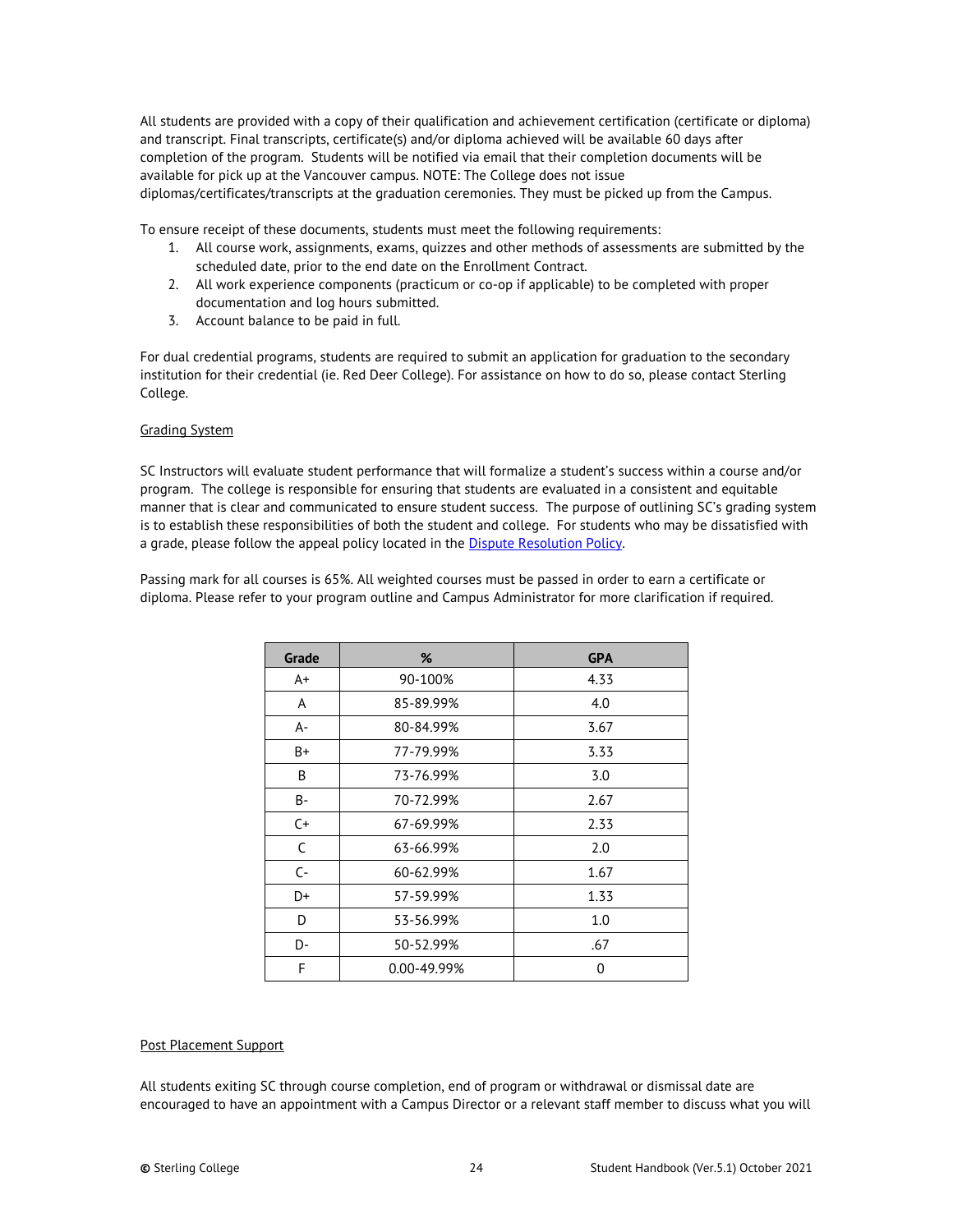All students are provided with a copy of their qualification and achievement certification (certificate or diploma) and transcript. Final transcripts, certificate(s) and/or diploma achieved will be available 60 days after completion of the program. Students will be notified via email that their completion documents will be available for pick up at the Vancouver campus. NOTE: The College does not issue diplomas/certificates/transcripts at the graduation ceremonies. They must be picked up from the Campus.

To ensure receipt of these documents, students must meet the following requirements:

- 1. All course work, assignments, exams, quizzes and other methods of assessments are submitted by the scheduled date, prior to the end date on the Enrollment Contract.
- 2. All work experience components (practicum or co-op if applicable) to be completed with proper documentation and log hours submitted.
- 3. Account balance to be paid in full.

For dual credential programs, students are required to submit an application for graduation to the secondary institution for their credential (ie. Red Deer College). For assistance on how to do so, please contact Sterling College.

#### <span id="page-23-0"></span>Grading System

SC Instructors will evaluate student performance that will formalize a student's success within a course and/or program. The college is responsible for ensuring that students are evaluated in a consistent and equitable manner that is clear and communicated to ensure student success. The purpose of outlining SC's grading system is to establish these responsibilities of both the student and college. For students who may be dissatisfied with a grade, please follow the appeal policy located in the **Dispute Resolution Policy**.

Passing mark for all courses is 65%. All weighted courses must be passed in order to earn a certificate or diploma. Please refer to your program outline and Campus Administrator for more clarification if required.

| Grade | %           | <b>GPA</b> |
|-------|-------------|------------|
| A+    | 90-100%     | 4.33       |
| A     | 85-89.99%   | 4.0        |
| A-    | 80-84.99%   | 3.67       |
| B+    | 77-79.99%   | 3.33       |
| B     | 73-76.99%   | 3.0        |
| B-    | 70-72.99%   | 2.67       |
| $C+$  | 67-69.99%   | 2.33       |
| C     | 63-66.99%   | 2.0        |
| $C -$ | 60-62.99%   | 1.67       |
| D+    | 57-59.99%   | 1.33       |
| D     | 53-56.99%   | 1.0        |
| D-    | 50-52.99%   | .67        |
| F     | 0.00-49.99% | 0          |

#### <span id="page-23-1"></span>Post Placement Support

All students exiting SC through course completion, end of program or withdrawal or dismissal date are encouraged to have an appointment with a Campus Director or a relevant staff member to discuss what you will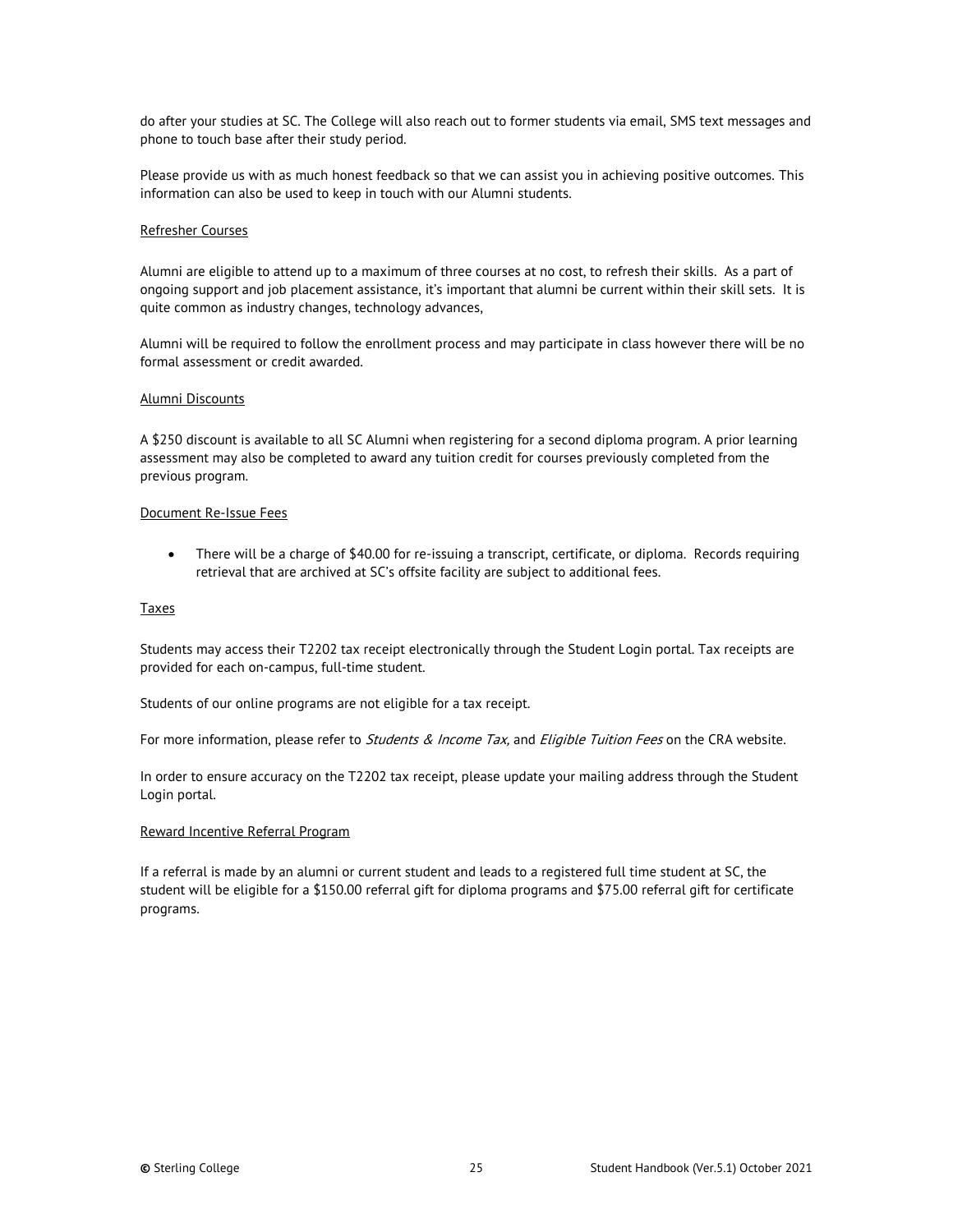do after your studies at SC. The College will also reach out to former students via email, SMS text messages and phone to touch base after their study period.

Please provide us with as much honest feedback so that we can assist you in achieving positive outcomes. This information can also be used to keep in touch with our Alumni students.

#### <span id="page-24-0"></span>Refresher Courses

Alumni are eligible to attend up to a maximum of three courses at no cost, to refresh their skills. As a part of ongoing support and job placement assistance, it's important that alumni be current within their skill sets. It is quite common as industry changes, technology advances,

Alumni will be required to follow the enrollment process and may participate in class however there will be no formal assessment or credit awarded.

#### <span id="page-24-1"></span>Alumni Discounts

A \$250 discount is available to all SC Alumni when registering for a second diploma program. A prior learning assessment may also be completed to award any tuition credit for courses previously completed from the previous program.

#### <span id="page-24-2"></span>Document Re-Issue Fees

• There will be a charge of \$40.00 for re-issuing a transcript, certificate, or diploma. Records requiring retrieval that are archived at SC's offsite facility are subject to additional fees.

#### <span id="page-24-3"></span>**Taxes**

Students may access their T2202 tax receipt electronically through the Student Login portal. Tax receipts are provided for each on-campus, full-time student.

Students of our online programs are not eligible for a tax receipt.

For more information, please refer to *Students & Income Tax*, and *Eligible Tuition Fees* on the CRA website.

In order to ensure accuracy on the T2202 tax receipt, please update your mailing address through the Student Login portal.

#### <span id="page-24-4"></span>Reward Incentive Referral Program

If a referral is made by an alumni or current student and leads to a registered full time student at SC, the student will be eligible for a \$150.00 referral gift for diploma programs and \$75.00 referral gift for certificate programs.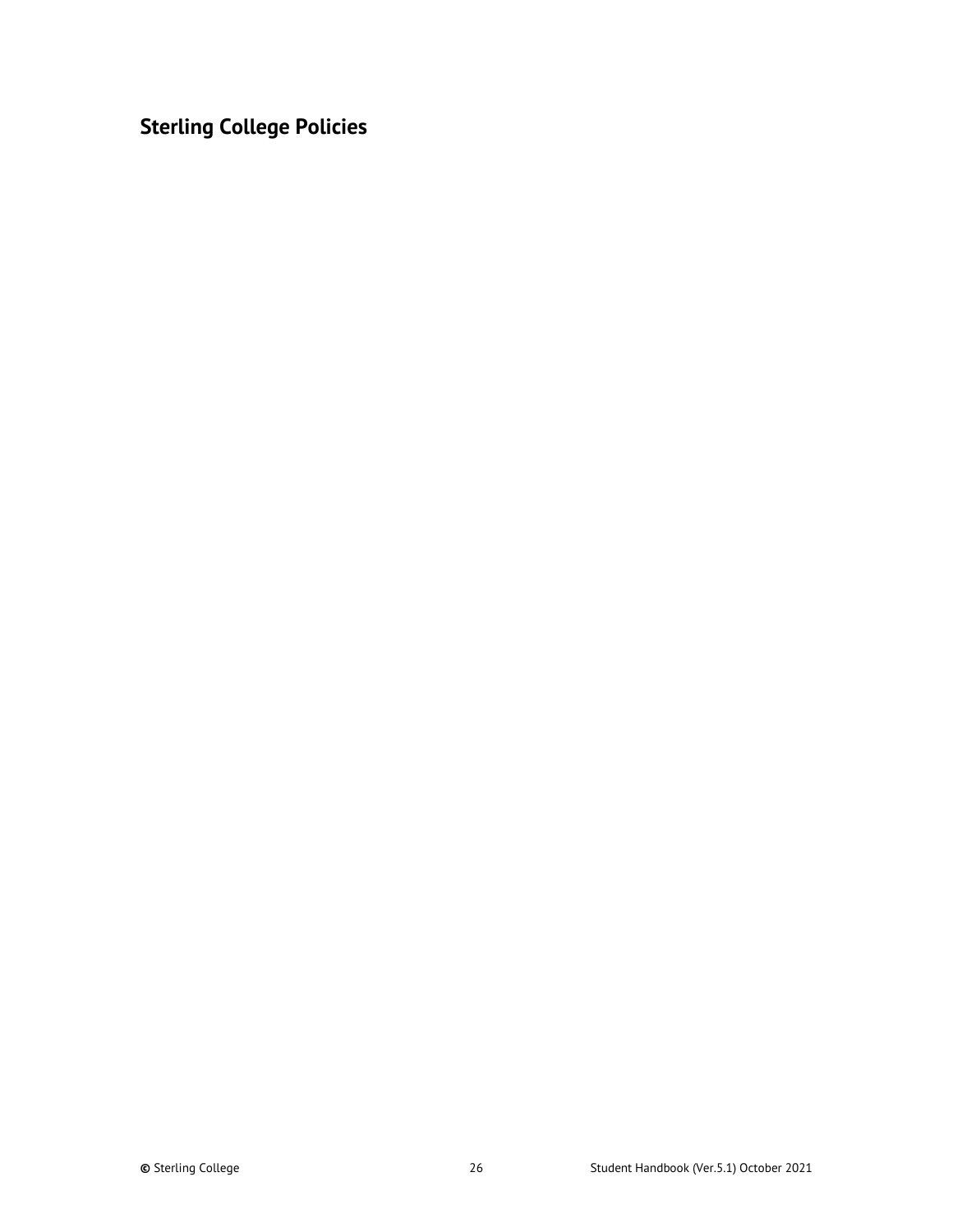<span id="page-25-0"></span>**Sterling College Policies**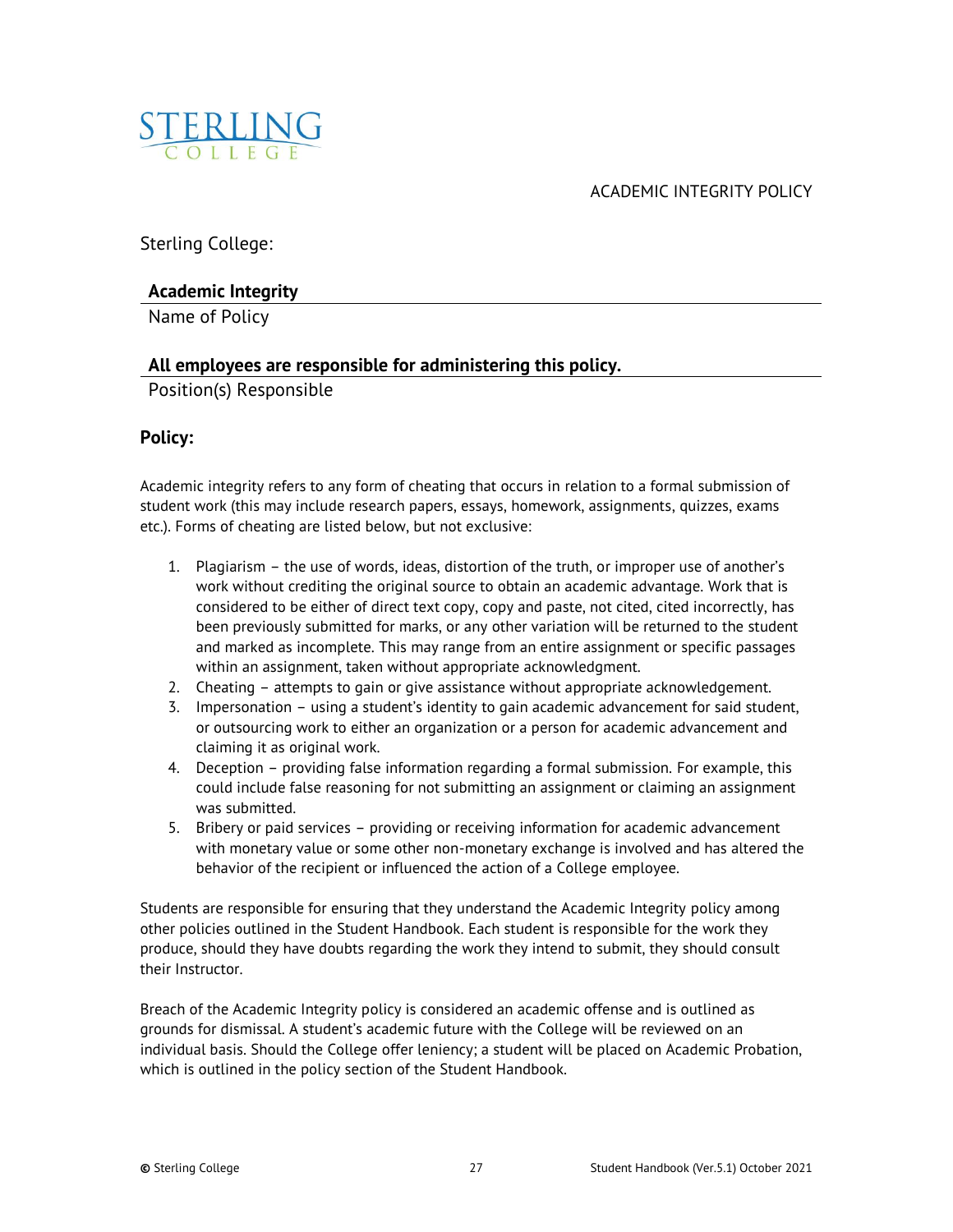<span id="page-26-0"></span>

ACADEMIC INTEGRITY POLICY

Sterling College:

## **Academic Integrity**

Name of Policy

## **All employees are responsible for administering this policy.**

Position(s) Responsible

## **Policy:**

Academic integrity refers to any form of cheating that occurs in relation to a formal submission of student work (this may include research papers, essays, homework, assignments, quizzes, exams etc.). Forms of cheating are listed below, but not exclusive:

- 1. Plagiarism the use of words, ideas, distortion of the truth, or improper use of another's work without crediting the original source to obtain an academic advantage. Work that is considered to be either of direct text copy, copy and paste, not cited, cited incorrectly, has been previously submitted for marks, or any other variation will be returned to the student and marked as incomplete. This may range from an entire assignment or specific passages within an assignment, taken without appropriate acknowledgment.
- 2. Cheating attempts to gain or give assistance without appropriate acknowledgement.
- 3. Impersonation using a student's identity to gain academic advancement for said student, or outsourcing work to either an organization or a person for academic advancement and claiming it as original work.
- 4. Deception providing false information regarding a formal submission. For example, this could include false reasoning for not submitting an assignment or claiming an assignment was submitted.
- 5. Bribery or paid services providing or receiving information for academic advancement with monetary value or some other non-monetary exchange is involved and has altered the behavior of the recipient or influenced the action of a College employee.

Students are responsible for ensuring that they understand the Academic Integrity policy among other policies outlined in the Student Handbook. Each student is responsible for the work they produce, should they have doubts regarding the work they intend to submit, they should consult their Instructor.

Breach of the Academic Integrity policy is considered an academic offense and is outlined as grounds for dismissal. A student's academic future with the College will be reviewed on an individual basis. Should the College offer leniency; a student will be placed on Academic Probation, which is outlined in the policy section of the Student Handbook.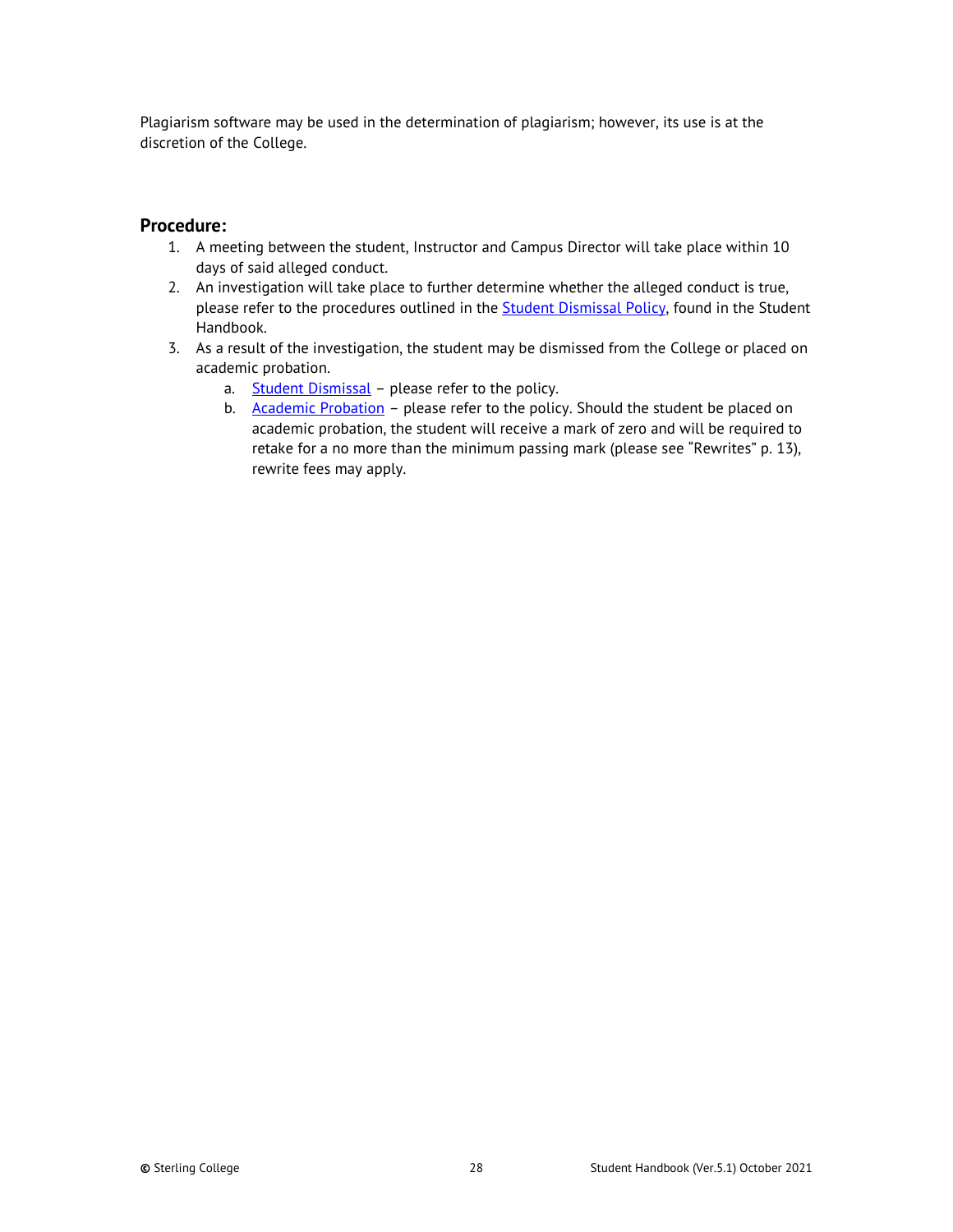Plagiarism software may be used in the determination of plagiarism; however, its use is at the discretion of the College.

## **Procedure:**

- 1. A meeting between the student, Instructor and Campus Director will take place within 10 days of said alleged conduct.
- 2. An investigation will take place to further determine whether the alleged conduct is true, please refer to the procedures outlined in the **Student Dismissal Policy**, found in the Student Handbook.
- 3. As a result of the investigation, the student may be dismissed from the College or placed on academic probation.
	- a. [Student Dismissal](#page-48-0) please refer to the policy.
	- b. [Academic Probation](#page-28-0) please refer to the policy. Should the student be placed on academic probation, the student will receive a mark of zero and will be required to retake for a no more than the minimum passing mark (please see "Rewrites" p. 13), rewrite fees may apply.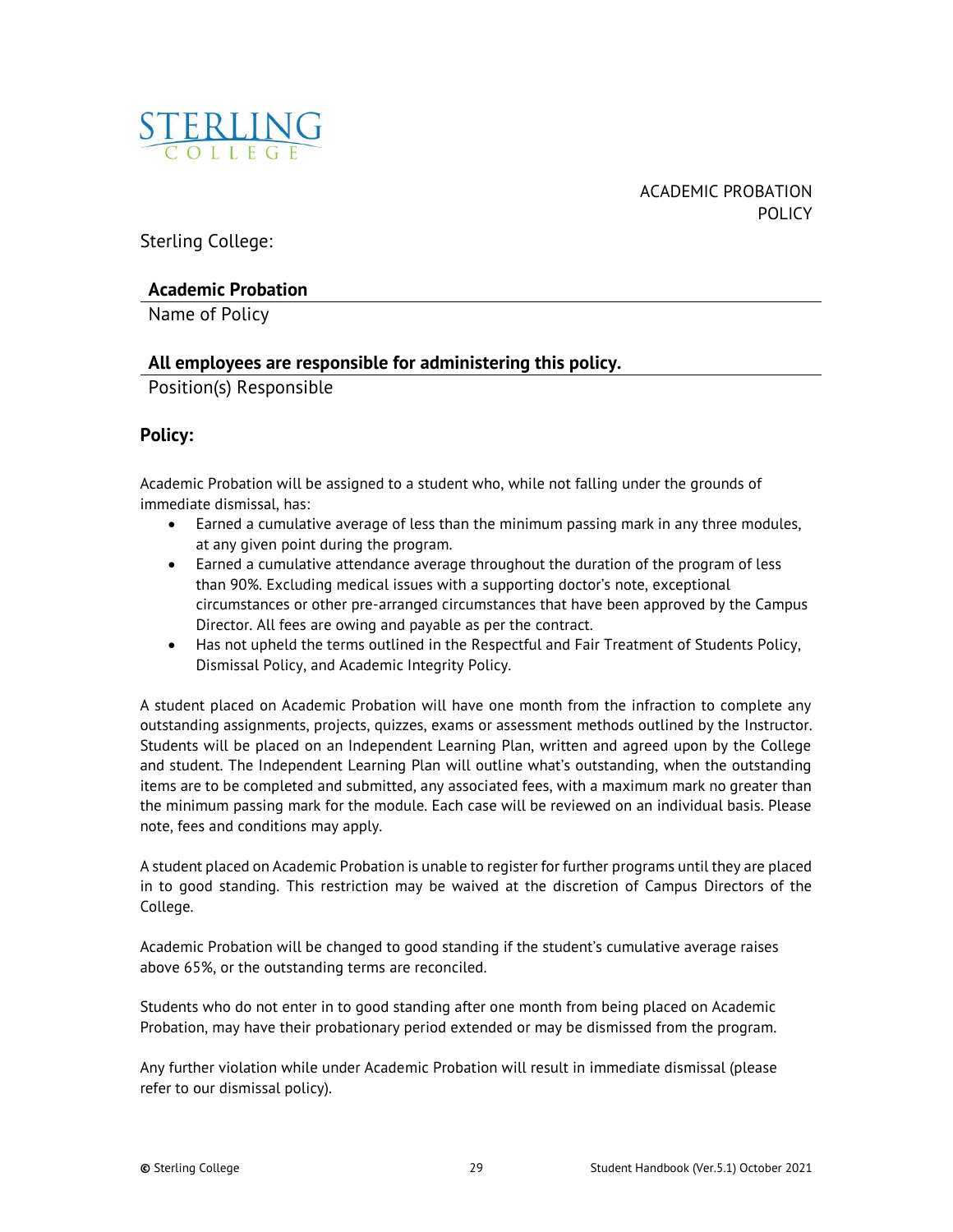<span id="page-28-0"></span>

ACADEMIC PROBATION POLICY

Sterling College:

## **Academic Probation**

Name of Policy

## **All employees are responsible for administering this policy.**

Position(s) Responsible

## **Policy:**

Academic Probation will be assigned to a student who, while not falling under the grounds of immediate dismissal, has:

- Earned a cumulative average of less than the minimum passing mark in any three modules, at any given point during the program.
- Earned a cumulative attendance average throughout the duration of the program of less than 90%. Excluding medical issues with a supporting doctor's note, exceptional circumstances or other pre-arranged circumstances that have been approved by the Campus Director. All fees are owing and payable as per the contract.
- Has not upheld the terms outlined in the Respectful and Fair Treatment of Students Policy, Dismissal Policy, and Academic Integrity Policy.

A student placed on Academic Probation will have one month from the infraction to complete any outstanding assignments, projects, quizzes, exams or assessment methods outlined by the Instructor. Students will be placed on an Independent Learning Plan, written and agreed upon by the College and student. The Independent Learning Plan will outline what's outstanding, when the outstanding items are to be completed and submitted, any associated fees, with a maximum mark no greater than the minimum passing mark for the module. Each case will be reviewed on an individual basis. Please note, fees and conditions may apply.

A student placed on Academic Probation is unable to register for further programs until they are placed in to good standing. This restriction may be waived at the discretion of Campus Directors of the College.

Academic Probation will be changed to good standing if the student's cumulative average raises above 65%, or the outstanding terms are reconciled.

Students who do not enter in to good standing after one month from being placed on Academic Probation, may have their probationary period extended or may be dismissed from the program.

Any further violation while under Academic Probation will result in immediate dismissal (please refer to our dismissal policy).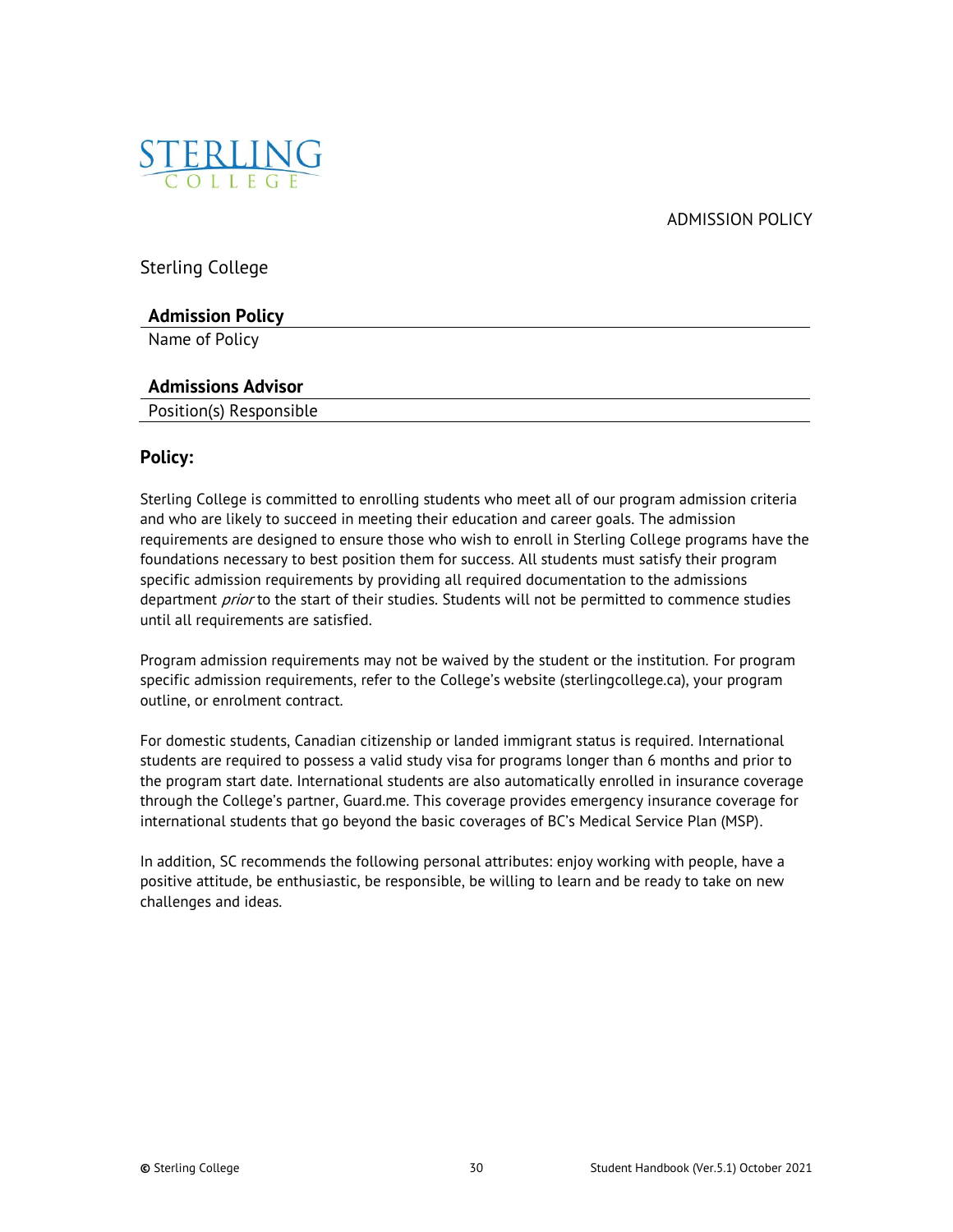ADMISSION POLICY

<span id="page-29-0"></span>

Sterling College

## **Admission Policy**

Name of Policy

## **Admissions Advisor**

Position(s) Responsible

## **Policy:**

Sterling College is committed to enrolling students who meet all of our program admission criteria and who are likely to succeed in meeting their education and career goals. The admission requirements are designed to ensure those who wish to enroll in Sterling College programs have the foundations necessary to best position them for success. All students must satisfy their program specific admission requirements by providing all required documentation to the admissions department *prior* to the start of their studies. Students will not be permitted to commence studies until all requirements are satisfied.

Program admission requirements may not be waived by the student or the institution. For program specific admission requirements, refer to the College's website (sterlingcollege.ca), your program outline, or enrolment contract.

For domestic students, Canadian citizenship or landed immigrant status is required. International students are required to possess a valid study visa for programs longer than 6 months and prior to the program start date. International students are also automatically enrolled in insurance coverage through the College's partner, Guard.me. This coverage provides emergency insurance coverage for international students that go beyond the basic coverages of BC's Medical Service Plan (MSP).

In addition, SC recommends the following personal attributes: enjoy working with people, have a positive attitude, be enthusiastic, be responsible, be willing to learn and be ready to take on new challenges and ideas.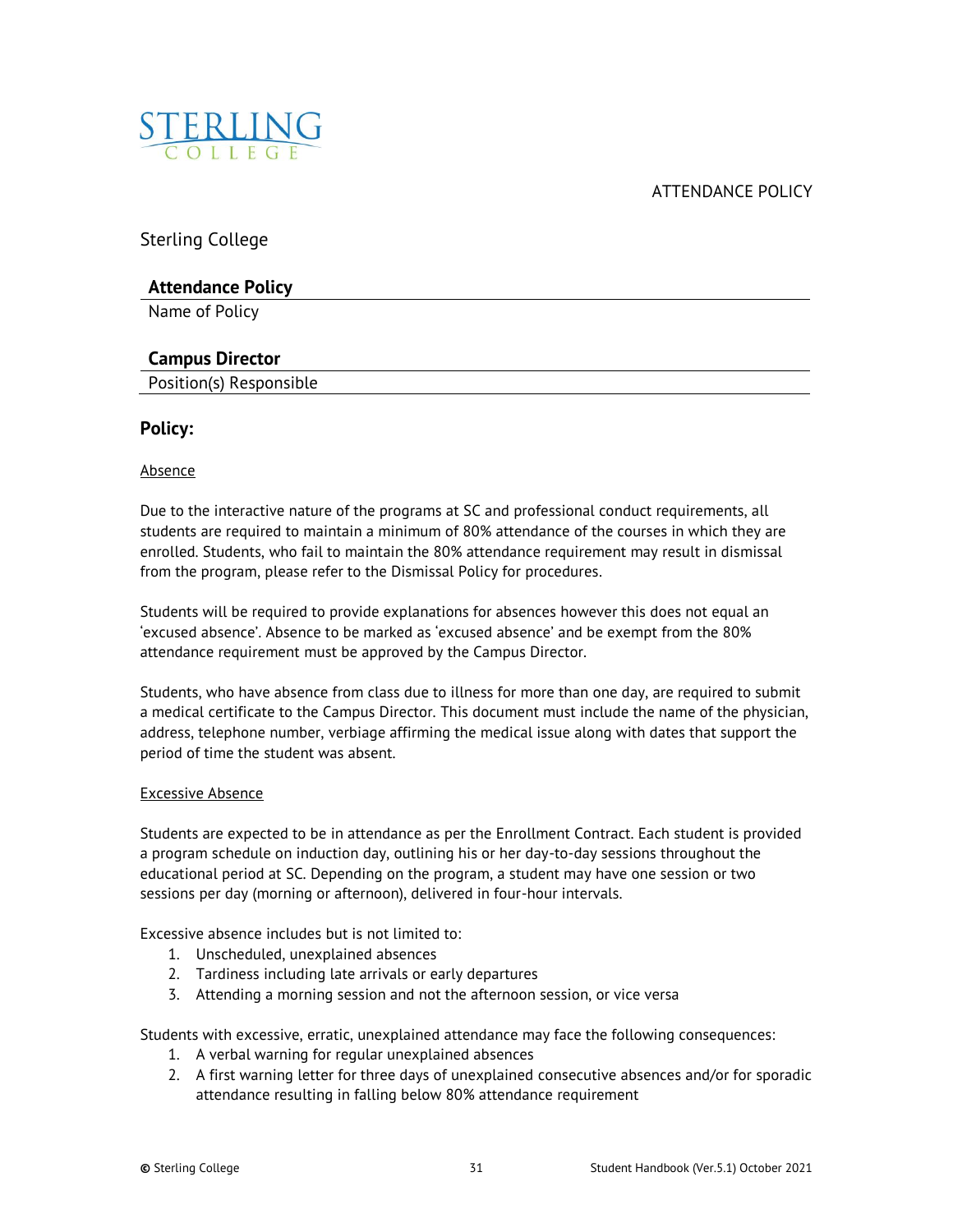<span id="page-30-0"></span>

ATTENDANCE POLICY

Sterling College

## **Attendance Policy**

Name of Policy

## **Campus Director**

Position(s) Responsible

## **Policy:**

#### Absence

Due to the interactive nature of the programs at SC and professional conduct requirements, all students are required to maintain a minimum of 80% attendance of the courses in which they are enrolled. Students, who fail to maintain the 80% attendance requirement may result in dismissal from the program, please refer to the Dismissal Policy for procedures.

Students will be required to provide explanations for absences however this does not equal an 'excused absence'. Absence to be marked as 'excused absence' and be exempt from the 80% attendance requirement must be approved by the Campus Director.

Students, who have absence from class due to illness for more than one day, are required to submit a medical certificate to the Campus Director. This document must include the name of the physician, address, telephone number, verbiage affirming the medical issue along with dates that support the period of time the student was absent.

#### Excessive Absence

Students are expected to be in attendance as per the Enrollment Contract. Each student is provided a program schedule on induction day, outlining his or her day-to-day sessions throughout the educational period at SC. Depending on the program, a student may have one session or two sessions per day (morning or afternoon), delivered in four-hour intervals.

Excessive absence includes but is not limited to:

- 1. Unscheduled, unexplained absences
- 2. Tardiness including late arrivals or early departures
- 3. Attending a morning session and not the afternoon session, or vice versa

Students with excessive, erratic, unexplained attendance may face the following consequences:

- 1. A verbal warning for regular unexplained absences
- 2. A first warning letter for three days of unexplained consecutive absences and/or for sporadic attendance resulting in falling below 80% attendance requirement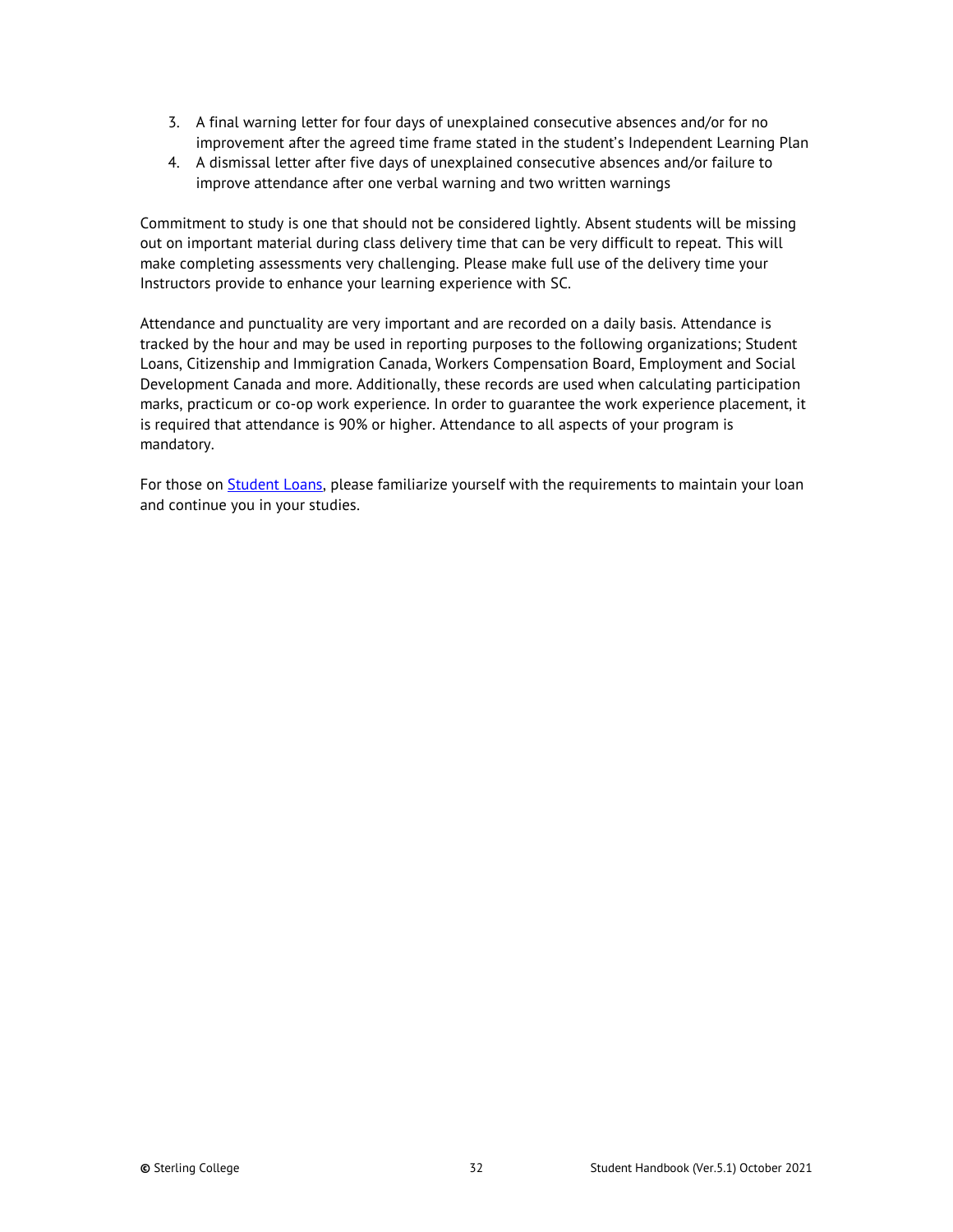- 3. A final warning letter for four days of unexplained consecutive absences and/or for no improvement after the agreed time frame stated in the student's Independent Learning Plan
- 4. A dismissal letter after five days of unexplained consecutive absences and/or failure to improve attendance after one verbal warning and two written warnings

Commitment to study is one that should not be considered lightly. Absent students will be missing out on important material during class delivery time that can be very difficult to repeat. This will make completing assessments very challenging. Please make full use of the delivery time your Instructors provide to enhance your learning experience with SC.

Attendance and punctuality are very important and are recorded on a daily basis. Attendance is tracked by the hour and may be used in reporting purposes to the following organizations; Student Loans, Citizenship and Immigration Canada, Workers Compensation Board, Employment and Social Development Canada and more. Additionally, these records are used when calculating participation marks, practicum or co-op work experience. In order to guarantee the work experience placement, it is required that attendance is 90% or higher. Attendance to all aspects of your program is mandatory.

For those on **Student Loans**, please familiarize yourself with the requirements to maintain your loan and continue you in your studies.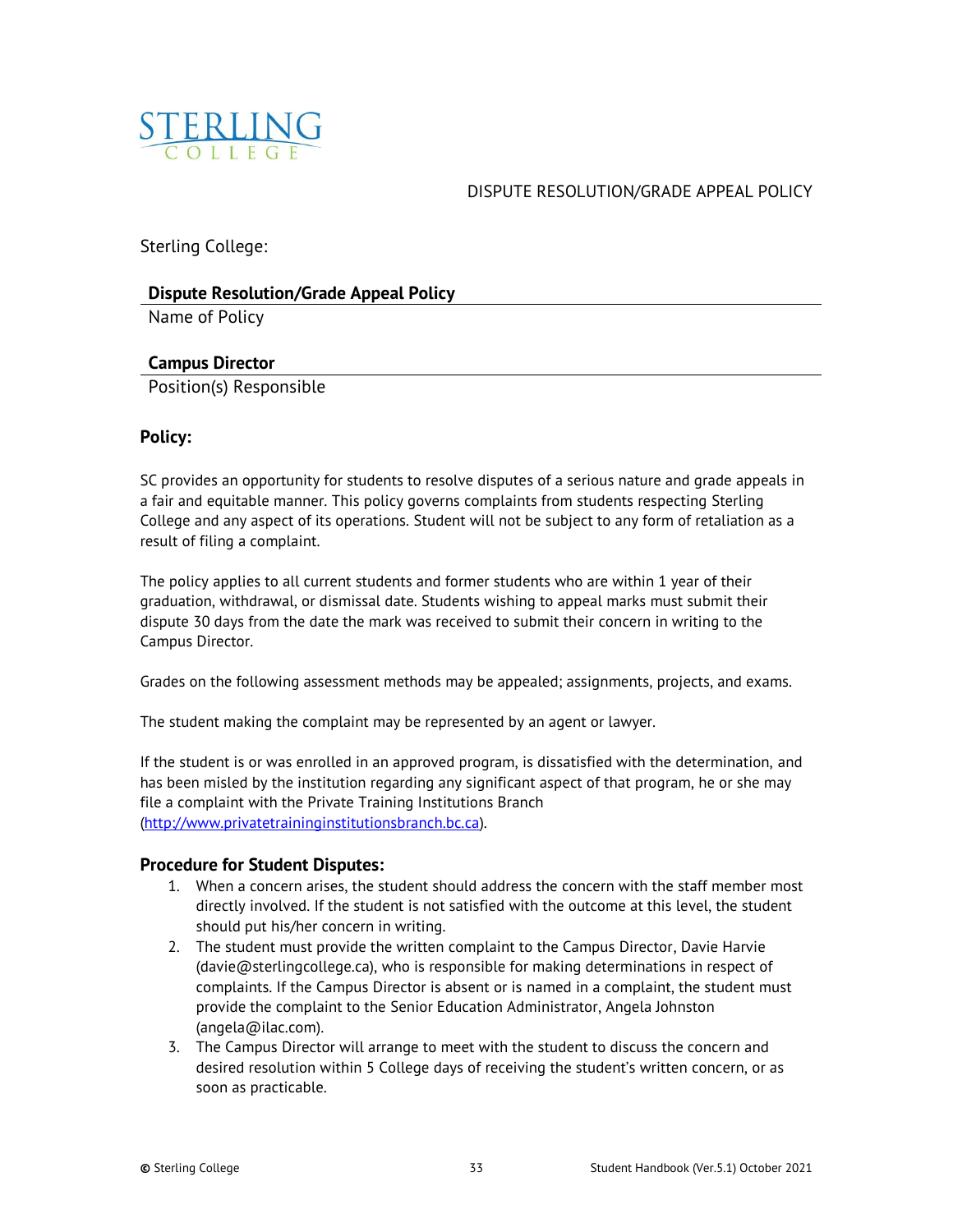<span id="page-32-0"></span>

## DISPUTE RESOLUTION/GRADE APPEAL POLICY

Sterling College:

## **Dispute Resolution/Grade Appeal Policy**

Name of Policy

## **Campus Director**

Position(s) Responsible

## **Policy:**

SC provides an opportunity for students to resolve disputes of a serious nature and grade appeals in a fair and equitable manner. This policy governs complaints from students respecting Sterling College and any aspect of its operations. Student will not be subject to any form of retaliation as a result of filing a complaint.

The policy applies to all current students and former students who are within 1 year of their graduation, withdrawal, or dismissal date. Students wishing to appeal marks must submit their dispute 30 days from the date the mark was received to submit their concern in writing to the Campus Director.

Grades on the following assessment methods may be appealed; assignments, projects, and exams.

The student making the complaint may be represented by an agent or lawyer.

If the student is or was enrolled in an approved program, is dissatisfied with the determination, and has been misled by the institution regarding any significant aspect of that program, he or she may file a complaint with the Private Training Institutions Branch [\(http://www.privatetraininginstitutionsbranch.bc.ca\).](http://www.privatetraininginstitutionsbranch.bc.ca/)

## **Procedure for Student Disputes:**

- 1. When a concern arises, the student should address the concern with the staff member most directly involved. If the student is not satisfied with the outcome at this level, the student should put his/her concern in writing.
- 2. The student must provide the written complaint to the Campus Director, Davie Harvie (davie@sterlingcollege.ca), who is responsible for making determinations in respect of complaints. If the Campus Director is absent or is named in a complaint, the student must provide the complaint to the Senior Education Administrator, Angela Johnston (angela@ilac.com).
- 3. The Campus Director will arrange to meet with the student to discuss the concern and desired resolution within 5 College days of receiving the student's written concern, or as soon as practicable.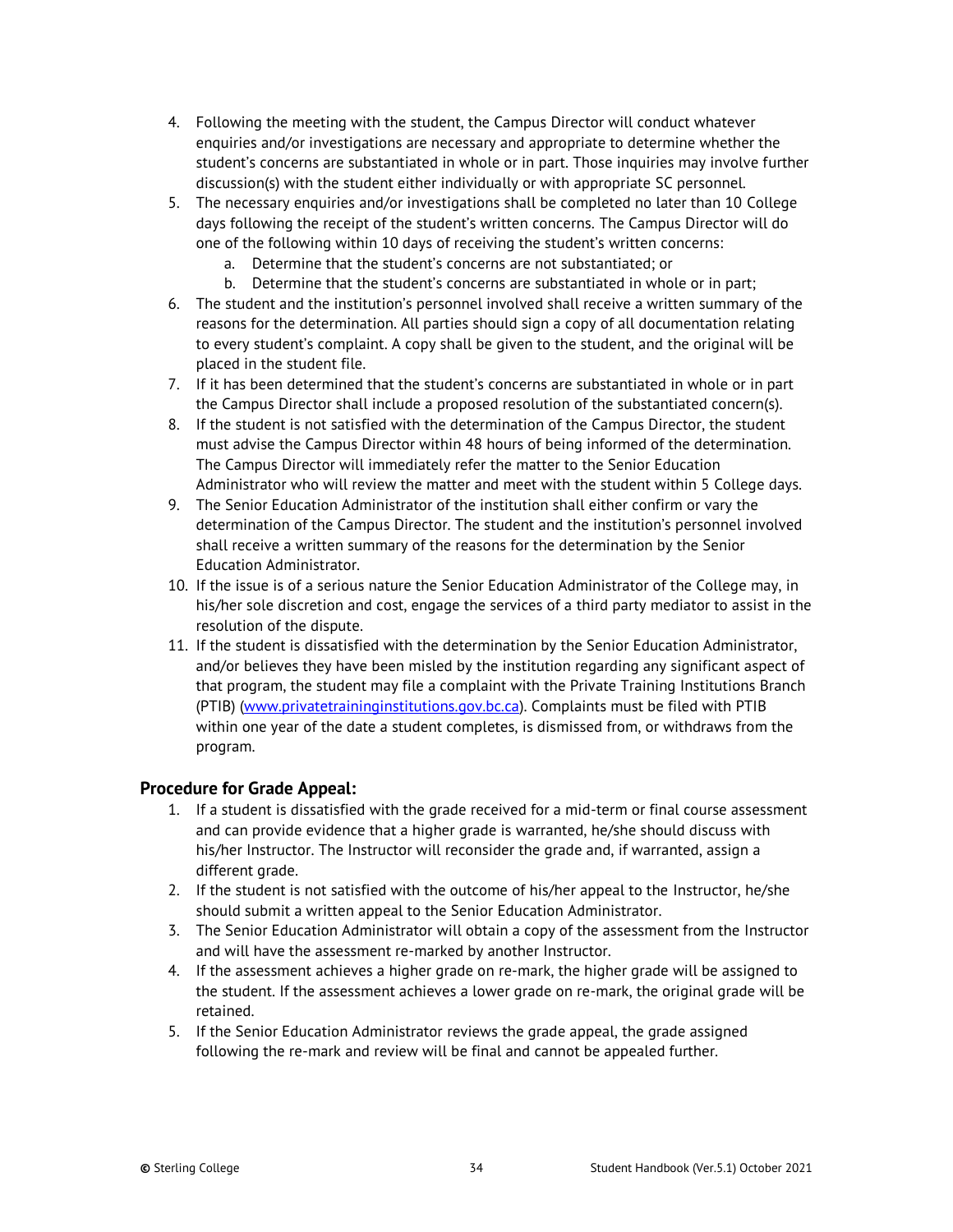- 4. Following the meeting with the student, the Campus Director will conduct whatever enquiries and/or investigations are necessary and appropriate to determine whether the student's concerns are substantiated in whole or in part. Those inquiries may involve further discussion(s) with the student either individually or with appropriate SC personnel.
- 5. The necessary enquiries and/or investigations shall be completed no later than 10 College days following the receipt of the student's written concerns. The Campus Director will do one of the following within 10 days of receiving the student's written concerns:
	- a. Determine that the student's concerns are not substantiated; or
	- b. Determine that the student's concerns are substantiated in whole or in part;
- 6. The student and the institution's personnel involved shall receive a written summary of the reasons for the determination. All parties should sign a copy of all documentation relating to every student's complaint. A copy shall be given to the student, and the original will be placed in the student file.
- 7. If it has been determined that the student's concerns are substantiated in whole or in part the Campus Director shall include a proposed resolution of the substantiated concern(s).
- 8. If the student is not satisfied with the determination of the Campus Director, the student must advise the Campus Director within 48 hours of being informed of the determination. The Campus Director will immediately refer the matter to the Senior Education Administrator who will review the matter and meet with the student within 5 College days.
- 9. The Senior Education Administrator of the institution shall either confirm or vary the determination of the Campus Director. The student and the institution's personnel involved shall receive a written summary of the reasons for the determination by the Senior Education Administrator.
- 10. If the issue is of a serious nature the Senior Education Administrator of the College may, in his/her sole discretion and cost, engage the services of a third party mediator to assist in the resolution of the dispute.
- 11. If the student is dissatisfied with the determination by the Senior Education Administrator, and/or believes they have been misled by the institution regarding any significant aspect of that program, the student may file a complaint with the Private Training Institutions Branch (PTIB) [\(www.privatetraininginstitutions.gov.bc.ca\)](http://www.privatetraininginstitutions.gov.bc.ca/). Complaints must be filed with PTIB within one year of the date a student completes, is dismissed from, or withdraws from the program.

## **Procedure for Grade Appeal:**

- 1. If a student is dissatisfied with the grade received for a mid-term or final course assessment and can provide evidence that a higher grade is warranted, he/she should discuss with his/her Instructor. The Instructor will reconsider the grade and, if warranted, assign a different grade.
- 2. If the student is not satisfied with the outcome of his/her appeal to the Instructor, he/she should submit a written appeal to the Senior Education Administrator.
- 3. The Senior Education Administrator will obtain a copy of the assessment from the Instructor and will have the assessment re-marked by another Instructor.
- 4. If the assessment achieves a higher grade on re-mark, the higher grade will be assigned to the student. If the assessment achieves a lower grade on re-mark, the original grade will be retained.
- 5. If the Senior Education Administrator reviews the grade appeal, the grade assigned following the re-mark and review will be final and cannot be appealed further.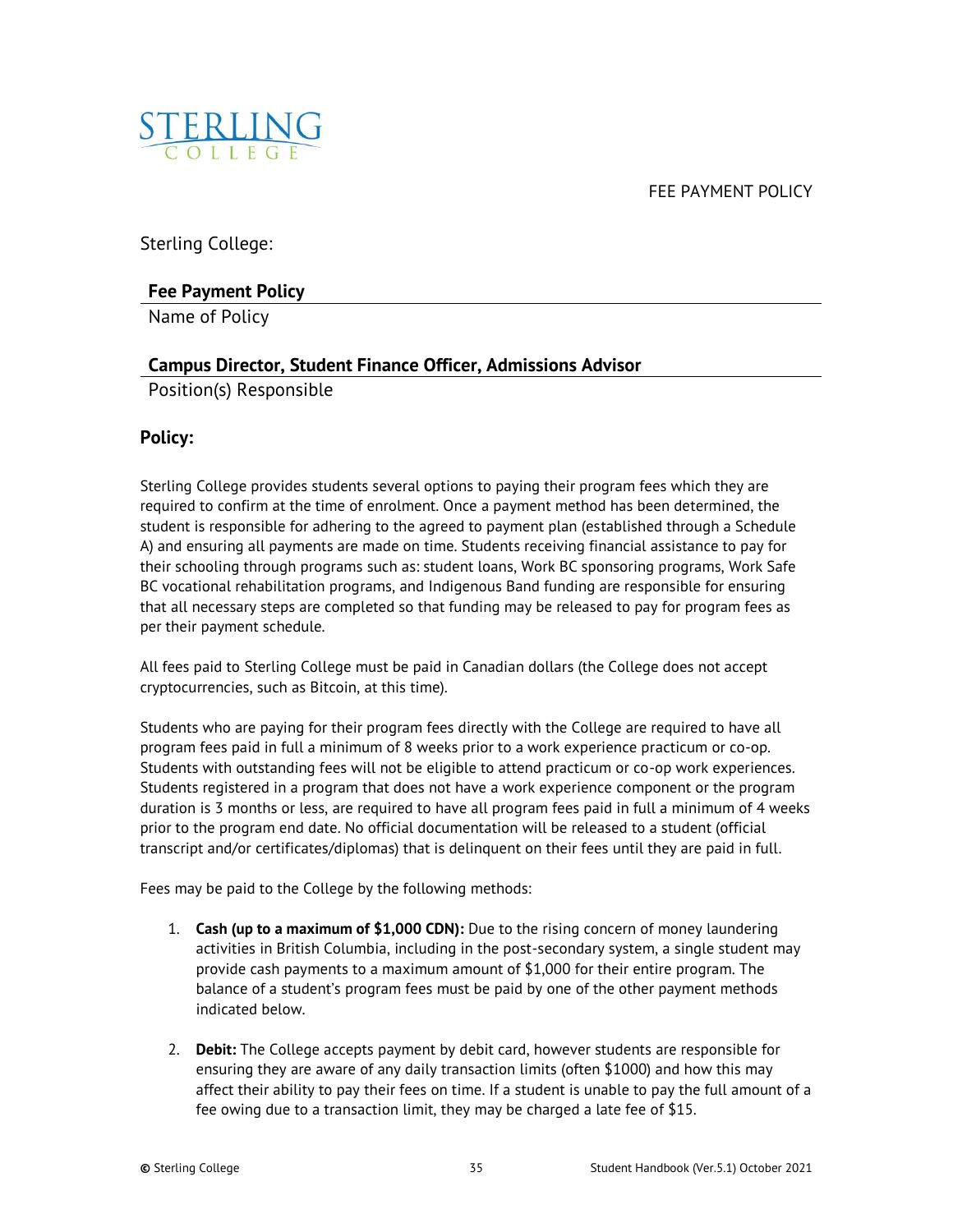FEE PAYMENT POLICY

<span id="page-34-0"></span>

Sterling College:

## **Fee Payment Policy**

Name of Policy

## **Campus Director, Student Finance Officer, Admissions Advisor**

Position(s) Responsible

## **Policy:**

Sterling College provides students several options to paying their program fees which they are required to confirm at the time of enrolment. Once a payment method has been determined, the student is responsible for adhering to the agreed to payment plan (established through a Schedule A) and ensuring all payments are made on time. Students receiving financial assistance to pay for their schooling through programs such as: student loans, Work BC sponsoring programs, Work Safe BC vocational rehabilitation programs, and Indigenous Band funding are responsible for ensuring that all necessary steps are completed so that funding may be released to pay for program fees as per their payment schedule.

All fees paid to Sterling College must be paid in Canadian dollars (the College does not accept cryptocurrencies, such as Bitcoin, at this time).

Students who are paying for their program fees directly with the College are required to have all program fees paid in full a minimum of 8 weeks prior to a work experience practicum or co-op. Students with outstanding fees will not be eligible to attend practicum or co-op work experiences. Students registered in a program that does not have a work experience component or the program duration is 3 months or less, are required to have all program fees paid in full a minimum of 4 weeks prior to the program end date. No official documentation will be released to a student (official transcript and/or certificates/diplomas) that is delinquent on their fees until they are paid in full.

Fees may be paid to the College by the following methods:

- 1. **Cash (up to a maximum of \$1,000 CDN):** Due to the rising concern of money laundering activities in British Columbia, including in the post-secondary system, a single student may provide cash payments to a maximum amount of \$1,000 for their entire program. The balance of a student's program fees must be paid by one of the other payment methods indicated below.
- 2. **Debit:** The College accepts payment by debit card, however students are responsible for ensuring they are aware of any daily transaction limits (often \$1000) and how this may affect their ability to pay their fees on time. If a student is unable to pay the full amount of a fee owing due to a transaction limit, they may be charged a late fee of \$15.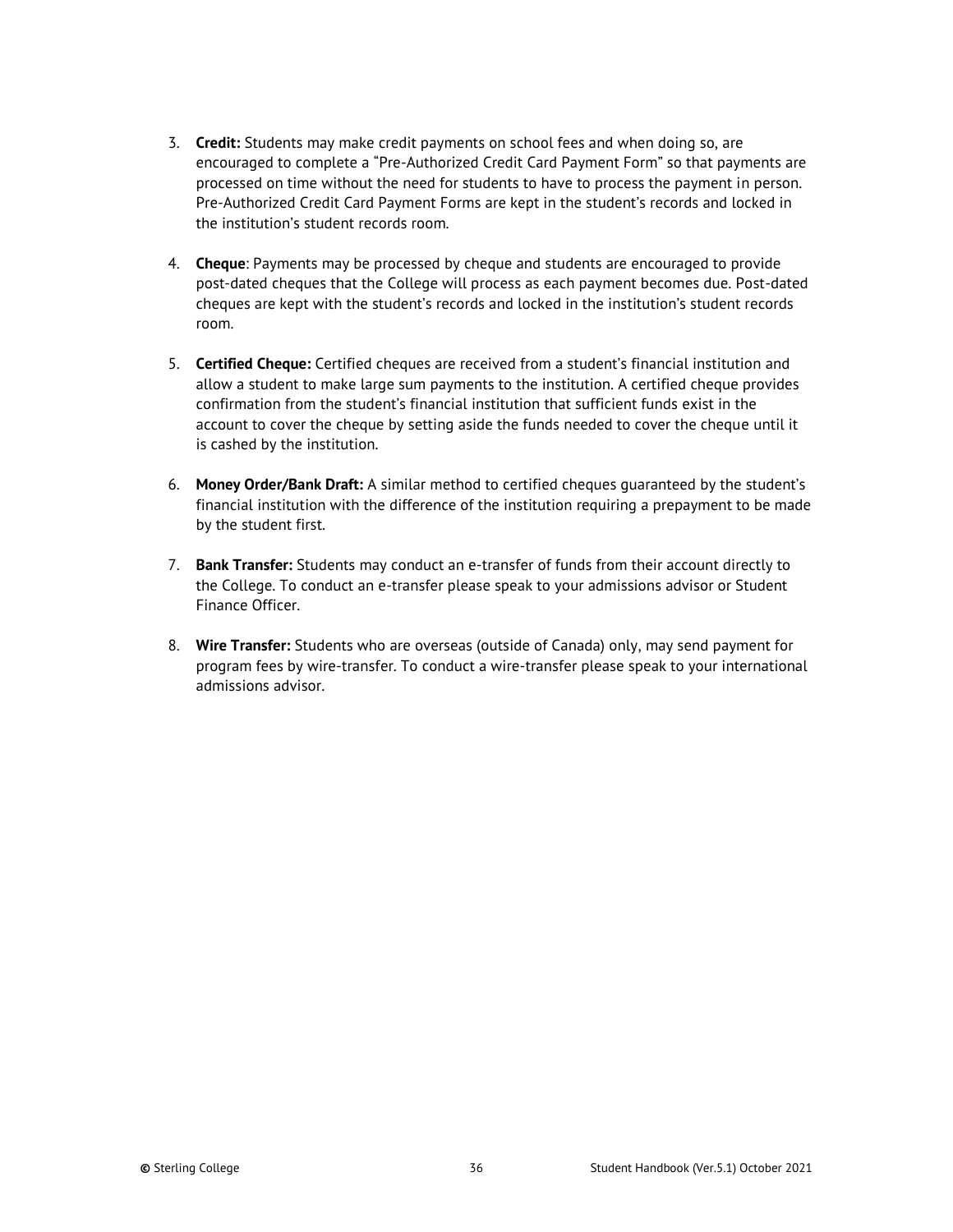- 3. **Credit:** Students may make credit payments on school fees and when doing so, are encouraged to complete a "Pre-Authorized Credit Card Payment Form" so that payments are processed on time without the need for students to have to process the payment in person. Pre-Authorized Credit Card Payment Forms are kept in the student's records and locked in the institution's student records room.
- 4. **Cheque**: Payments may be processed by cheque and students are encouraged to provide post-dated cheques that the College will process as each payment becomes due. Post-dated cheques are kept with the student's records and locked in the institution's student records room.
- 5. **Certified Cheque:** Certified cheques are received from a student's financial institution and allow a student to make large sum payments to the institution. A certified cheque provides confirmation from the student's financial institution that sufficient funds exist in the account to cover the cheque by setting aside the funds needed to cover the cheque until it is cashed by the institution.
- 6. **Money Order/Bank Draft:** A similar method to certified cheques guaranteed by the student's financial institution with the difference of the institution requiring a prepayment to be made by the student first.
- 7. **Bank Transfer:** Students may conduct an e-transfer of funds from their account directly to the College. To conduct an e-transfer please speak to your admissions advisor or Student Finance Officer.
- 8. **Wire Transfer:** Students who are overseas (outside of Canada) only, may send payment for program fees by wire-transfer. To conduct a wire-transfer please speak to your international admissions advisor.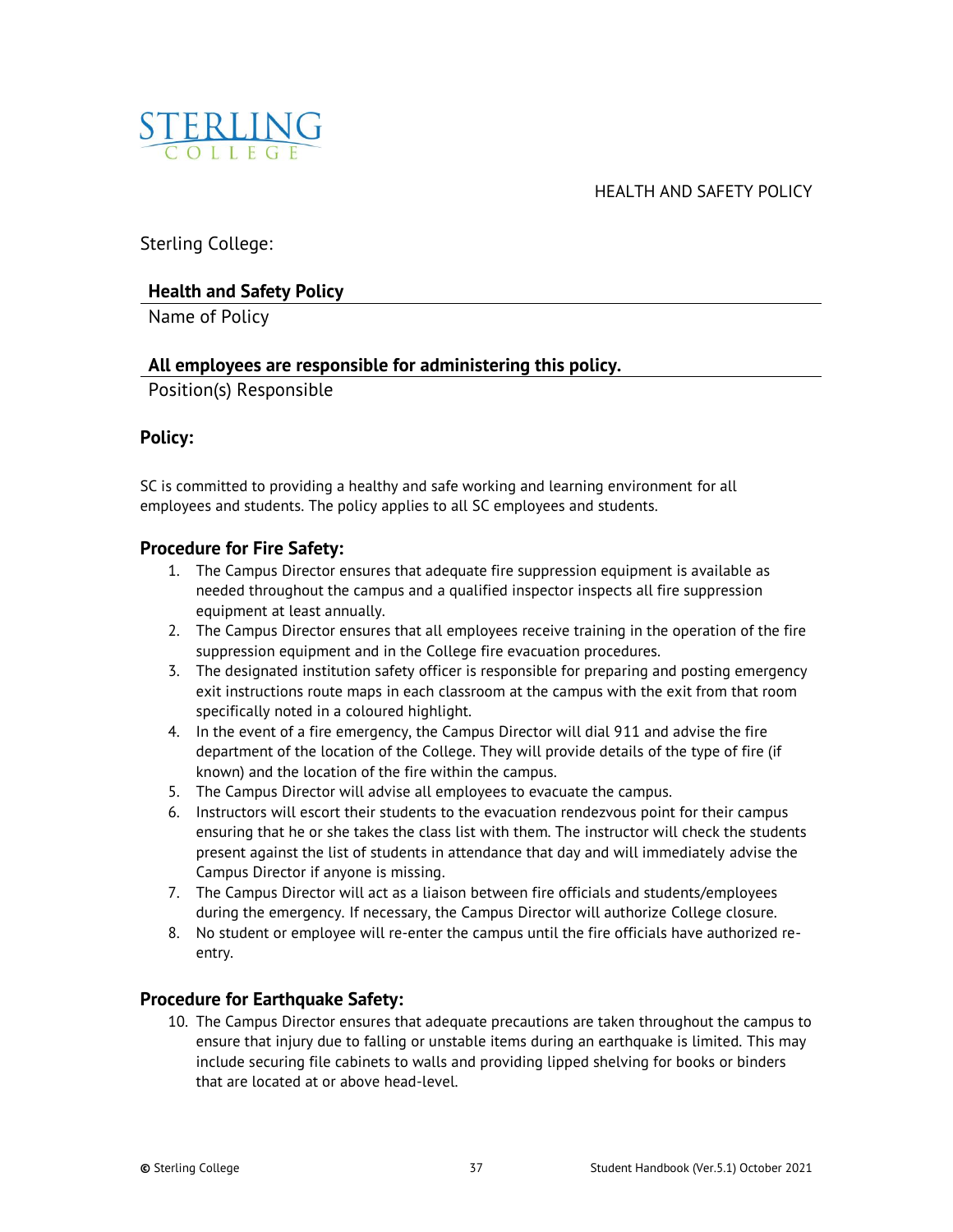<span id="page-36-0"></span>

HEALTH AND SAFETY POLICY

Sterling College:

## **Health and Safety Policy**

Name of Policy

## **All employees are responsible for administering this policy.**

Position(s) Responsible

## **Policy:**

SC is committed to providing a healthy and safe working and learning environment for all employees and students. The policy applies to all SC employees and students.

## **Procedure for Fire Safety:**

- 1. The Campus Director ensures that adequate fire suppression equipment is available as needed throughout the campus and a qualified inspector inspects all fire suppression equipment at least annually.
- 2. The Campus Director ensures that all employees receive training in the operation of the fire suppression equipment and in the College fire evacuation procedures.
- 3. The designated institution safety officer is responsible for preparing and posting emergency exit instructions route maps in each classroom at the campus with the exit from that room specifically noted in a coloured highlight.
- 4. In the event of a fire emergency, the Campus Director will dial 911 and advise the fire department of the location of the College. They will provide details of the type of fire (if known) and the location of the fire within the campus.
- 5. The Campus Director will advise all employees to evacuate the campus.
- 6. Instructors will escort their students to the evacuation rendezvous point for their campus ensuring that he or she takes the class list with them. The instructor will check the students present against the list of students in attendance that day and will immediately advise the Campus Director if anyone is missing.
- 7. The Campus Director will act as a liaison between fire officials and students/employees during the emergency. If necessary, the Campus Director will authorize College closure.
- 8. No student or employee will re-enter the campus until the fire officials have authorized reentry.

## **Procedure for Earthquake Safety:**

10. The Campus Director ensures that adequate precautions are taken throughout the campus to ensure that injury due to falling or unstable items during an earthquake is limited. This may include securing file cabinets to walls and providing lipped shelving for books or binders that are located at or above head-level.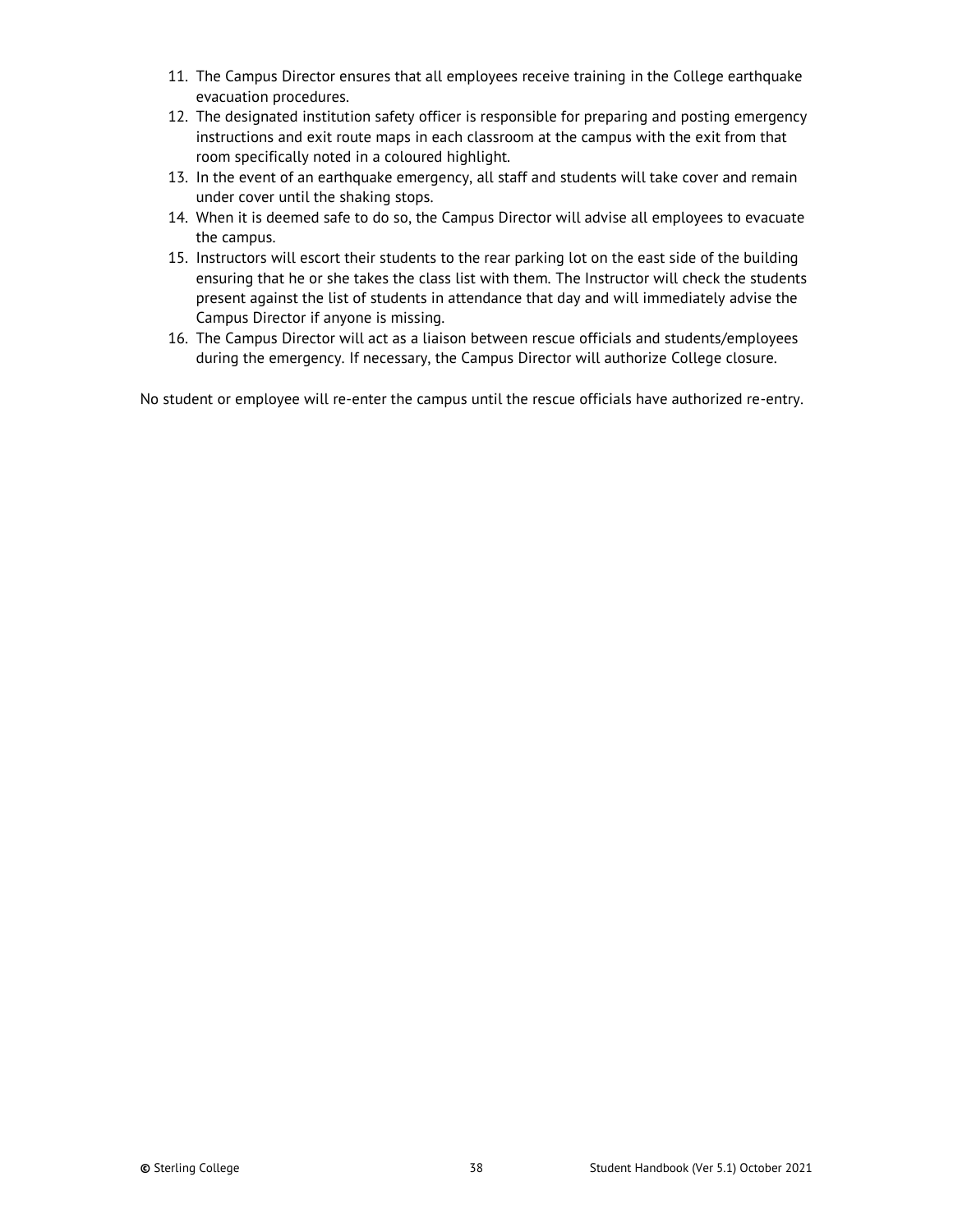- 11. The Campus Director ensures that all employees receive training in the College earthquake evacuation procedures.
- 12. The designated institution safety officer is responsible for preparing and posting emergency instructions and exit route maps in each classroom at the campus with the exit from that room specifically noted in a coloured highlight.
- 13. In the event of an earthquake emergency, all staff and students will take cover and remain under cover until the shaking stops.
- 14. When it is deemed safe to do so, the Campus Director will advise all employees to evacuate the campus.
- 15. Instructors will escort their students to the rear parking lot on the east side of the building ensuring that he or she takes the class list with them. The Instructor will check the students present against the list of students in attendance that day and will immediately advise the Campus Director if anyone is missing.
- 16. The Campus Director will act as a liaison between rescue officials and students/employees during the emergency. If necessary, the Campus Director will authorize College closure.

No student or employee will re-enter the campus until the rescue officials have authorized re-entry.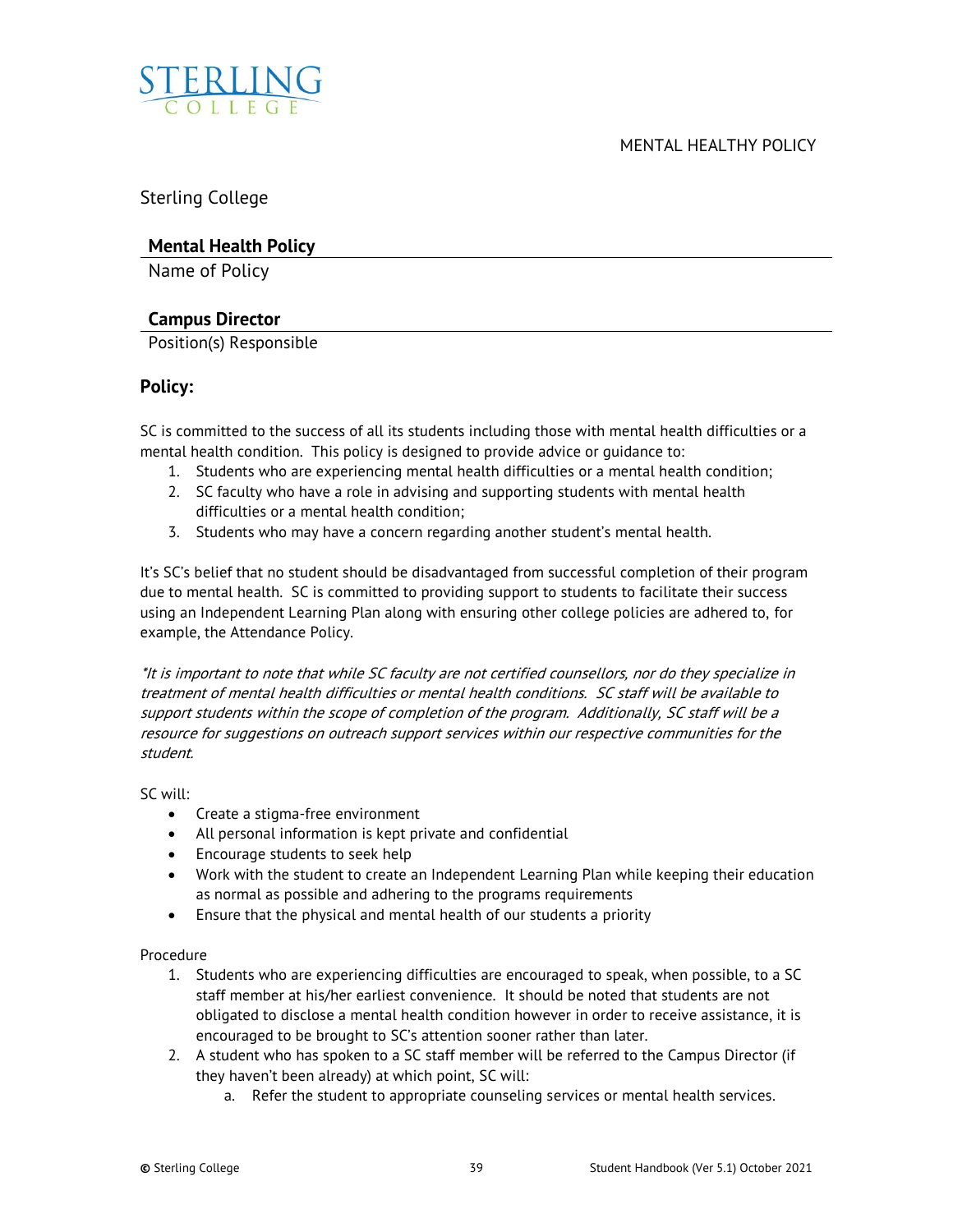

<span id="page-38-0"></span>

Sterling College

## **Mental Health Policy**

Name of Policy

## **Campus Director**

Position(s) Responsible

## **Policy:**

SC is committed to the success of all its students including those with mental health difficulties or a mental health condition. This policy is designed to provide advice or guidance to:

- 1. Students who are experiencing mental health difficulties or a mental health condition;
- 2. SC faculty who have a role in advising and supporting students with mental health difficulties or a mental health condition;
- 3. Students who may have a concern regarding another student's mental health.

It's SC's belief that no student should be disadvantaged from successful completion of their program due to mental health. SC is committed to providing support to students to facilitate their success using an Independent Learning Plan along with ensuring other college policies are adhered to, for example, the Attendance Policy.

\*It is important to note that while SC faculty are not certified counsellors, nor do they specialize in treatment of mental health difficulties or mental health conditions. SC staff will be available to support students within the scope of completion of the program. Additionally, SC staff will be a resource for suggestions on outreach support services within our respective communities for the student.

SC will:

- Create a stigma-free environment
- All personal information is kept private and confidential
- Encourage students to seek help
- Work with the student to create an Independent Learning Plan while keeping their education as normal as possible and adhering to the programs requirements
- Ensure that the physical and mental health of our students a priority

Procedure

- 1. Students who are experiencing difficulties are encouraged to speak, when possible, to a SC staff member at his/her earliest convenience. It should be noted that students are not obligated to disclose a mental health condition however in order to receive assistance, it is encouraged to be brought to SC's attention sooner rather than later.
- 2. A student who has spoken to a SC staff member will be referred to the Campus Director (if they haven't been already) at which point, SC will:
	- a. Refer the student to appropriate counseling services or mental health services.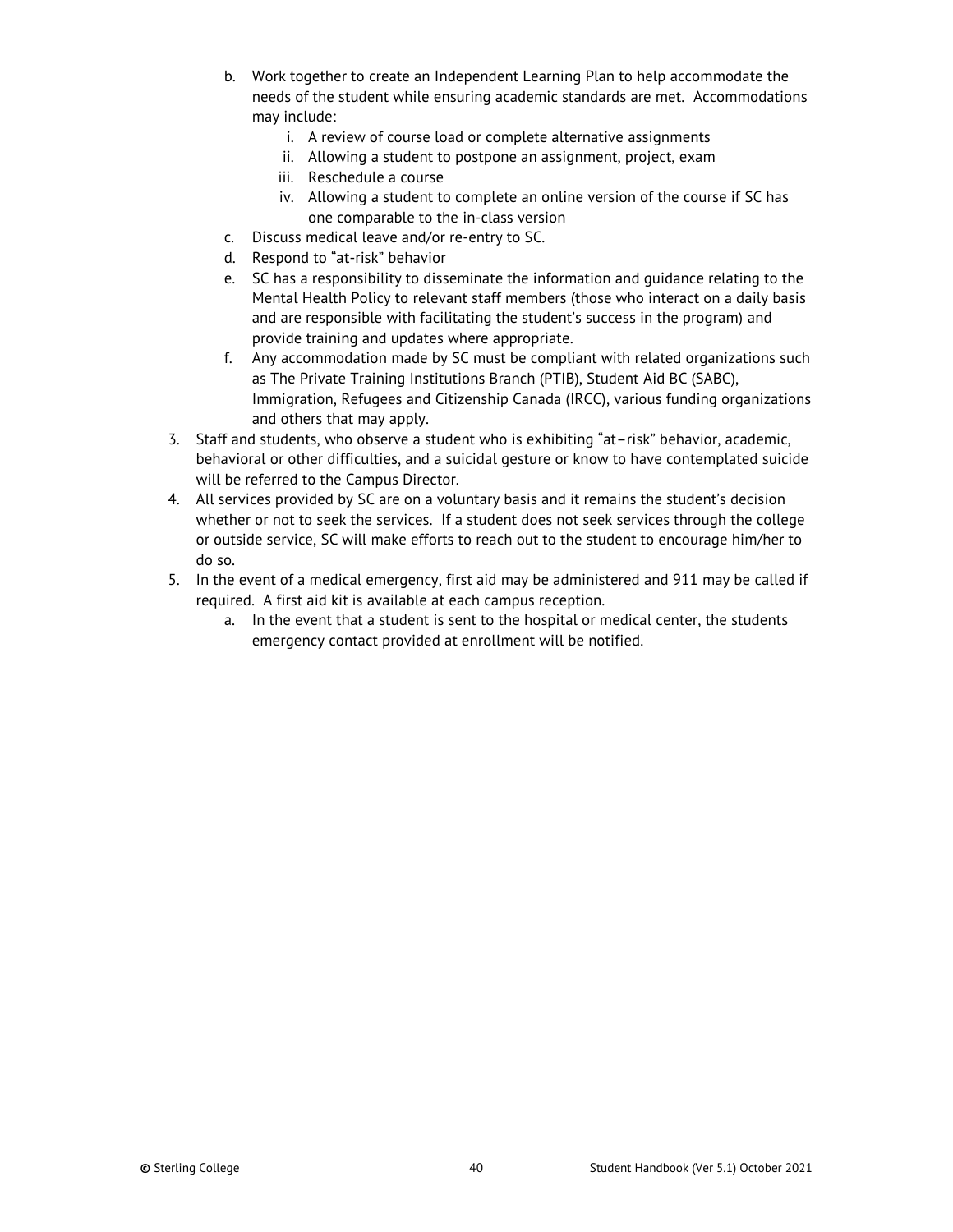- b. Work together to create an Independent Learning Plan to help accommodate the needs of the student while ensuring academic standards are met. Accommodations may include:
	- i. A review of course load or complete alternative assignments
	- ii. Allowing a student to postpone an assignment, project, exam
	- iii. Reschedule a course
	- iv. Allowing a student to complete an online version of the course if SC has one comparable to the in-class version
- c. Discuss medical leave and/or re-entry to SC.
- d. Respond to "at-risk" behavior
- e. SC has a responsibility to disseminate the information and guidance relating to the Mental Health Policy to relevant staff members (those who interact on a daily basis and are responsible with facilitating the student's success in the program) and provide training and updates where appropriate.
- f. Any accommodation made by SC must be compliant with related organizations such as The Private Training Institutions Branch (PTIB), Student Aid BC (SABC), Immigration, Refugees and Citizenship Canada (IRCC), various funding organizations and others that may apply.
- 3. Staff and students, who observe a student who is exhibiting "at–risk" behavior, academic, behavioral or other difficulties, and a suicidal gesture or know to have contemplated suicide will be referred to the Campus Director.
- 4. All services provided by SC are on a voluntary basis and it remains the student's decision whether or not to seek the services. If a student does not seek services through the college or outside service, SC will make efforts to reach out to the student to encourage him/her to do so.
- 5. In the event of a medical emergency, first aid may be administered and 911 may be called if required. A first aid kit is available at each campus reception.
	- a. In the event that a student is sent to the hospital or medical center, the students emergency contact provided at enrollment will be notified.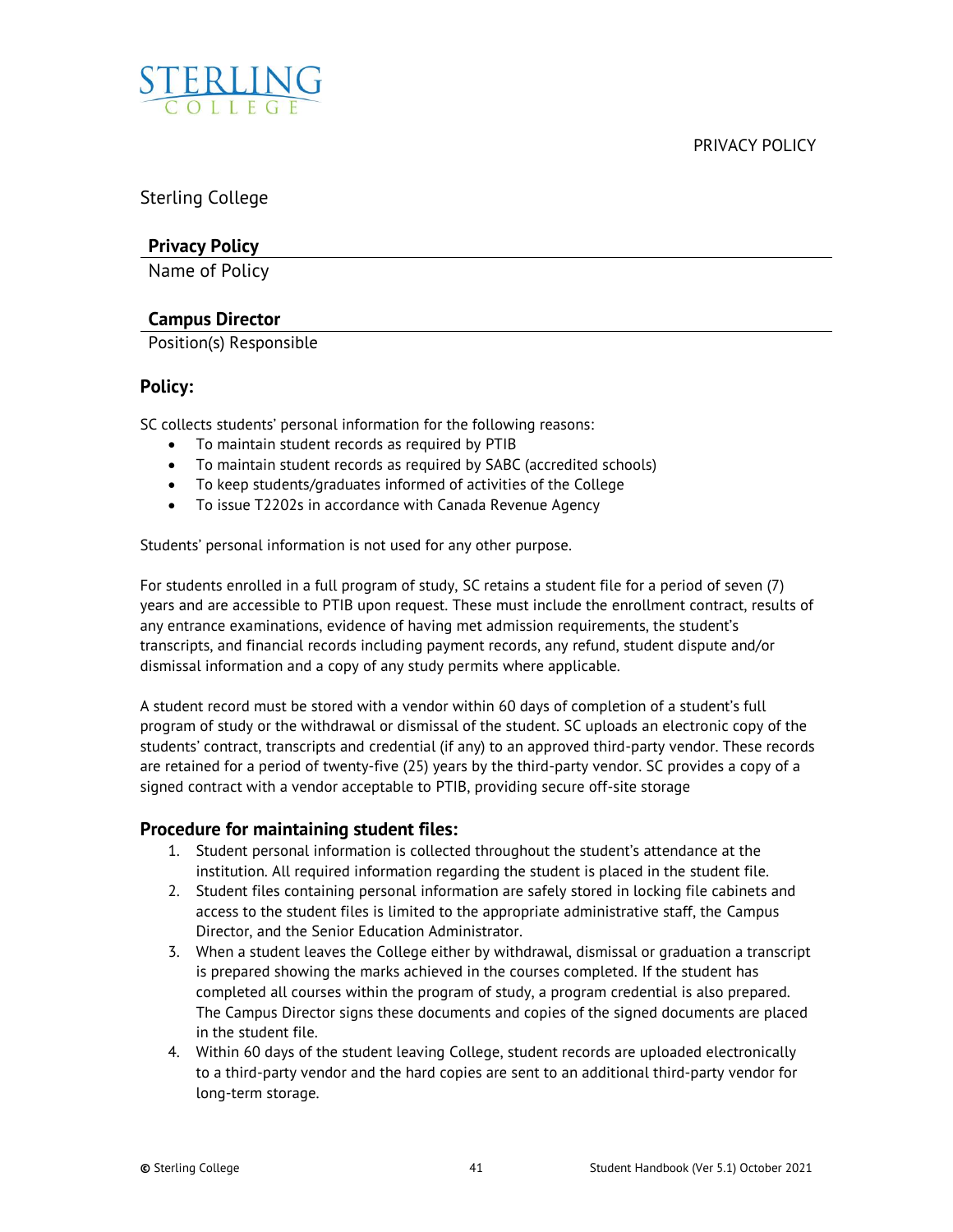<span id="page-40-0"></span>

Sterling College

## **Privacy Policy**

Name of Policy

## **Campus Director**

Position(s) Responsible

## **Policy:**

SC collects students' personal information for the following reasons:

- To maintain student records as required by PTIB
- To maintain student records as required by SABC (accredited schools)
- To keep students/graduates informed of activities of the College
- To issue T2202s in accordance with Canada Revenue Agency

Students' personal information is not used for any other purpose.

For students enrolled in a full program of study, SC retains a student file for a period of seven (7) years and are accessible to PTIB upon request. These must include the enrollment contract, results of any entrance examinations, evidence of having met admission requirements, the student's transcripts, and financial records including payment records, any refund, student dispute and/or dismissal information and a copy of any study permits where applicable.

A student record must be stored with a vendor within 60 days of completion of a student's full program of study or the withdrawal or dismissal of the student. SC uploads an electronic copy of the students' contract, transcripts and credential (if any) to an approved third-party vendor. These records are retained for a period of twenty-five (25) years by the third-party vendor. SC provides a copy of a signed contract with a vendor acceptable to PTIB, providing secure off-site storage

## **Procedure for maintaining student files:**

- 1. Student personal information is collected throughout the student's attendance at the institution. All required information regarding the student is placed in the student file.
- 2. Student files containing personal information are safely stored in locking file cabinets and access to the student files is limited to the appropriate administrative staff, the Campus Director, and the Senior Education Administrator.
- 3. When a student leaves the College either by withdrawal, dismissal or graduation a transcript is prepared showing the marks achieved in the courses completed. If the student has completed all courses within the program of study, a program credential is also prepared. The Campus Director signs these documents and copies of the signed documents are placed in the student file.
- 4. Within 60 days of the student leaving College, student records are uploaded electronically to a third-party vendor and the hard copies are sent to an additional third-party vendor for long-term storage.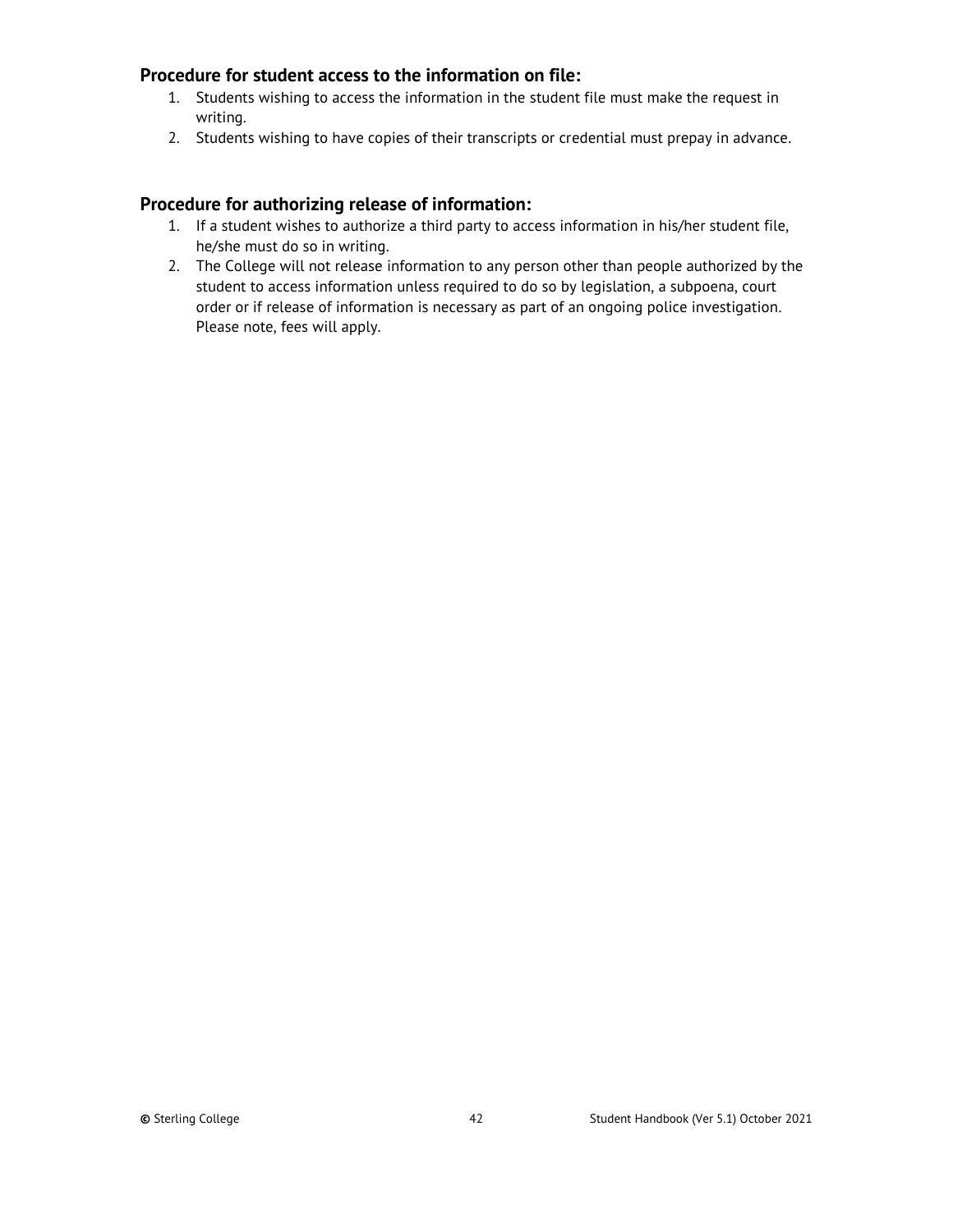## **Procedure for student access to the information on file:**

- 1. Students wishing to access the information in the student file must make the request in writing.
- 2. Students wishing to have copies of their transcripts or credential must prepay in advance.

## **Procedure for authorizing release of information:**

- 1. If a student wishes to authorize a third party to access information in his/her student file, he/she must do so in writing.
- 2. The College will not release information to any person other than people authorized by the student to access information unless required to do so by legislation, a subpoena, court order or if release of information is necessary as part of an ongoing police investigation. Please note, fees will apply.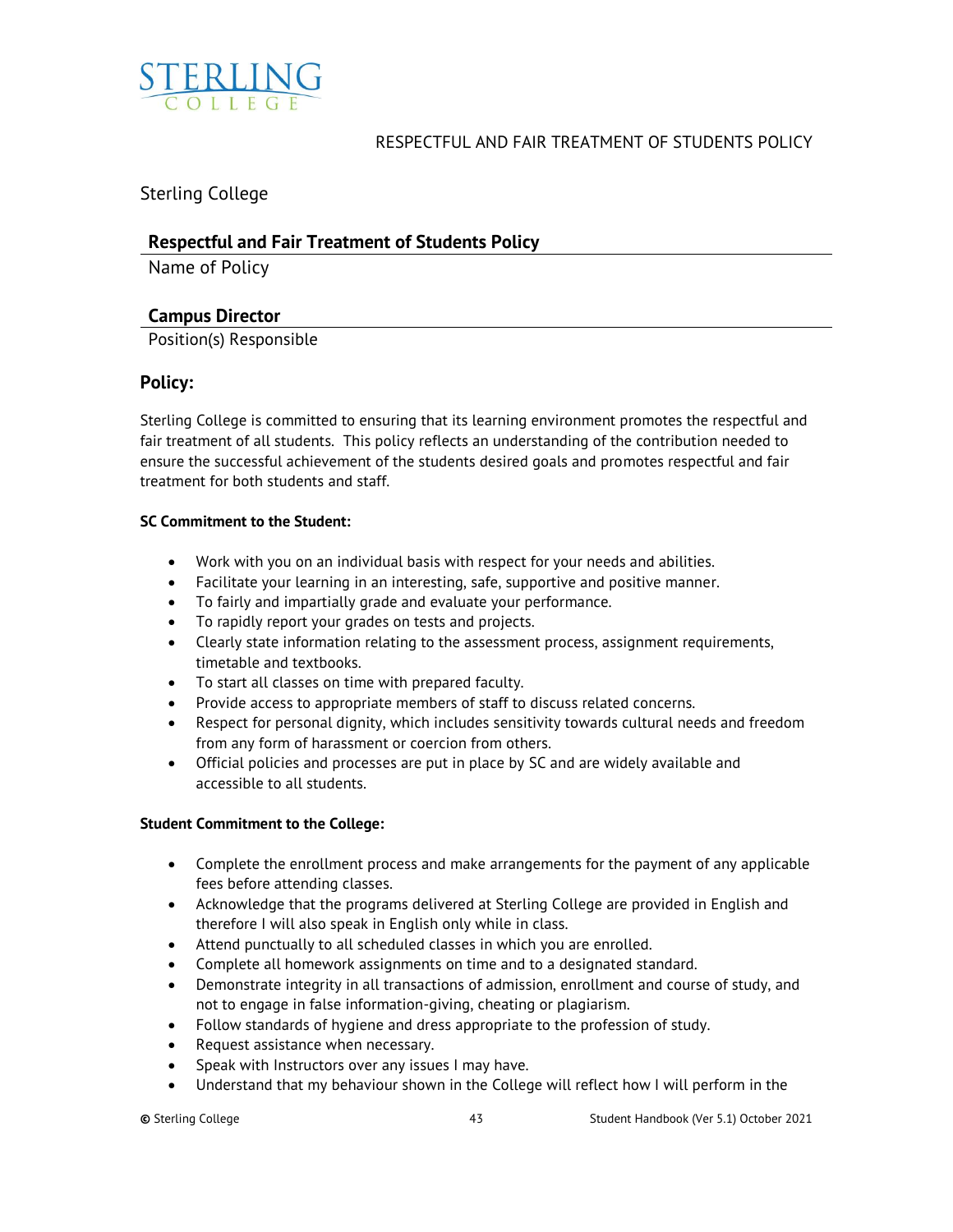<span id="page-42-0"></span>

## RESPECTFUL AND FAIR TREATMENT OF STUDENTS POLICY

Sterling College

## **Respectful and Fair Treatment of Students Policy**

Name of Policy

## **Campus Director**

Position(s) Responsible

## **Policy:**

Sterling College is committed to ensuring that its learning environment promotes the respectful and fair treatment of all students. This policy reflects an understanding of the contribution needed to ensure the successful achievement of the students desired goals and promotes respectful and fair treatment for both students and staff.

## **SC Commitment to the Student:**

- Work with you on an individual basis with respect for your needs and abilities.
- Facilitate your learning in an interesting, safe, supportive and positive manner.
- To fairly and impartially grade and evaluate your performance.
- To rapidly report your grades on tests and projects.
- Clearly state information relating to the assessment process, assignment requirements, timetable and textbooks.
- To start all classes on time with prepared faculty.
- Provide access to appropriate members of staff to discuss related concerns.
- Respect for personal dignity, which includes sensitivity towards cultural needs and freedom from any form of harassment or coercion from others.
- Official policies and processes are put in place by SC and are widely available and accessible to all students.

## **Student Commitment to the College:**

- Complete the enrollment process and make arrangements for the payment of any applicable fees before attending classes.
- Acknowledge that the programs delivered at Sterling College are provided in English and therefore I will also speak in English only while in class.
- Attend punctually to all scheduled classes in which you are enrolled.
- Complete all homework assignments on time and to a designated standard.
- Demonstrate integrity in all transactions of admission, enrollment and course of study, and not to engage in false information-giving, cheating or plagiarism.
- Follow standards of hygiene and dress appropriate to the profession of study.
- Request assistance when necessary.
- Speak with Instructors over any issues I may have.
- Understand that my behaviour shown in the College will reflect how I will perform in the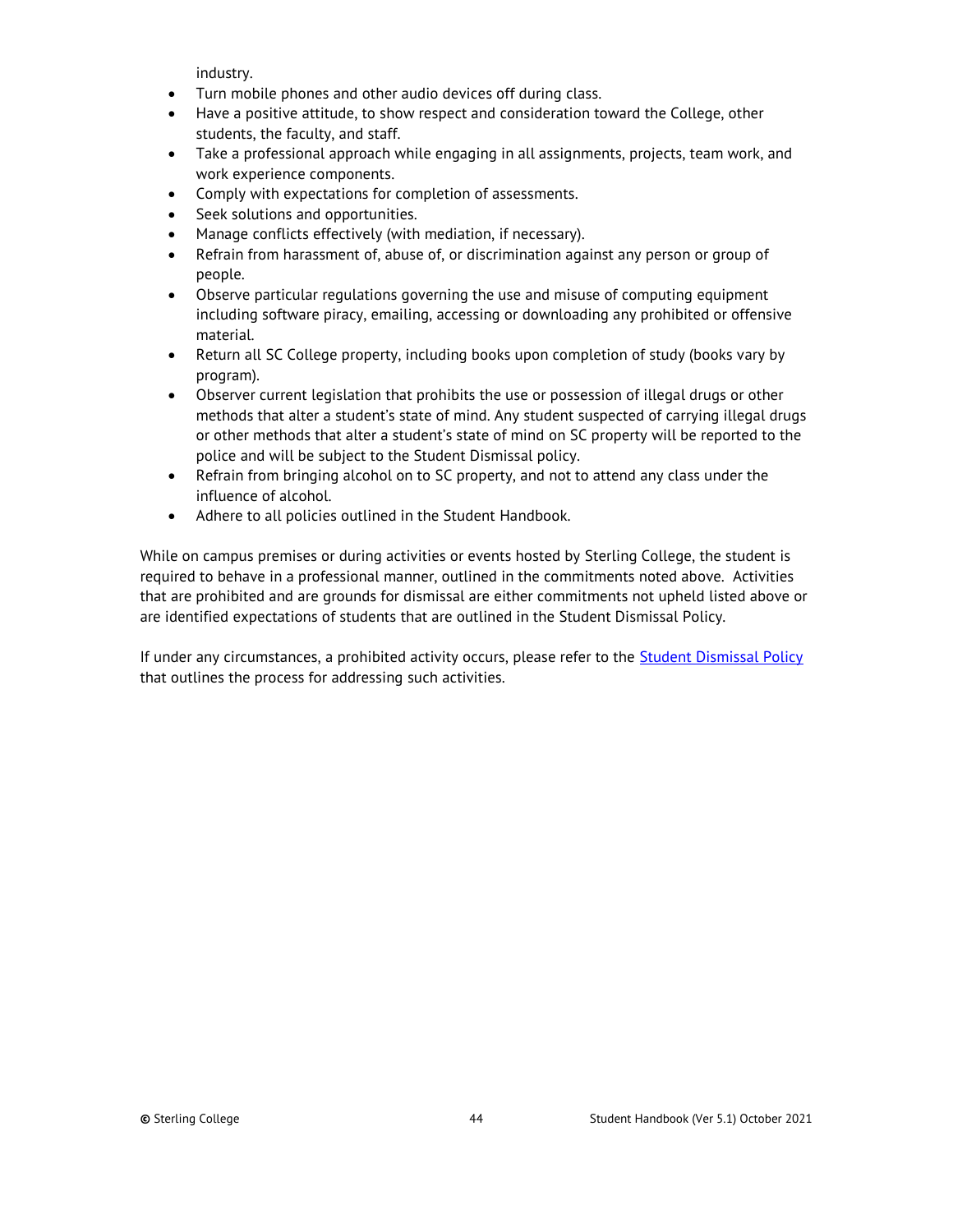industry.

- Turn mobile phones and other audio devices off during class.
- Have a positive attitude, to show respect and consideration toward the College, other students, the faculty, and staff.
- Take a professional approach while engaging in all assignments, projects, team work, and work experience components.
- Comply with expectations for completion of assessments.
- Seek solutions and opportunities.
- Manage conflicts effectively (with mediation, if necessary).
- Refrain from harassment of, abuse of, or discrimination against any person or group of people.
- Observe particular regulations governing the use and misuse of computing equipment including software piracy, emailing, accessing or downloading any prohibited or offensive material.
- Return all SC College property, including books upon completion of study (books vary by program).
- Observer current legislation that prohibits the use or possession of illegal drugs or other methods that alter a student's state of mind. Any student suspected of carrying illegal drugs or other methods that alter a student's state of mind on SC property will be reported to the police and will be subject to the Student Dismissal policy.
- Refrain from bringing alcohol on to SC property, and not to attend any class under the influence of alcohol.
- Adhere to all policies outlined in the Student Handbook.

While on campus premises or during activities or events hosted by Sterling College, the student is required to behave in a professional manner, outlined in the commitments noted above. Activities that are prohibited and are grounds for dismissal are either commitments not upheld listed above or are identified expectations of students that are outlined in the Student Dismissal Policy.

If under any circumstances, a prohibited activity occurs, please refer to the [Student Dismissal Policy](#page-48-0) that outlines the process for addressing such activities.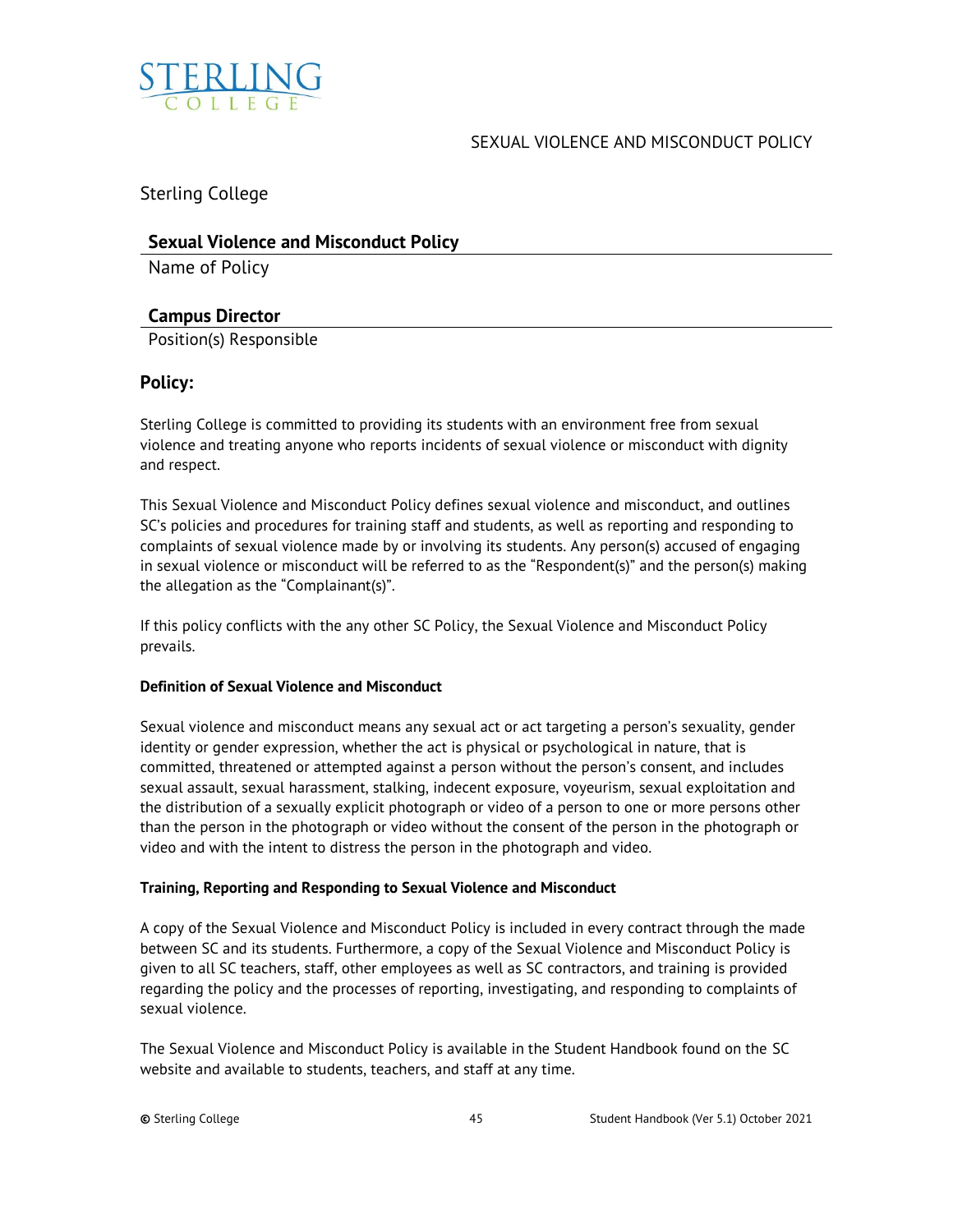<span id="page-44-0"></span>

## SEXUAL VIOLENCE AND MISCONDUCT POLICY

Sterling College

## **Sexual Violence and Misconduct Policy**

Name of Policy

## **Campus Director**

Position(s) Responsible

## **Policy:**

Sterling College is committed to providing its students with an environment free from sexual violence and treating anyone who reports incidents of sexual violence or misconduct with dignity and respect.

This Sexual Violence and Misconduct Policy defines sexual violence and misconduct, and outlines SC's policies and procedures for training staff and students, as well as reporting and responding to complaints of sexual violence made by or involving its students. Any person(s) accused of engaging in sexual violence or misconduct will be referred to as the "Respondent(s)" and the person(s) making the allegation as the "Complainant(s)".

If this policy conflicts with the any other SC Policy, the Sexual Violence and Misconduct Policy prevails.

## **Definition of Sexual Violence and Misconduct**

Sexual violence and misconduct means any sexual act or act targeting a person's sexuality, gender identity or gender expression, whether the act is physical or psychological in nature, that is committed, threatened or attempted against a person without the person's consent, and includes sexual assault, sexual harassment, stalking, indecent exposure, voyeurism, sexual exploitation and the distribution of a sexually explicit photograph or video of a person to one or more persons other than the person in the photograph or video without the consent of the person in the photograph or video and with the intent to distress the person in the photograph and video.

## **Training, Reporting and Responding to Sexual Violence and Misconduct**

A copy of the Sexual Violence and Misconduct Policy is included in every contract through the made between SC and its students. Furthermore, a copy of the Sexual Violence and Misconduct Policy is given to all SC teachers, staff, other employees as well as SC contractors, and training is provided regarding the policy and the processes of reporting, investigating, and responding to complaints of sexual violence.

The Sexual Violence and Misconduct Policy is available in the Student Handbook found on the SC website and available to students, teachers, and staff at any time.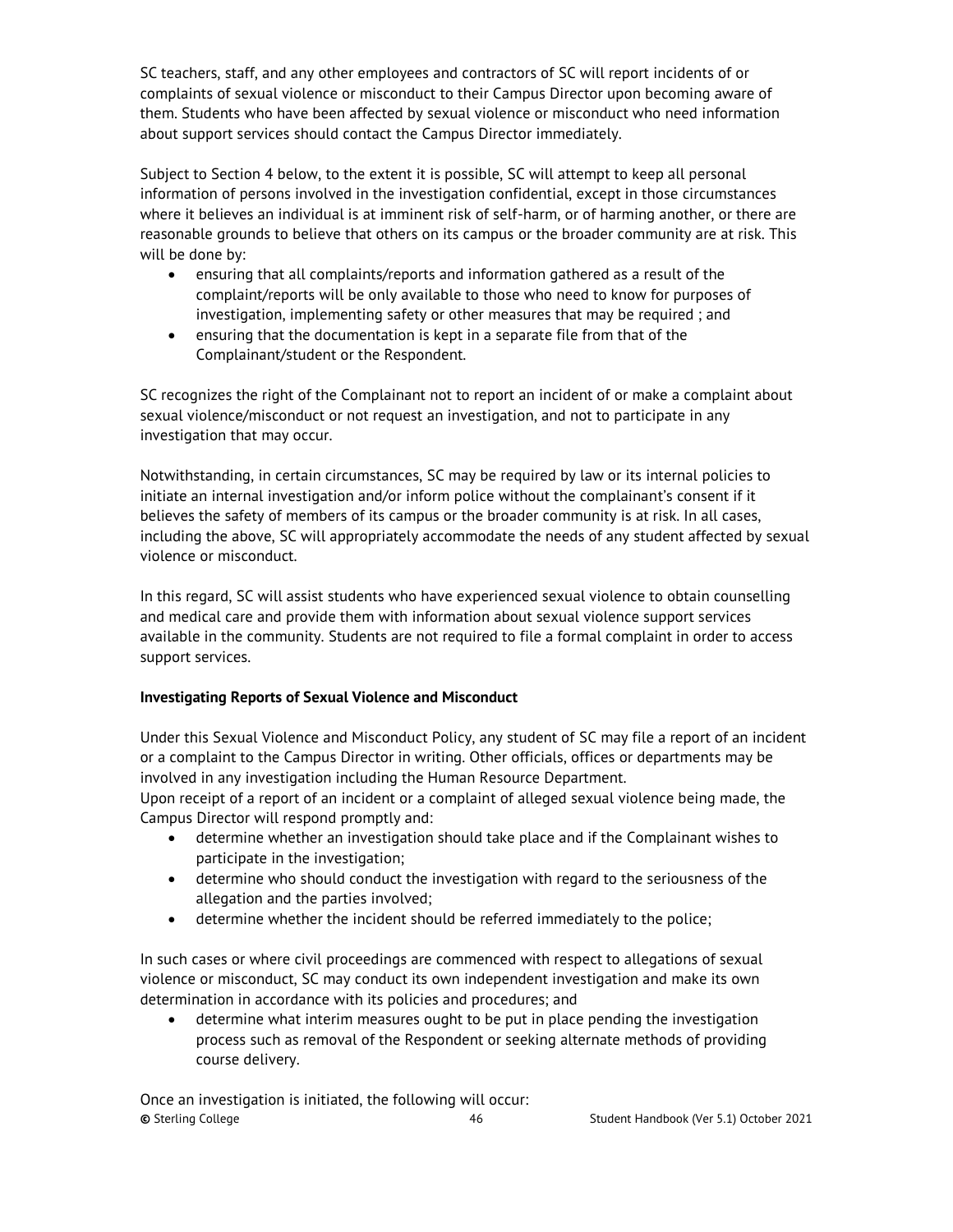SC teachers, staff, and any other employees and contractors of SC will report incidents of or complaints of sexual violence or misconduct to their Campus Director upon becoming aware of them. Students who have been affected by sexual violence or misconduct who need information about support services should contact the Campus Director immediately.

Subject to Section 4 below, to the extent it is possible, SC will attempt to keep all personal information of persons involved in the investigation confidential, except in those circumstances where it believes an individual is at imminent risk of self-harm, or of harming another, or there are reasonable grounds to believe that others on its campus or the broader community are at risk. This will be done by:

- ensuring that all complaints/reports and information gathered as a result of the complaint/reports will be only available to those who need to know for purposes of investigation, implementing safety or other measures that may be required ; and
- ensuring that the documentation is kept in a separate file from that of the Complainant/student or the Respondent.

SC recognizes the right of the Complainant not to report an incident of or make a complaint about sexual violence/misconduct or not request an investigation, and not to participate in any investigation that may occur.

Notwithstanding, in certain circumstances, SC may be required by law or its internal policies to initiate an internal investigation and/or inform police without the complainant's consent if it believes the safety of members of its campus or the broader community is at risk. In all cases, including the above, SC will appropriately accommodate the needs of any student affected by sexual violence or misconduct.

In this regard, SC will assist students who have experienced sexual violence to obtain counselling and medical care and provide them with information about sexual violence support services available in the community. Students are not required to file a formal complaint in order to access support services.

## **Investigating Reports of Sexual Violence and Misconduct**

Under this Sexual Violence and Misconduct Policy, any student of SC may file a report of an incident or a complaint to the Campus Director in writing. Other officials, offices or departments may be involved in any investigation including the Human Resource Department.

Upon receipt of a report of an incident or a complaint of alleged sexual violence being made, the Campus Director will respond promptly and:

- determine whether an investigation should take place and if the Complainant wishes to participate in the investigation;
- determine who should conduct the investigation with regard to the seriousness of the allegation and the parties involved;
- determine whether the incident should be referred immediately to the police;

In such cases or where civil proceedings are commenced with respect to allegations of sexual violence or misconduct, SC may conduct its own independent investigation and make its own determination in accordance with its policies and procedures; and

• determine what interim measures ought to be put in place pending the investigation process such as removal of the Respondent or seeking alternate methods of providing course delivery.

**©** Sterling College 46 Student Handbook (Ver 5.1) October 2021 Once an investigation is initiated, the following will occur: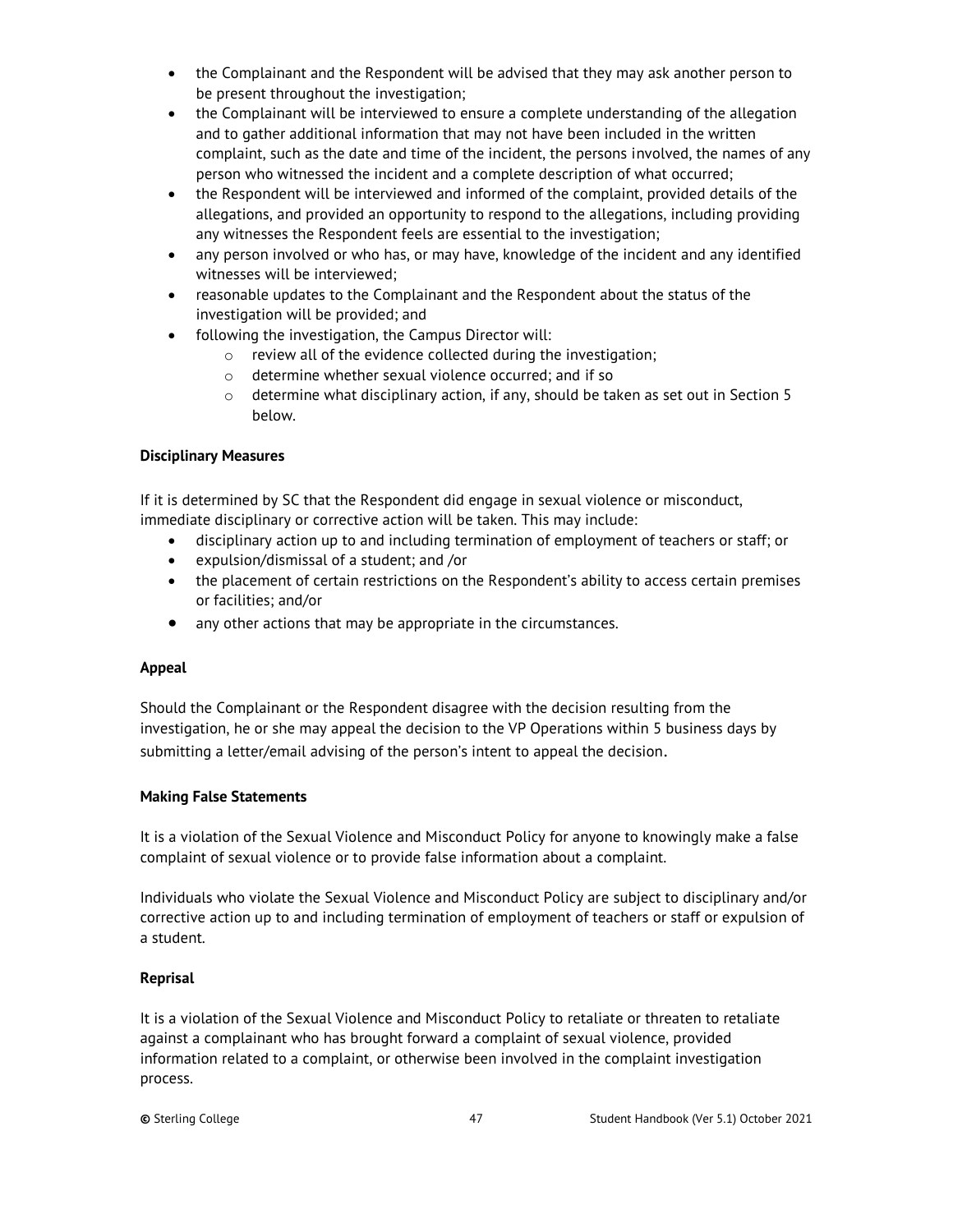- the Complainant and the Respondent will be advised that they may ask another person to be present throughout the investigation;
- the Complainant will be interviewed to ensure a complete understanding of the allegation and to gather additional information that may not have been included in the written complaint, such as the date and time of the incident, the persons involved, the names of any person who witnessed the incident and a complete description of what occurred;
- the Respondent will be interviewed and informed of the complaint, provided details of the allegations, and provided an opportunity to respond to the allegations, including providing any witnesses the Respondent feels are essential to the investigation;
- any person involved or who has, or may have, knowledge of the incident and any identified witnesses will be interviewed;
- reasonable updates to the Complainant and the Respondent about the status of the investigation will be provided; and
- following the investigation, the Campus Director will:
	- o review all of the evidence collected during the investigation;
	- o determine whether sexual violence occurred; and if so
	- $\circ$  determine what disciplinary action, if any, should be taken as set out in Section 5 below.

## **Disciplinary Measures**

If it is determined by SC that the Respondent did engage in sexual violence or misconduct, immediate disciplinary or corrective action will be taken. This may include:

- disciplinary action up to and including termination of employment of teachers or staff; or
- expulsion/dismissal of a student; and /or
- the placement of certain restrictions on the Respondent's ability to access certain premises or facilities; and/or
- any other actions that may be appropriate in the circumstances.

#### **Appeal**

Should the Complainant or the Respondent disagree with the decision resulting from the investigation, he or she may appeal the decision to the VP Operations within 5 business days by submitting a letter/email advising of the person's intent to appeal the decision.

#### **Making False Statements**

It is a violation of the Sexual Violence and Misconduct Policy for anyone to knowingly make a false complaint of sexual violence or to provide false information about a complaint.

Individuals who violate the Sexual Violence and Misconduct Policy are subject to disciplinary and/or corrective action up to and including termination of employment of teachers or staff or expulsion of a student.

## **Reprisal**

It is a violation of the Sexual Violence and Misconduct Policy to retaliate or threaten to retaliate against a complainant who has brought forward a complaint of sexual violence, provided information related to a complaint, or otherwise been involved in the complaint investigation process.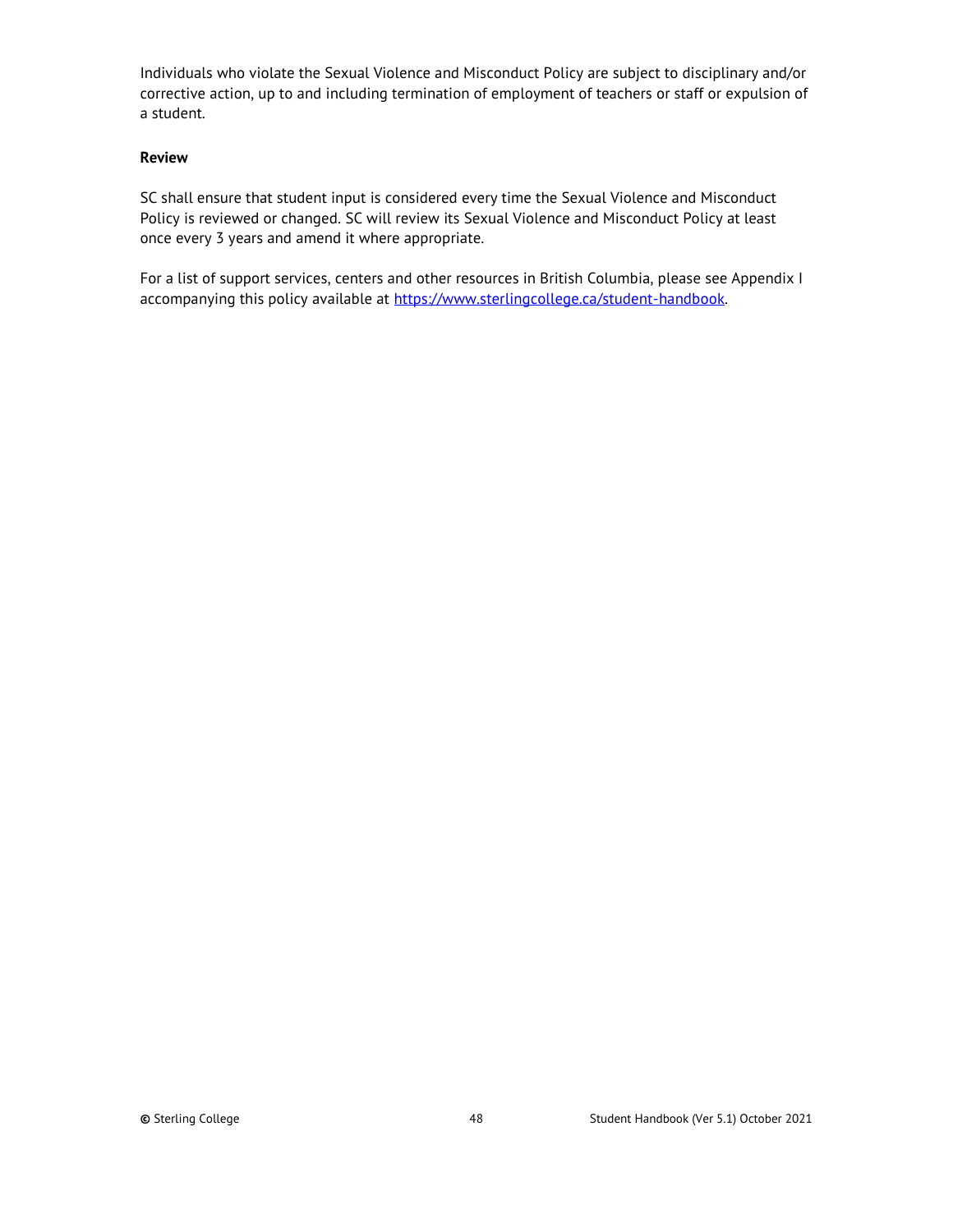Individuals who violate the Sexual Violence and Misconduct Policy are subject to disciplinary and/or corrective action, up to and including termination of employment of teachers or staff or expulsion of a student.

#### **Review**

SC shall ensure that student input is considered every time the Sexual Violence and Misconduct Policy is reviewed or changed. SC will review its Sexual Violence and Misconduct Policy at least once every 3 years and amend it where appropriate.

For a list of support services, centers and other resources in British Columbia, please see Appendix I accompanying this policy available at https://www.sterlingcollege.ca/student-handbook.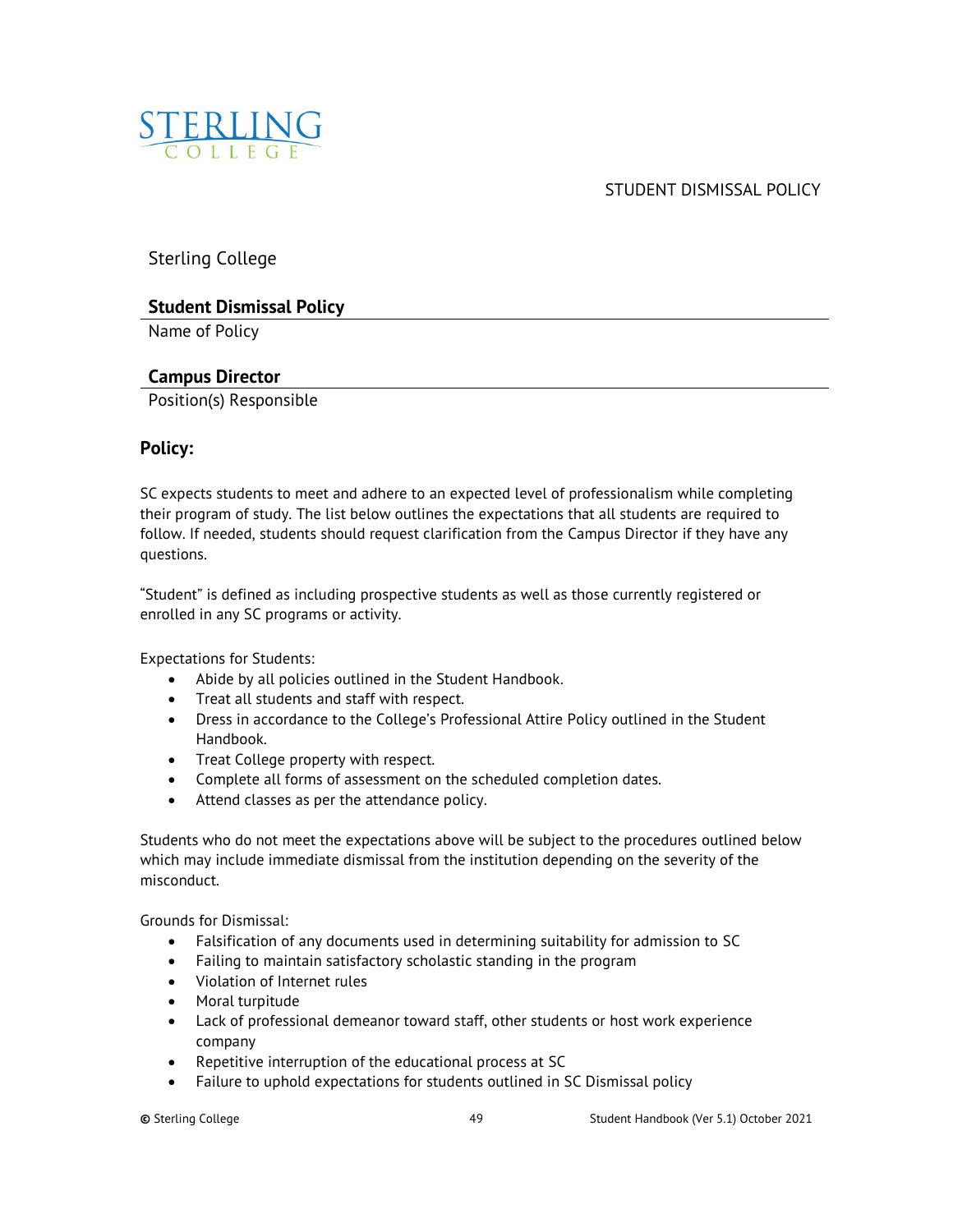<span id="page-48-0"></span>

STUDENT DISMISSAL POLICY

Sterling College

## **Student Dismissal Policy**

Name of Policy

## **Campus Director**

Position(s) Responsible

## **Policy:**

SC expects students to meet and adhere to an expected level of professionalism while completing their program of study. The list below outlines the expectations that all students are required to follow. If needed, students should request clarification from the Campus Director if they have any questions.

"Student" is defined as including prospective students as well as those currently registered or enrolled in any SC programs or activity.

Expectations for Students:

- Abide by all policies outlined in the Student Handbook.
- Treat all students and staff with respect.
- Dress in accordance to the College's Professional Attire Policy outlined in the Student Handbook.
- Treat College property with respect.
- Complete all forms of assessment on the scheduled completion dates.
- Attend classes as per the attendance policy.

Students who do not meet the expectations above will be subject to the procedures outlined below which may include immediate dismissal from the institution depending on the severity of the misconduct.

Grounds for Dismissal:

- Falsification of any documents used in determining suitability for admission to SC
- Failing to maintain satisfactory scholastic standing in the program
- Violation of Internet rules
- Moral turpitude
- Lack of professional demeanor toward staff, other students or host work experience company
- Repetitive interruption of the educational process at SC
- Failure to uphold expectations for students outlined in SC Dismissal policy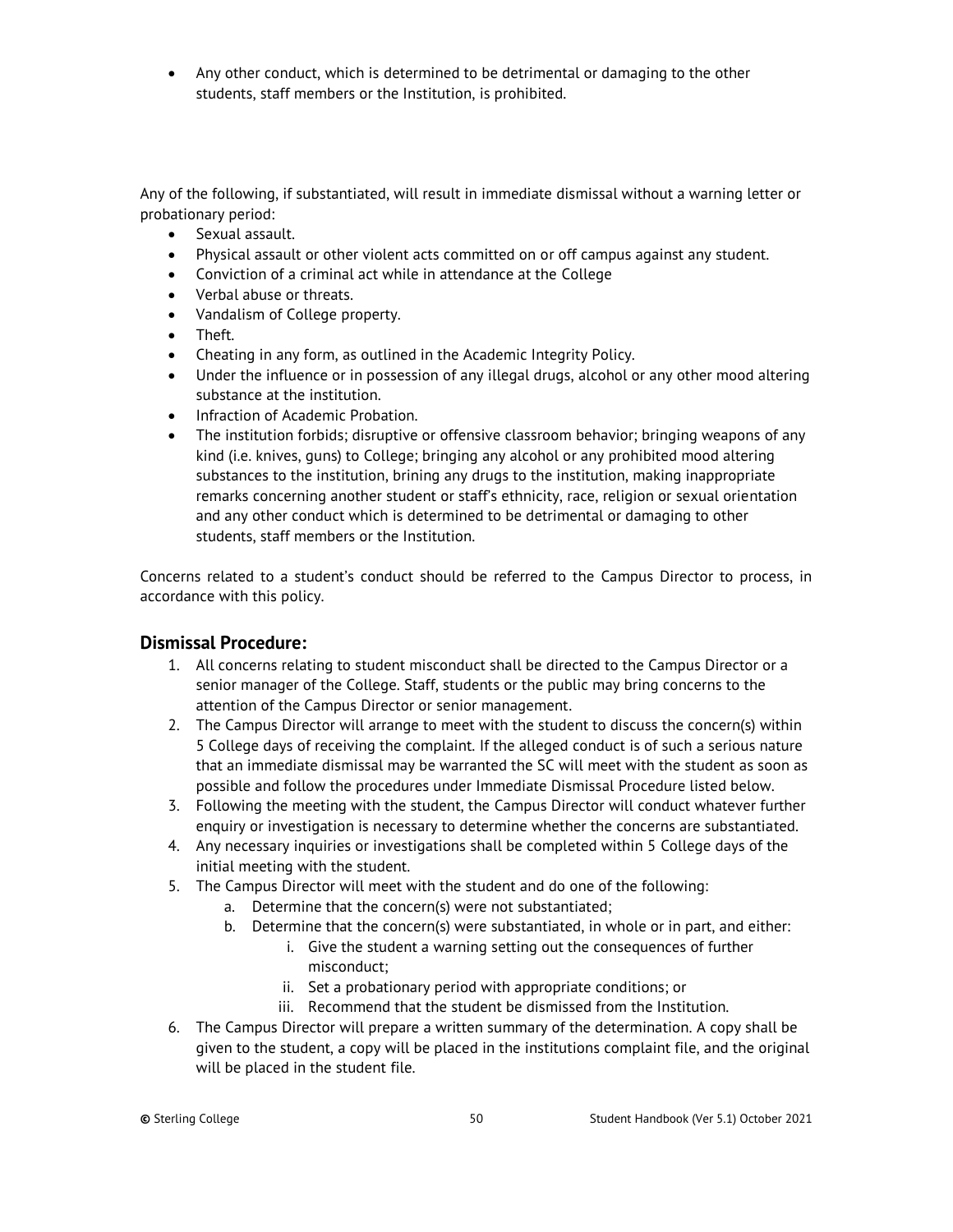• Any other conduct, which is determined to be detrimental or damaging to the other students, staff members or the Institution, is prohibited.

Any of the following, if substantiated, will result in immediate dismissal without a warning letter or probationary period:

- Sexual assault.
- Physical assault or other violent acts committed on or off campus against any student.
- Conviction of a criminal act while in attendance at the College
- Verbal abuse or threats.
- Vandalism of College property.
- Theft.
- Cheating in any form, as outlined in the Academic Integrity Policy.
- Under the influence or in possession of any illegal drugs, alcohol or any other mood altering substance at the institution.
- Infraction of Academic Probation.
- The institution forbids; disruptive or offensive classroom behavior; bringing weapons of any kind (i.e. knives, guns) to College; bringing any alcohol or any prohibited mood altering substances to the institution, brining any drugs to the institution, making inappropriate remarks concerning another student or staff's ethnicity, race, religion or sexual orientation and any other conduct which is determined to be detrimental or damaging to other students, staff members or the Institution.

Concerns related to a student's conduct should be referred to the Campus Director to process, in accordance with this policy.

## **Dismissal Procedure:**

- 1. All concerns relating to student misconduct shall be directed to the Campus Director or a senior manager of the College. Staff, students or the public may bring concerns to the attention of the Campus Director or senior management.
- 2. The Campus Director will arrange to meet with the student to discuss the concern(s) within 5 College days of receiving the complaint. If the alleged conduct is of such a serious nature that an immediate dismissal may be warranted the SC will meet with the student as soon as possible and follow the procedures under Immediate Dismissal Procedure listed below.
- 3. Following the meeting with the student, the Campus Director will conduct whatever further enquiry or investigation is necessary to determine whether the concerns are substantiated.
- 4. Any necessary inquiries or investigations shall be completed within 5 College days of the initial meeting with the student.
- 5. The Campus Director will meet with the student and do one of the following:
	- a. Determine that the concern(s) were not substantiated;
	- b. Determine that the concern(s) were substantiated, in whole or in part, and either:
		- i. Give the student a warning setting out the consequences of further misconduct;
		- ii. Set a probationary period with appropriate conditions; or
		- iii. Recommend that the student be dismissed from the Institution.
- 6. The Campus Director will prepare a written summary of the determination. A copy shall be given to the student, a copy will be placed in the institutions complaint file, and the original will be placed in the student file.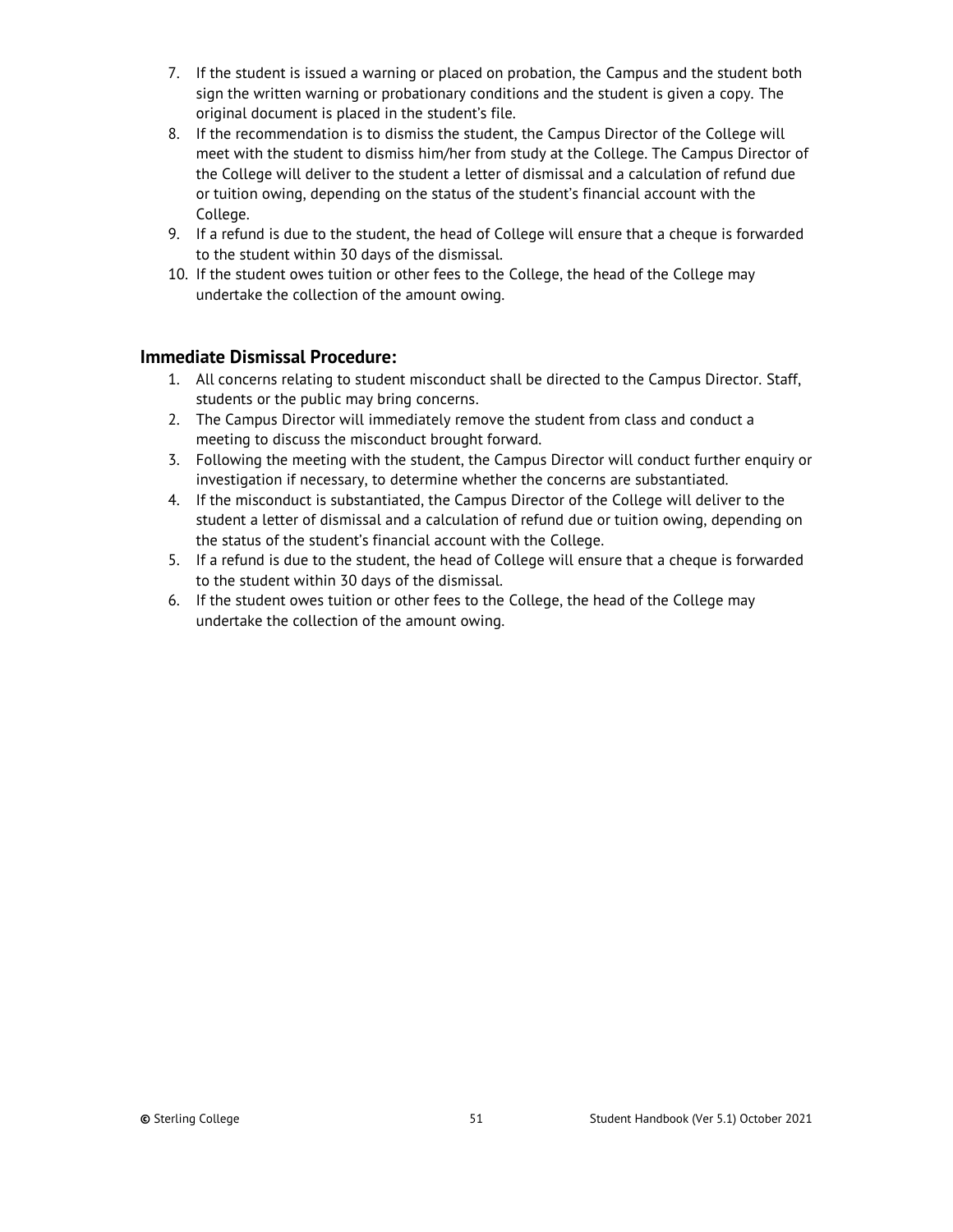- 7. If the student is issued a warning or placed on probation, the Campus and the student both sign the written warning or probationary conditions and the student is given a copy. The original document is placed in the student's file.
- 8. If the recommendation is to dismiss the student, the Campus Director of the College will meet with the student to dismiss him/her from study at the College. The Campus Director of the College will deliver to the student a letter of dismissal and a calculation of refund due or tuition owing, depending on the status of the student's financial account with the College.
- 9. If a refund is due to the student, the head of College will ensure that a cheque is forwarded to the student within 30 days of the dismissal.
- 10. If the student owes tuition or other fees to the College, the head of the College may undertake the collection of the amount owing.

## **Immediate Dismissal Procedure:**

- 1. All concerns relating to student misconduct shall be directed to the Campus Director. Staff, students or the public may bring concerns.
- 2. The Campus Director will immediately remove the student from class and conduct a meeting to discuss the misconduct brought forward.
- 3. Following the meeting with the student, the Campus Director will conduct further enquiry or investigation if necessary, to determine whether the concerns are substantiated.
- 4. If the misconduct is substantiated, the Campus Director of the College will deliver to the student a letter of dismissal and a calculation of refund due or tuition owing, depending on the status of the student's financial account with the College.
- 5. If a refund is due to the student, the head of College will ensure that a cheque is forwarded to the student within 30 days of the dismissal.
- 6. If the student owes tuition or other fees to the College, the head of the College may undertake the collection of the amount owing.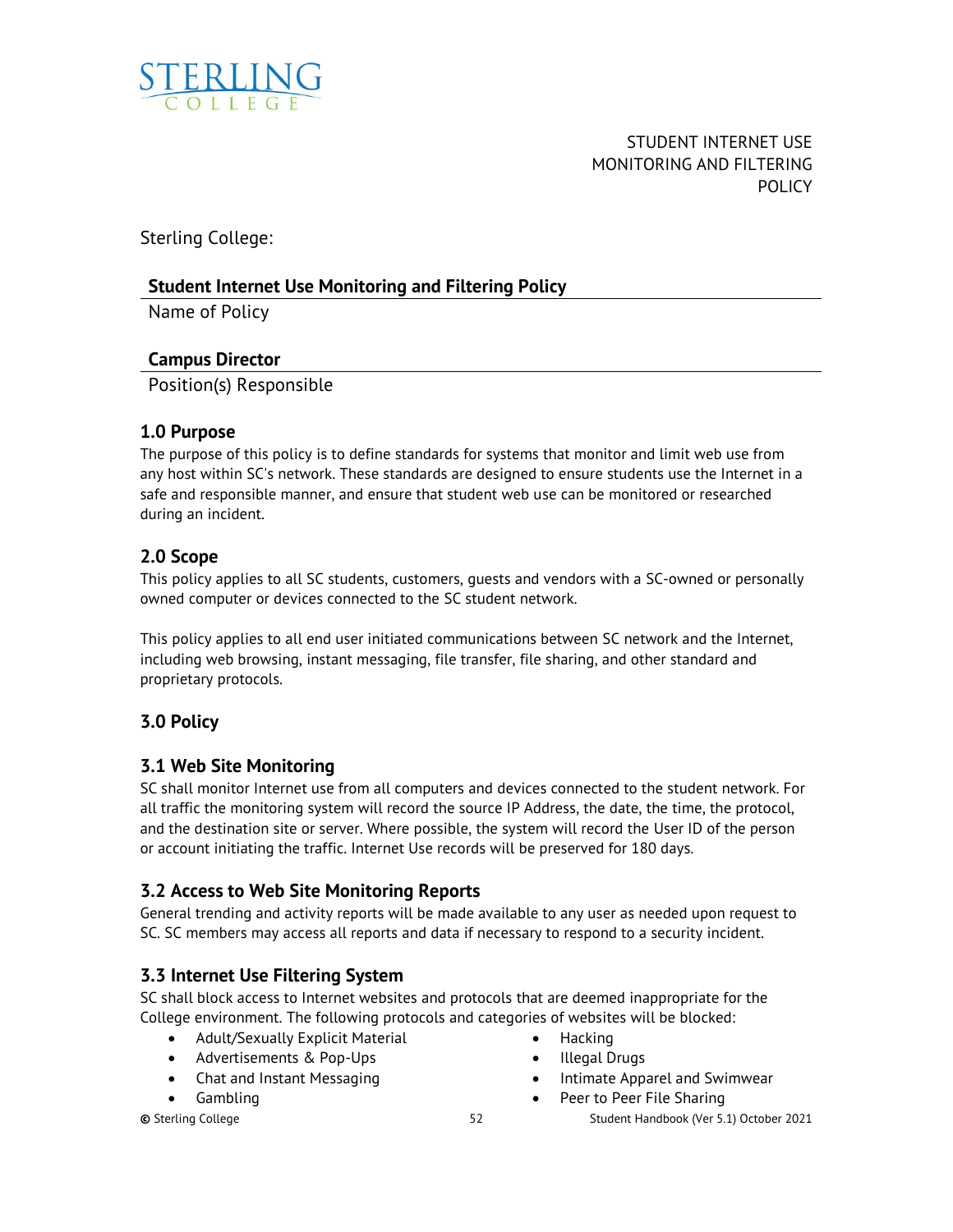<span id="page-51-0"></span>

STUDENT INTERNET USE MONITORING AND FILTERING POLICY

Sterling College:

## **Student Internet Use Monitoring and Filtering Policy**

Name of Policy

## **Campus Director**

Position(s) Responsible

## **1.0 Purpose**

The purpose of this policy is to define standards for systems that monitor and limit web use from any host within SC's network. These standards are designed to ensure students use the Internet in a safe and responsible manner, and ensure that student web use can be monitored or researched during an incident.

## **2.0 Scope**

This policy applies to all SC students, customers, guests and vendors with a SC-owned or personally owned computer or devices connected to the SC student network.

This policy applies to all end user initiated communications between SC network and the Internet, including web browsing, instant messaging, file transfer, file sharing, and other standard and proprietary protocols.

## **3.0 Policy**

## **3.1 Web Site Monitoring**

SC shall monitor Internet use from all computers and devices connected to the student network. For all traffic the monitoring system will record the source IP Address, the date, the time, the protocol, and the destination site or server. Where possible, the system will record the User ID of the person or account initiating the traffic. Internet Use records will be preserved for 180 days.

## **3.2 Access to Web Site Monitoring Reports**

General trending and activity reports will be made available to any user as needed upon request to SC. SC members may access all reports and data if necessary to respond to a security incident.

## **3.3 Internet Use Filtering System**

SC shall block access to Internet websites and protocols that are deemed inappropriate for the College environment. The following protocols and categories of websites will be blocked:

- Adult/Sexually Explicit Material
- Advertisements & Pop-Ups
- Chat and Instant Messaging
- Gambling
- 
- Hacking
- Illegal Drugs
- Intimate Apparel and Swimwear
- Peer to Peer File Sharing

**©** Sterling College 52 Student Handbook (Ver 5.1) October 2021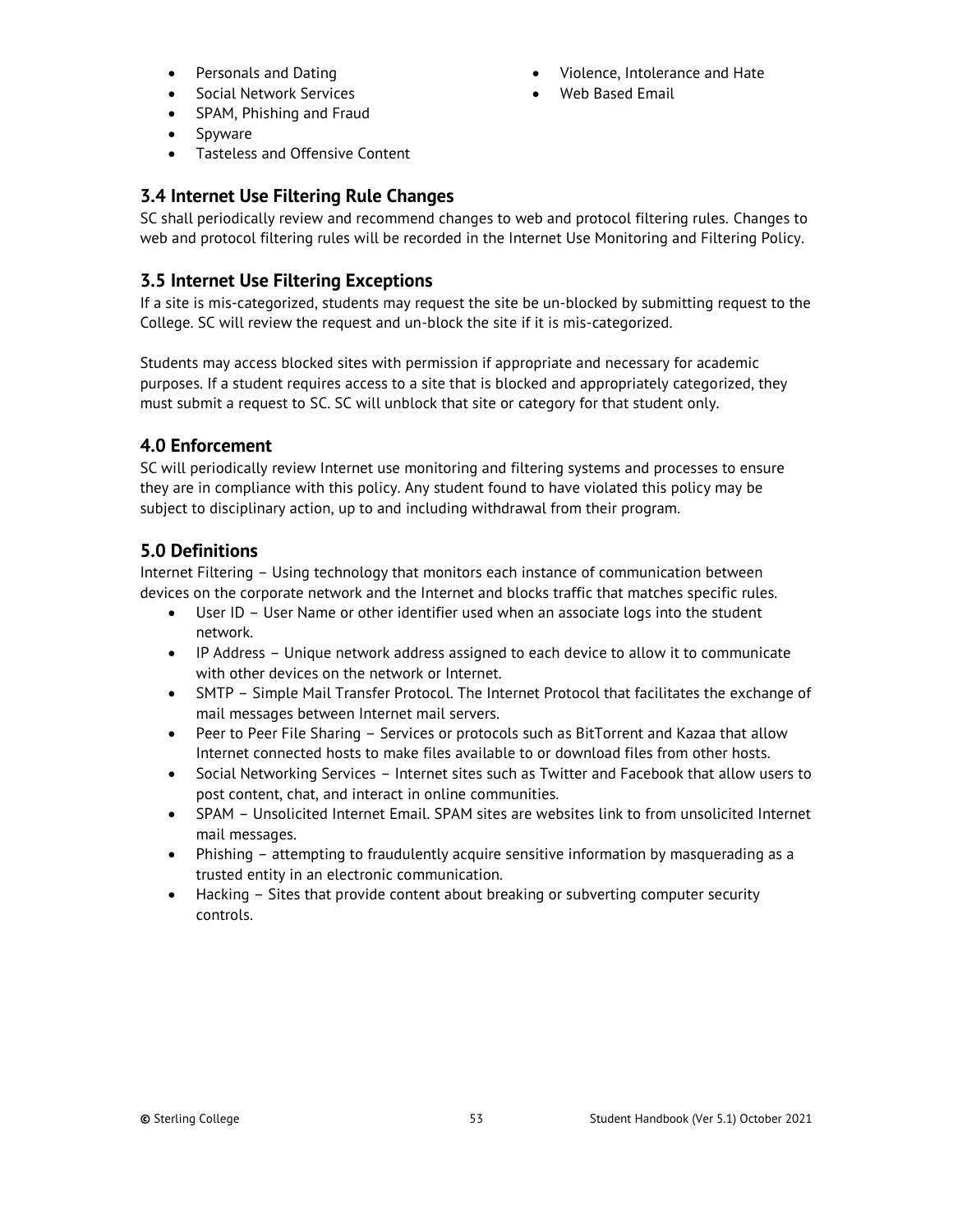- Personals and Dating
- Social Network Services
- SPAM, Phishing and Fraud
- Spyware
- Tasteless and Offensive Content

## **3.4 Internet Use Filtering Rule Changes**

SC shall periodically review and recommend changes to web and protocol filtering rules. Changes to web and protocol filtering rules will be recorded in the Internet Use Monitoring and Filtering Policy.

## **3.5 Internet Use Filtering Exceptions**

If a site is mis-categorized, students may request the site be un-blocked by submitting request to the College. SC will review the request and un-block the site if it is mis-categorized.

Students may access blocked sites with permission if appropriate and necessary for academic purposes. If a student requires access to a site that is blocked and appropriately categorized, they must submit a request to SC. SC will unblock that site or category for that student only.

## **4.0 Enforcement**

SC will periodically review Internet use monitoring and filtering systems and processes to ensure they are in compliance with this policy. Any student found to have violated this policy may be subject to disciplinary action, up to and including withdrawal from their program.

## **5.0 Definitions**

Internet Filtering – Using technology that monitors each instance of communication between devices on the corporate network and the Internet and blocks traffic that matches specific rules.

- User ID User Name or other identifier used when an associate logs into the student network.
- IP Address Unique network address assigned to each device to allow it to communicate with other devices on the network or Internet.
- SMTP Simple Mail Transfer Protocol. The Internet Protocol that facilitates the exchange of mail messages between Internet mail servers.
- Peer to Peer File Sharing Services or protocols such as BitTorrent and Kazaa that allow Internet connected hosts to make files available to or download files from other hosts.
- Social Networking Services Internet sites such as Twitter and Facebook that allow users to post content, chat, and interact in online communities.
- SPAM Unsolicited Internet Email. SPAM sites are websites link to from unsolicited Internet mail messages.
- Phishing attempting to fraudulently acquire sensitive information by masquerading as a trusted entity in an electronic communication.
- Hacking Sites that provide content about breaking or subverting computer security controls.

- Violence, Intolerance and Hate
- Web Based Email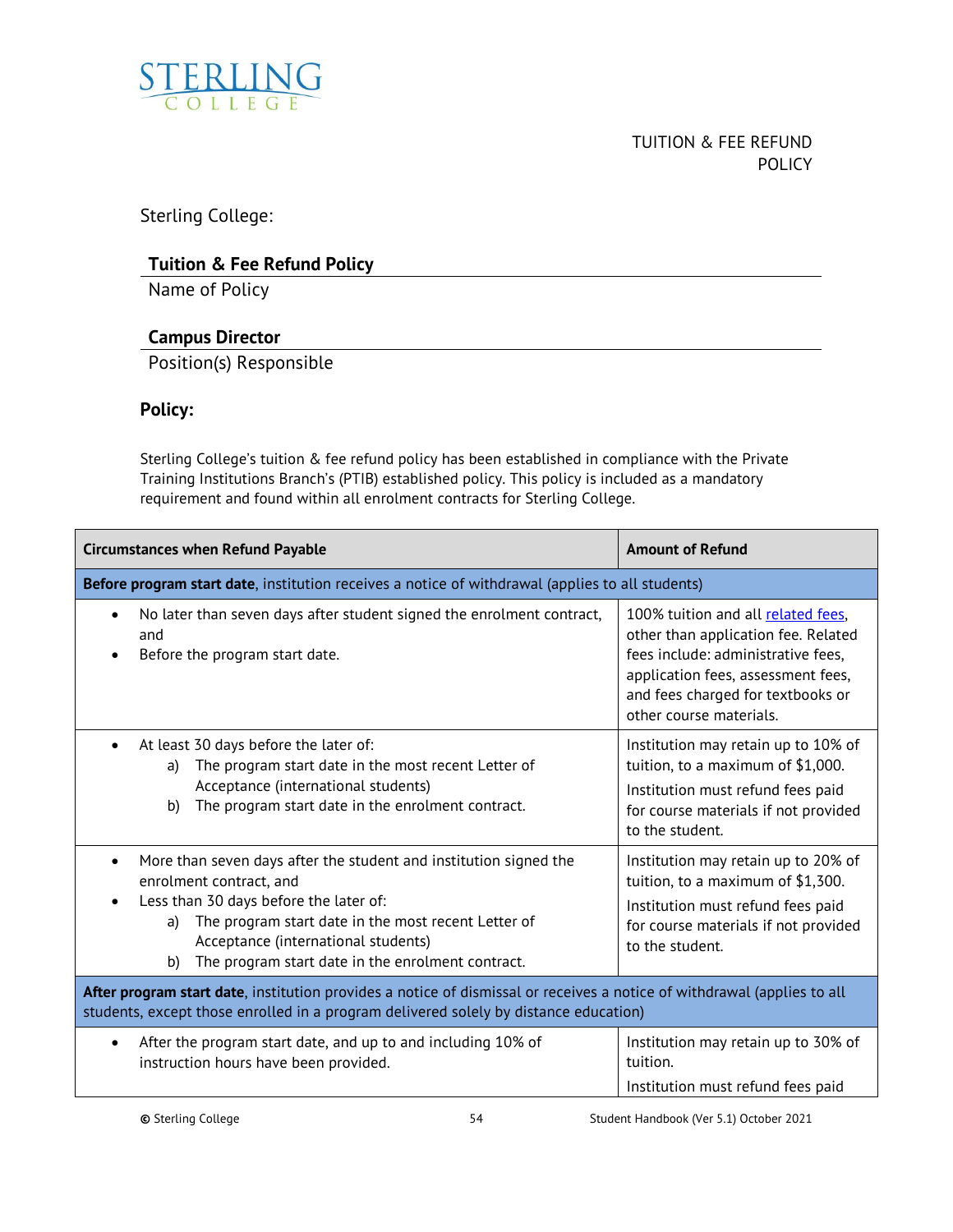<span id="page-53-0"></span>

## TUITION & FEE REFUND **POLICY**

Sterling College:

## **Tuition & Fee Refund Policy**

Name of Policy

## **Campus Director**

Position(s) Responsible

## **Policy:**

Sterling College's tuition & fee refund policy has been established in compliance with the Private Training Institutions Branch's (PTIB) established policy. This policy is included as a mandatory requirement and found within all enrolment contracts for Sterling College.

| <b>Circumstances when Refund Payable</b>                                                                                                                                                                                                                                                              | <b>Amount of Refund</b>                                                                                                                                                                                               |  |  |
|-------------------------------------------------------------------------------------------------------------------------------------------------------------------------------------------------------------------------------------------------------------------------------------------------------|-----------------------------------------------------------------------------------------------------------------------------------------------------------------------------------------------------------------------|--|--|
| Before program start date, institution receives a notice of withdrawal (applies to all students)                                                                                                                                                                                                      |                                                                                                                                                                                                                       |  |  |
| No later than seven days after student signed the enrolment contract,<br>$\bullet$<br>and<br>Before the program start date.                                                                                                                                                                           | 100% tuition and all related fees,<br>other than application fee. Related<br>fees include: administrative fees,<br>application fees, assessment fees,<br>and fees charged for textbooks or<br>other course materials. |  |  |
| At least 30 days before the later of:<br>The program start date in the most recent Letter of<br>a)<br>Acceptance (international students)<br>The program start date in the enrolment contract.<br>b)                                                                                                  | Institution may retain up to 10% of<br>tuition, to a maximum of \$1,000.<br>Institution must refund fees paid<br>for course materials if not provided<br>to the student.                                              |  |  |
| More than seven days after the student and institution signed the<br>enrolment contract, and<br>Less than 30 days before the later of:<br>The program start date in the most recent Letter of<br>a)<br>Acceptance (international students)<br>The program start date in the enrolment contract.<br>b) | Institution may retain up to 20% of<br>tuition, to a maximum of \$1,300.<br>Institution must refund fees paid<br>for course materials if not provided<br>to the student.                                              |  |  |
| After program start date, institution provides a notice of dismissal or receives a notice of withdrawal (applies to all<br>students, except those enrolled in a program delivered solely by distance education)                                                                                       |                                                                                                                                                                                                                       |  |  |
| After the program start date, and up to and including 10% of<br>instruction hours have been provided.                                                                                                                                                                                                 | Institution may retain up to 30% of<br>tuition.<br>Institution must refund fees paid                                                                                                                                  |  |  |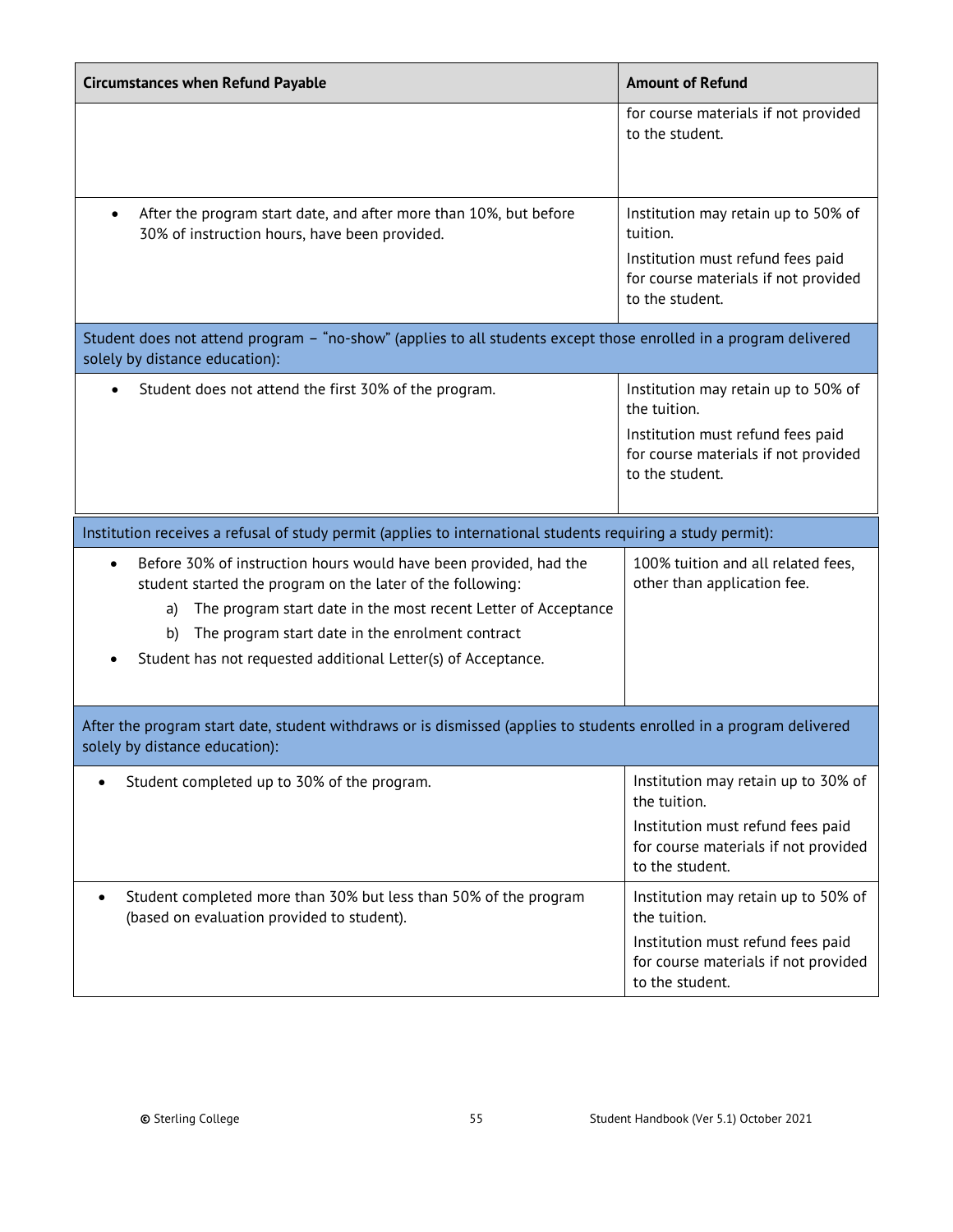| <b>Circumstances when Refund Payable</b>                                                                                                                                                                                                                                                                                                        | <b>Amount of Refund</b>                                                                                                                                                |
|-------------------------------------------------------------------------------------------------------------------------------------------------------------------------------------------------------------------------------------------------------------------------------------------------------------------------------------------------|------------------------------------------------------------------------------------------------------------------------------------------------------------------------|
|                                                                                                                                                                                                                                                                                                                                                 | for course materials if not provided<br>to the student.                                                                                                                |
| After the program start date, and after more than 10%, but before<br>30% of instruction hours, have been provided.                                                                                                                                                                                                                              | Institution may retain up to 50% of<br>tuition.<br>Institution must refund fees paid<br>for course materials if not provided<br>to the student.                        |
| Student does not attend program - "no-show" (applies to all students except those enrolled in a program delivered<br>solely by distance education):                                                                                                                                                                                             |                                                                                                                                                                        |
| Student does not attend the first 30% of the program.                                                                                                                                                                                                                                                                                           | Institution may retain up to 50% of<br>the tuition.<br>Institution must refund fees paid<br>for course materials if not provided<br>to the student.                    |
| Institution receives a refusal of study permit (applies to international students requiring a study permit):                                                                                                                                                                                                                                    |                                                                                                                                                                        |
| Before 30% of instruction hours would have been provided, had the<br>$\bullet$<br>student started the program on the later of the following:<br>The program start date in the most recent Letter of Acceptance<br>a)<br>The program start date in the enrolment contract<br>b)<br>Student has not requested additional Letter(s) of Acceptance. | 100% tuition and all related fees,<br>other than application fee.                                                                                                      |
| After the program start date, student withdraws or is dismissed (applies to students enrolled in a program delivered<br>solely by distance education):                                                                                                                                                                                          |                                                                                                                                                                        |
| Student completed up to 30% of the program.                                                                                                                                                                                                                                                                                                     | Institution may retain up to 30% of<br>the tuition.<br>Institution must refund fees paid<br>for course materials if not provided                                       |
| Student completed more than 30% but less than 50% of the program<br>(based on evaluation provided to student).                                                                                                                                                                                                                                  | to the student.<br>Institution may retain up to 50% of<br>the tuition.<br>Institution must refund fees paid<br>for course materials if not provided<br>to the student. |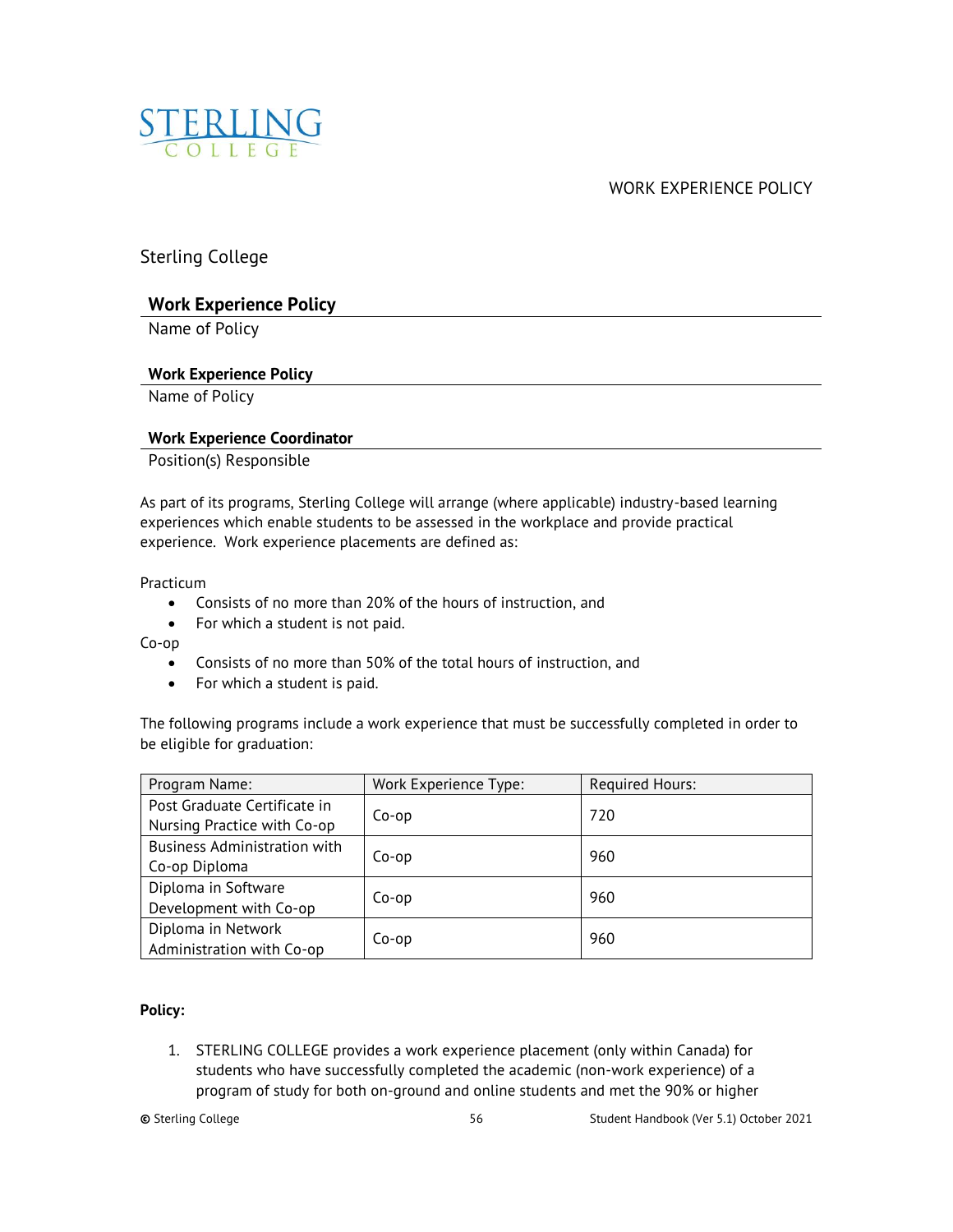<span id="page-55-0"></span>

WORK EXPERIENCE POLICY

Sterling College

## **Work Experience Policy**

Name of Policy

## **Work Experience Policy**

Name of Policy

## **Work Experience Coordinator**

Position(s) Responsible

As part of its programs, Sterling College will arrange (where applicable) industry-based learning experiences which enable students to be assessed in the workplace and provide practical experience. Work experience placements are defined as:

Practicum

- Consists of no more than 20% of the hours of instruction, and
- For which a student is not paid.

Co-op

- Consists of no more than 50% of the total hours of instruction, and
- For which a student is paid.

The following programs include a work experience that must be successfully completed in order to be eligible for graduation:

| Program Name:                                               | Work Experience Type: | <b>Required Hours:</b> |
|-------------------------------------------------------------|-----------------------|------------------------|
| Post Graduate Certificate in<br>Nursing Practice with Co-op | Co-op                 | 720                    |
| <b>Business Administration with</b><br>Co-op Diploma        | Co-op                 | 960                    |
| Diploma in Software<br>Development with Co-op               | Co-op                 | 960                    |
| Diploma in Network<br>Administration with Co-op             | Co-op                 | 960                    |

## **Policy:**

1. STERLING COLLEGE provides a work experience placement (only within Canada) for students who have successfully completed the academic (non-work experience) of a program of study for both on-ground and online students and met the 90% or higher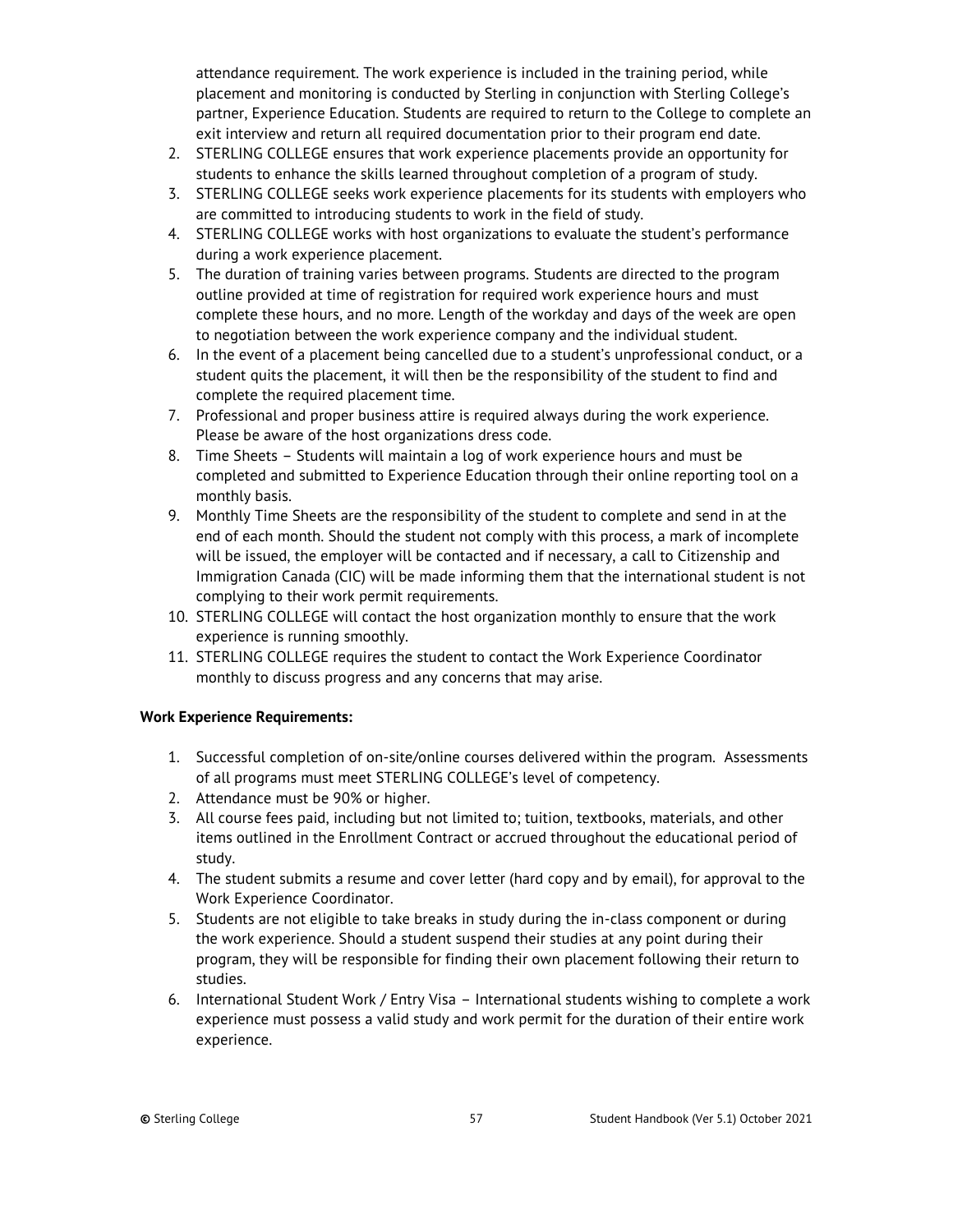attendance requirement. The work experience is included in the training period, while placement and monitoring is conducted by Sterling in conjunction with Sterling College's partner, Experience Education. Students are required to return to the College to complete an exit interview and return all required documentation prior to their program end date.

- 2. STERLING COLLEGE ensures that work experience placements provide an opportunity for students to enhance the skills learned throughout completion of a program of study.
- 3. STERLING COLLEGE seeks work experience placements for its students with employers who are committed to introducing students to work in the field of study.
- 4. STERLING COLLEGE works with host organizations to evaluate the student's performance during a work experience placement.
- 5. The duration of training varies between programs. Students are directed to the program outline provided at time of registration for required work experience hours and must complete these hours, and no more. Length of the workday and days of the week are open to negotiation between the work experience company and the individual student.
- 6. In the event of a placement being cancelled due to a student's unprofessional conduct, or a student quits the placement, it will then be the responsibility of the student to find and complete the required placement time.
- 7. Professional and proper business attire is required always during the work experience. Please be aware of the host organizations dress code.
- 8. Time Sheets Students will maintain a log of work experience hours and must be completed and submitted to Experience Education through their online reporting tool on a monthly basis.
- 9. Monthly Time Sheets are the responsibility of the student to complete and send in at the end of each month. Should the student not comply with this process, a mark of incomplete will be issued, the employer will be contacted and if necessary, a call to Citizenship and Immigration Canada (CIC) will be made informing them that the international student is not complying to their work permit requirements.
- 10. STERLING COLLEGE will contact the host organization monthly to ensure that the work experience is running smoothly.
- 11. STERLING COLLEGE requires the student to contact the Work Experience Coordinator monthly to discuss progress and any concerns that may arise.

## **Work Experience Requirements:**

- 1. Successful completion of on-site/online courses delivered within the program. Assessments of all programs must meet STERLING COLLEGE's level of competency.
- 2. Attendance must be 90% or higher.
- 3. All course fees paid, including but not limited to; tuition, textbooks, materials, and other items outlined in the Enrollment Contract or accrued throughout the educational period of study.
- 4. The student submits a resume and cover letter (hard copy and by email), for approval to the Work Experience Coordinator.
- 5. Students are not eligible to take breaks in study during the in-class component or during the work experience. Should a student suspend their studies at any point during their program, they will be responsible for finding their own placement following their return to studies.
- 6. International Student Work / Entry Visa International students wishing to complete a work experience must possess a valid study and work permit for the duration of their entire work experience.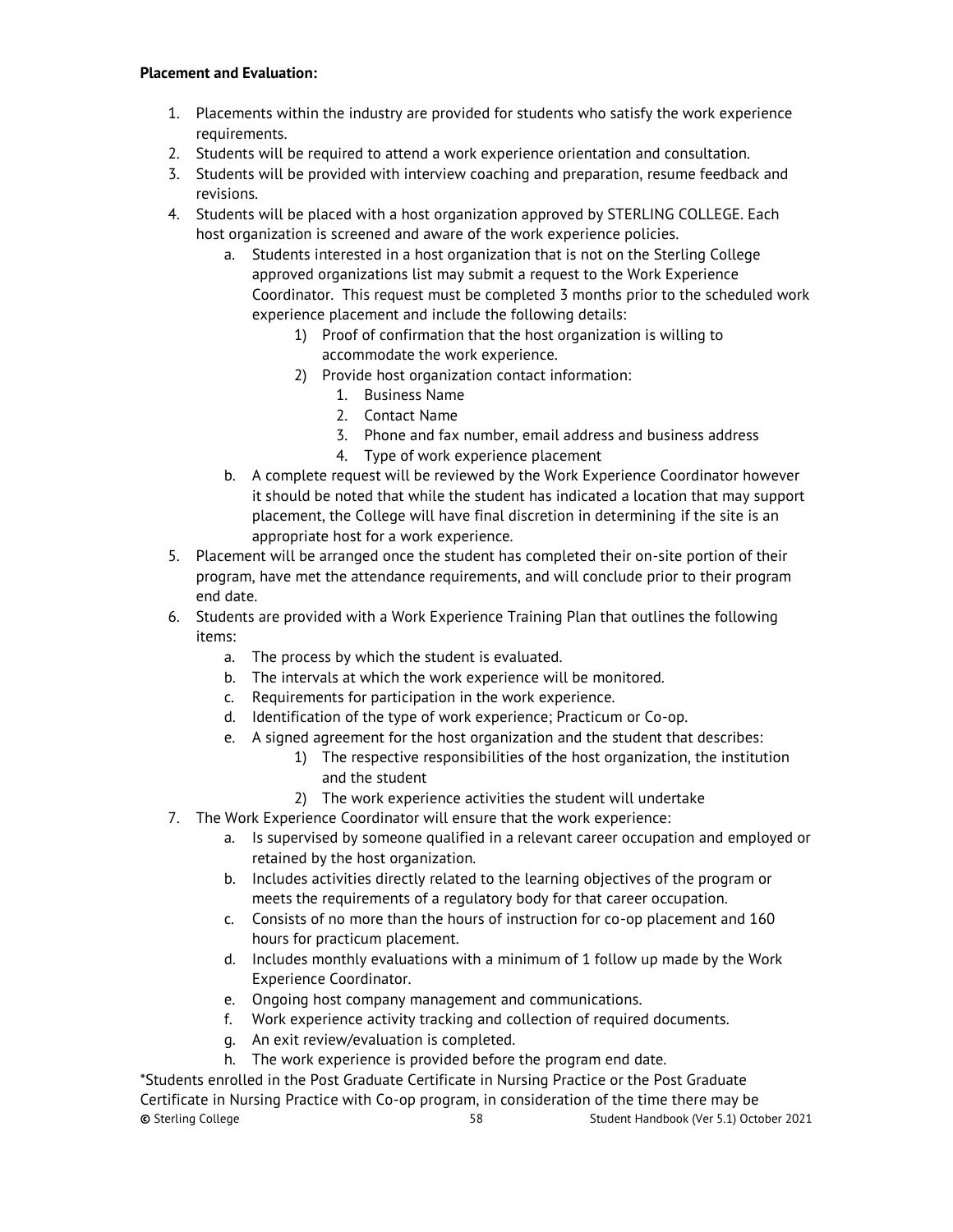#### **Placement and Evaluation:**

- 1. Placements within the industry are provided for students who satisfy the work experience requirements.
- 2. Students will be required to attend a work experience orientation and consultation.
- 3. Students will be provided with interview coaching and preparation, resume feedback and revisions.
- 4. Students will be placed with a host organization approved by STERLING COLLEGE. Each host organization is screened and aware of the work experience policies.
	- a. Students interested in a host organization that is not on the Sterling College approved organizations list may submit a request to the Work Experience Coordinator. This request must be completed 3 months prior to the scheduled work experience placement and include the following details:
		- 1) Proof of confirmation that the host organization is willing to accommodate the work experience.
		- 2) Provide host organization contact information:
			- 1. Business Name
			- 2. Contact Name
			- 3. Phone and fax number, email address and business address
			- 4. Type of work experience placement
	- b. A complete request will be reviewed by the Work Experience Coordinator however it should be noted that while the student has indicated a location that may support placement, the College will have final discretion in determining if the site is an appropriate host for a work experience.
- 5. Placement will be arranged once the student has completed their on-site portion of their program, have met the attendance requirements, and will conclude prior to their program end date.
- 6. Students are provided with a Work Experience Training Plan that outlines the following items:
	- a. The process by which the student is evaluated.
	- b. The intervals at which the work experience will be monitored.
	- c. Requirements for participation in the work experience.
	- d. Identification of the type of work experience; Practicum or Co-op.
	- e. A signed agreement for the host organization and the student that describes:
		- 1) The respective responsibilities of the host organization, the institution and the student
		- 2) The work experience activities the student will undertake
- 7. The Work Experience Coordinator will ensure that the work experience:
	- a. Is supervised by someone qualified in a relevant career occupation and employed or retained by the host organization.
	- b. Includes activities directly related to the learning objectives of the program or meets the requirements of a regulatory body for that career occupation.
	- c. Consists of no more than the hours of instruction for co-op placement and 160 hours for practicum placement.
	- d. Includes monthly evaluations with a minimum of 1 follow up made by the Work Experience Coordinator.
	- e. Ongoing host company management and communications.
	- f. Work experience activity tracking and collection of required documents.
	- g. An exit review/evaluation is completed.
	- h. The work experience is provided before the program end date.

**©** Sterling College 58 Student Handbook (Ver 5.1) October 2021 \*Students enrolled in the Post Graduate Certificate in Nursing Practice or the Post Graduate Certificate in Nursing Practice with Co-op program, in consideration of the time there may be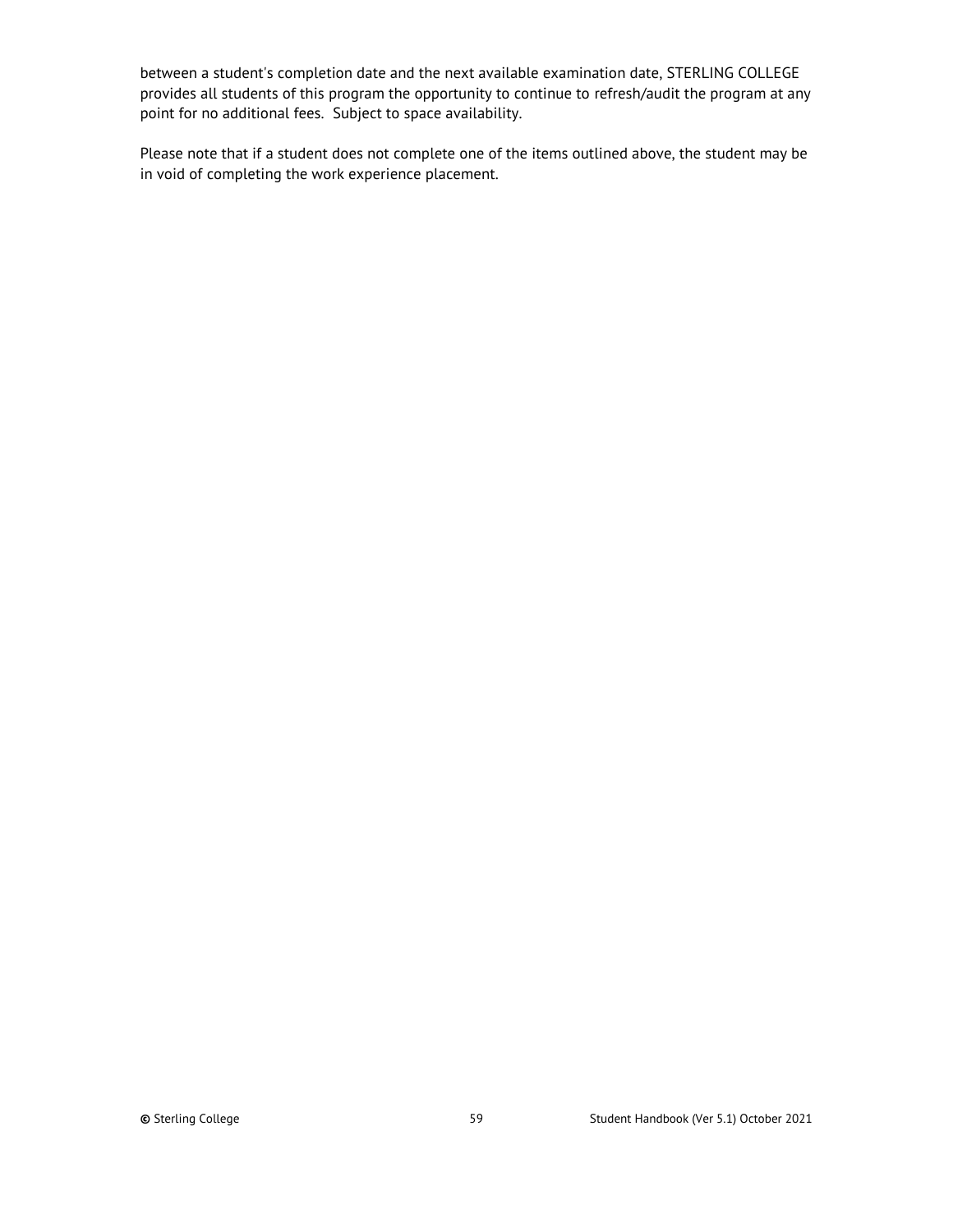between a student's completion date and the next available examination date, STERLING COLLEGE provides all students of this program the opportunity to continue to refresh/audit the program at any point for no additional fees. Subject to space availability.

Please note that if a student does not complete one of the items outlined above, the student may be in void of completing the work experience placement.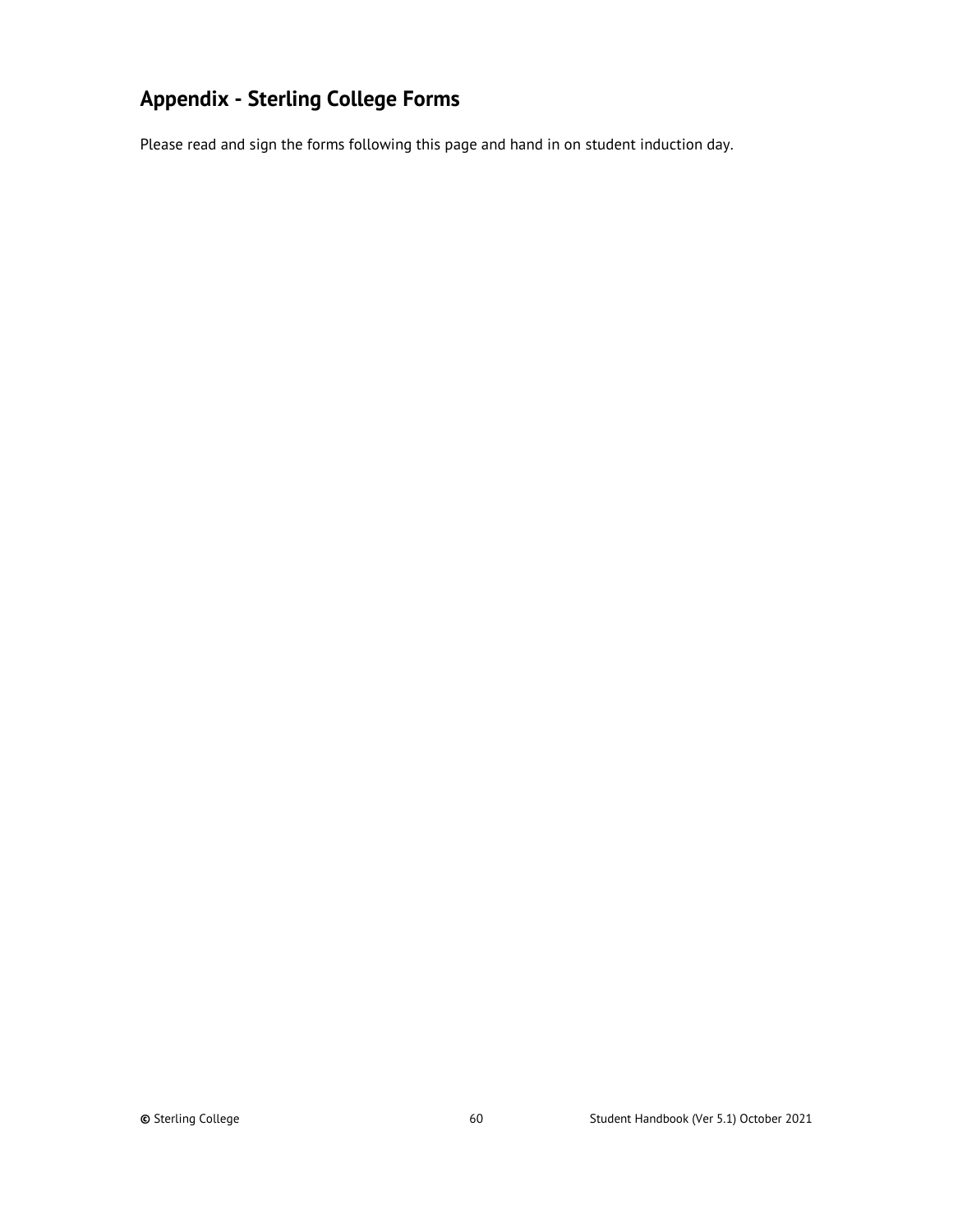# <span id="page-59-0"></span>**Appendix - Sterling College Forms**

Please read and sign the forms following this page and hand in on student induction day.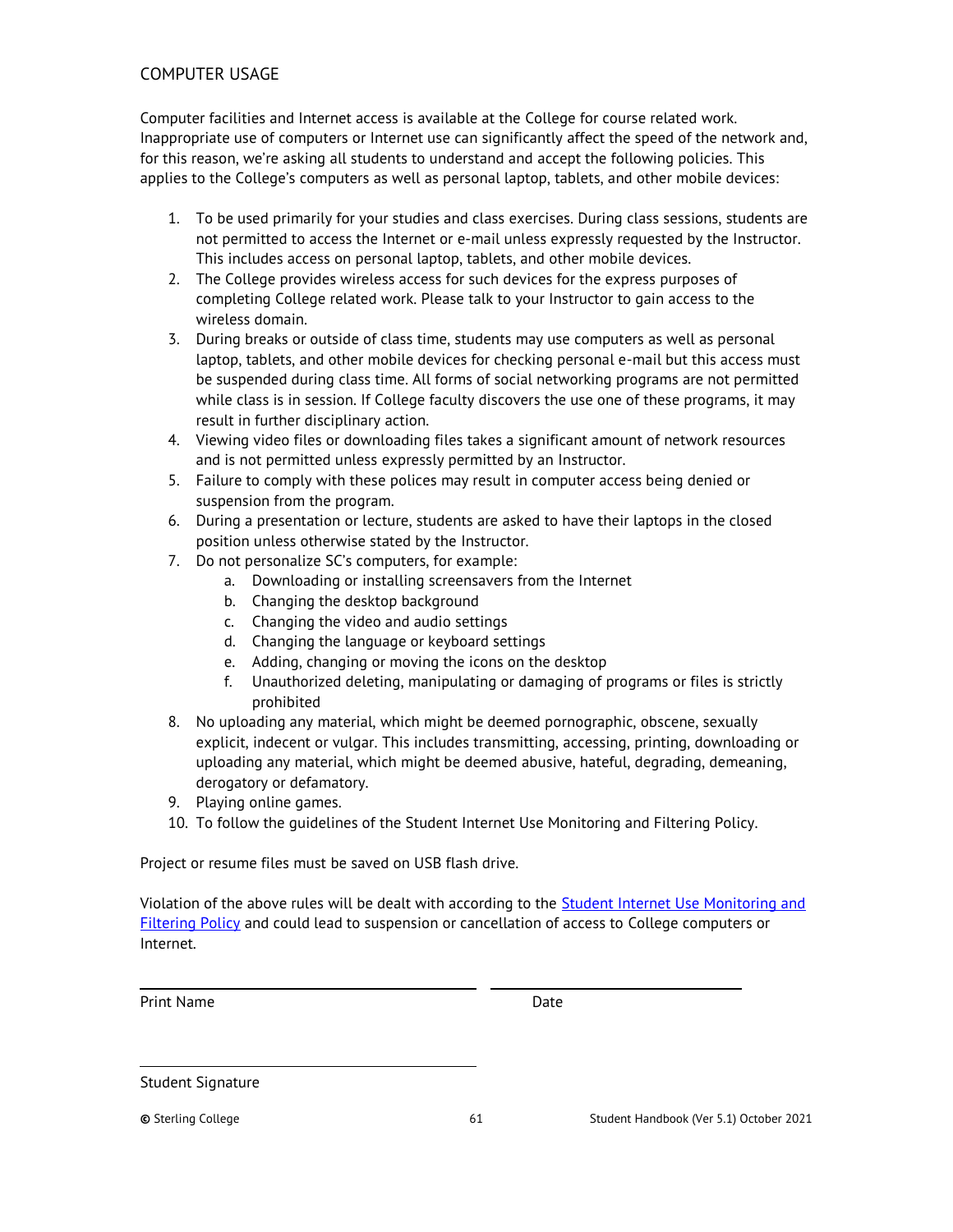## <span id="page-60-0"></span>COMPUTER USAGE

Computer facilities and Internet access is available at the College for course related work. Inappropriate use of computers or Internet use can significantly affect the speed of the network and, for this reason, we're asking all students to understand and accept the following policies. This applies to the College's computers as well as personal laptop, tablets, and other mobile devices:

- 1. To be used primarily for your studies and class exercises. During class sessions, students are not permitted to access the Internet or e-mail unless expressly requested by the Instructor. This includes access on personal laptop, tablets, and other mobile devices.
- 2. The College provides wireless access for such devices for the express purposes of completing College related work. Please talk to your Instructor to gain access to the wireless domain.
- 3. During breaks or outside of class time, students may use computers as well as personal laptop, tablets, and other mobile devices for checking personal e-mail but this access must be suspended during class time. All forms of social networking programs are not permitted while class is in session. If College faculty discovers the use one of these programs, it may result in further disciplinary action.
- 4. Viewing video files or downloading files takes a significant amount of network resources and is not permitted unless expressly permitted by an Instructor.
- 5. Failure to comply with these polices may result in computer access being denied or suspension from the program.
- 6. During a presentation or lecture, students are asked to have their laptops in the closed position unless otherwise stated by the Instructor.
- 7. Do not personalize SC's computers, for example:
	- a. Downloading or installing screensavers from the Internet
	- b. Changing the desktop background
	- c. Changing the video and audio settings
	- d. Changing the language or keyboard settings
	- e. Adding, changing or moving the icons on the desktop
	- f. Unauthorized deleting, manipulating or damaging of programs or files is strictly prohibited
- 8. No uploading any material, which might be deemed pornographic, obscene, sexually explicit, indecent or vulgar. This includes transmitting, accessing, printing, downloading or uploading any material, which might be deemed abusive, hateful, degrading, demeaning, derogatory or defamatory.
- 9. Playing online games.
- 10. To follow the guidelines of the Student Internet Use Monitoring and Filtering Policy.

Project or resume files must be saved on USB flash drive.

Violation of the above rules will be dealt with according to the **Student Internet Use Monitoring and** [Filtering Policy](#page-51-0) and could lead to suspension or cancellation of access to College computers or Internet.

Print Name Date

Student Signature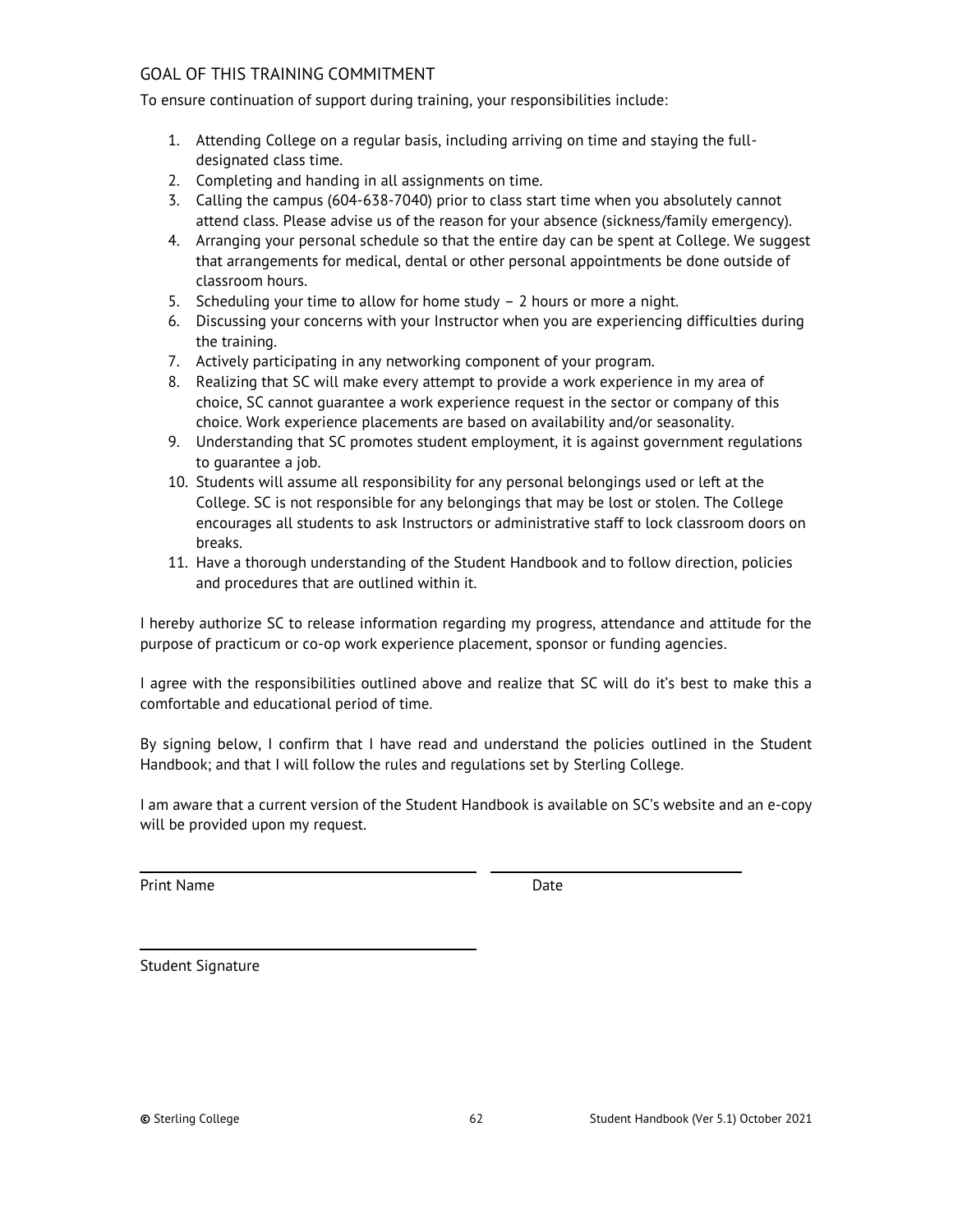## <span id="page-61-0"></span>GOAL OF THIS TRAINING COMMITMENT

To ensure continuation of support during training, your responsibilities include:

- 1. Attending College on a regular basis, including arriving on time and staying the fulldesignated class time.
- 2. Completing and handing in all assignments on time.
- 3. Calling the campus (604-638-7040) prior to class start time when you absolutely cannot attend class. Please advise us of the reason for your absence (sickness/family emergency).
- 4. Arranging your personal schedule so that the entire day can be spent at College. We suggest that arrangements for medical, dental or other personal appointments be done outside of classroom hours.
- 5. Scheduling your time to allow for home study 2 hours or more a night.
- 6. Discussing your concerns with your Instructor when you are experiencing difficulties during the training.
- 7. Actively participating in any networking component of your program.
- 8. Realizing that SC will make every attempt to provide a work experience in my area of choice, SC cannot guarantee a work experience request in the sector or company of this choice. Work experience placements are based on availability and/or seasonality.
- 9. Understanding that SC promotes student employment, it is against government regulations to guarantee a job.
- 10. Students will assume all responsibility for any personal belongings used or left at the College. SC is not responsible for any belongings that may be lost or stolen. The College encourages all students to ask Instructors or administrative staff to lock classroom doors on breaks.
- 11. Have a thorough understanding of the Student Handbook and to follow direction, policies and procedures that are outlined within it.

I hereby authorize SC to release information regarding my progress, attendance and attitude for the purpose of practicum or co-op work experience placement, sponsor or funding agencies.

I agree with the responsibilities outlined above and realize that SC will do it's best to make this a comfortable and educational period of time.

By signing below, I confirm that I have read and understand the policies outlined in the Student Handbook; and that I will follow the rules and regulations set by Sterling College.

I am aware that a current version of the Student Handbook is available on SC's website and an e-copy will be provided upon my request.

Print Name Date

Student Signature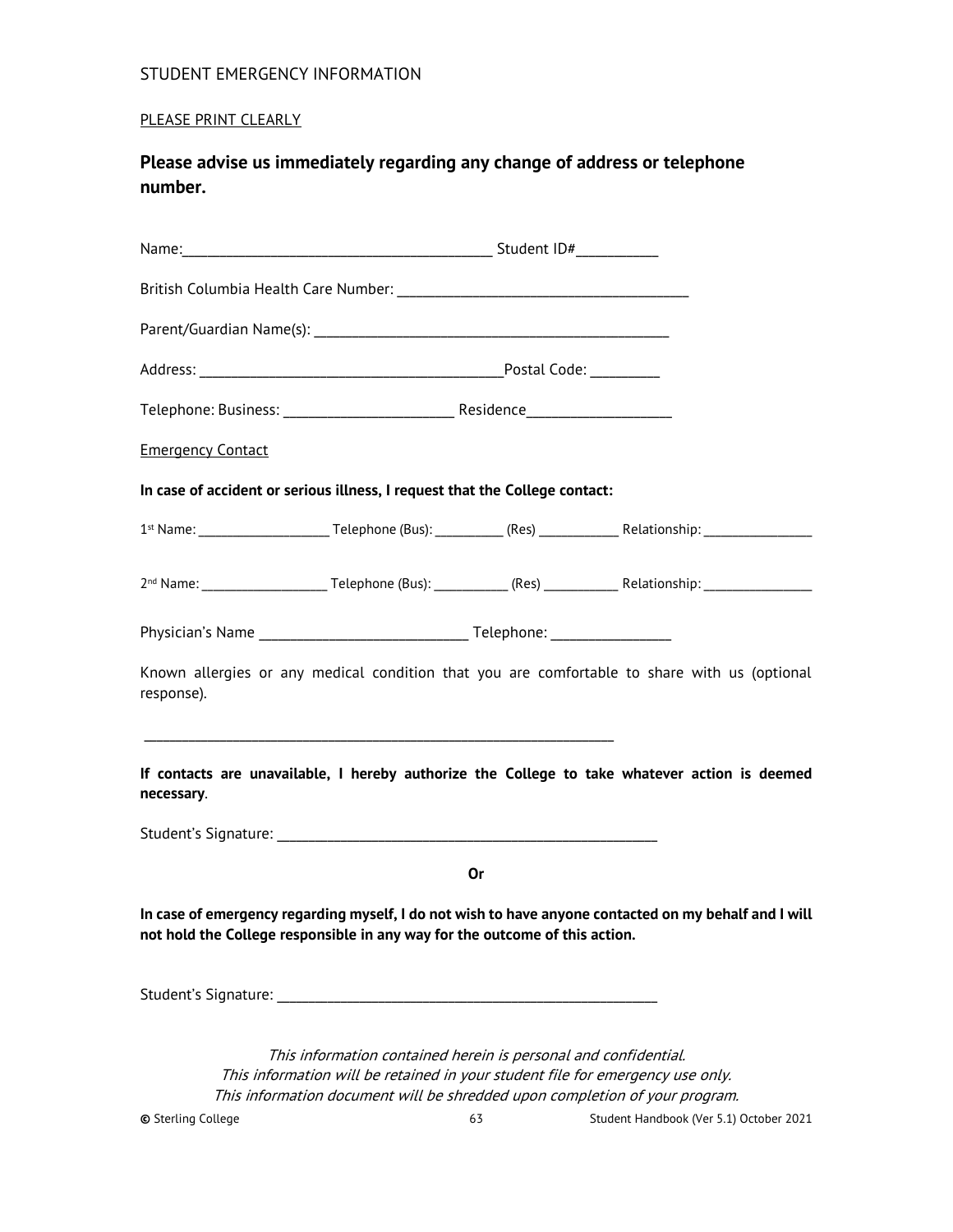## <span id="page-62-0"></span>STUDENT EMERGENCY INFORMATION

## PLEASE PRINT CLEARLY

**Please advise us immediately regarding any change of address or telephone number.**

| <b>Emergency Contact</b>                                                    |                                                                                                                                                               |    |                                                                                                       |
|-----------------------------------------------------------------------------|---------------------------------------------------------------------------------------------------------------------------------------------------------------|----|-------------------------------------------------------------------------------------------------------|
| In case of accident or serious illness, I request that the College contact: |                                                                                                                                                               |    |                                                                                                       |
|                                                                             |                                                                                                                                                               |    |                                                                                                       |
|                                                                             |                                                                                                                                                               |    |                                                                                                       |
|                                                                             |                                                                                                                                                               |    |                                                                                                       |
| response).                                                                  |                                                                                                                                                               |    | Known allergies or any medical condition that you are comfortable to share with us (optional          |
| necessary.                                                                  |                                                                                                                                                               |    | If contacts are unavailable, I hereby authorize the College to take whatever action is deemed         |
|                                                                             |                                                                                                                                                               |    |                                                                                                       |
|                                                                             |                                                                                                                                                               | Or |                                                                                                       |
| not hold the College responsible in any way for the outcome of this action. |                                                                                                                                                               |    | In case of emergency regarding myself, I do not wish to have anyone contacted on my behalf and I will |
|                                                                             |                                                                                                                                                               |    |                                                                                                       |
|                                                                             | This information contained herein is personal and confidential.                                                                                               |    |                                                                                                       |
|                                                                             | This information will be retained in your student file for emergency use only.<br>This information document will be shredded upon completion of your program. |    |                                                                                                       |
| <b>©</b> Sterling College                                                   |                                                                                                                                                               | 63 | Student Handbook (Ver 5.1) October 2021                                                               |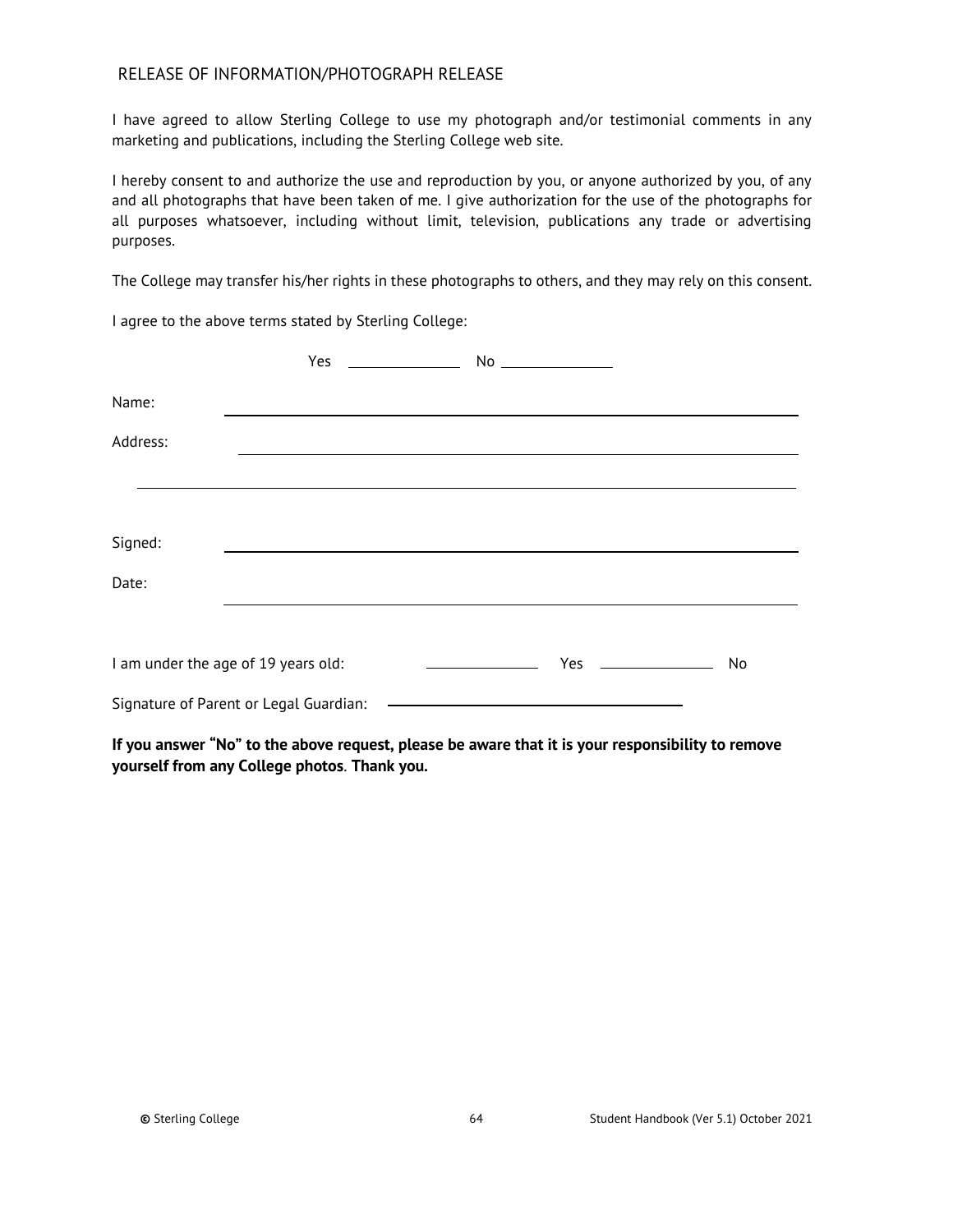### <span id="page-63-0"></span>RELEASE OF INFORMATION/PHOTOGRAPH RELEASE

I have agreed to allow Sterling College to use my photograph and/or testimonial comments in any marketing and publications, including the Sterling College web site.

I hereby consent to and authorize the use and reproduction by you, or anyone authorized by you, of any and all photographs that have been taken of me. I give authorization for the use of the photographs for all purposes whatsoever, including without limit, television, publications any trade or advertising purposes.

The College may transfer his/her rights in these photographs to others, and they may rely on this consent.

I agree to the above terms stated by Sterling College:

|          | Yes                                    |                                                                                                                                                                                                                               |                                                                                                                       |    |
|----------|----------------------------------------|-------------------------------------------------------------------------------------------------------------------------------------------------------------------------------------------------------------------------------|-----------------------------------------------------------------------------------------------------------------------|----|
| Name:    |                                        |                                                                                                                                                                                                                               |                                                                                                                       |    |
| Address: |                                        | the control of the control of the control of the control of the control of the control of the control of the control of the control of the control of the control of the control of the control of the control of the control |                                                                                                                       |    |
|          |                                        |                                                                                                                                                                                                                               |                                                                                                                       |    |
|          |                                        |                                                                                                                                                                                                                               |                                                                                                                       |    |
| Signed:  |                                        |                                                                                                                                                                                                                               |                                                                                                                       |    |
| Date:    |                                        |                                                                                                                                                                                                                               |                                                                                                                       |    |
|          |                                        |                                                                                                                                                                                                                               |                                                                                                                       |    |
|          | I am under the age of 19 years old:    | <u> 1989 - John Stein, Amerikaansk politiker (</u>                                                                                                                                                                            | Yes $\qquad$                                                                                                          | No |
|          | Signature of Parent or Legal Guardian: |                                                                                                                                                                                                                               | <u> 1989 - Johann Harry Barn, mars and de Branch and de Branch and de Branch and de Branch and de Branch and de B</u> |    |

**If you answer "No" to the above request, please be aware that it is your responsibility to remove yourself from any College photos**. **Thank you.**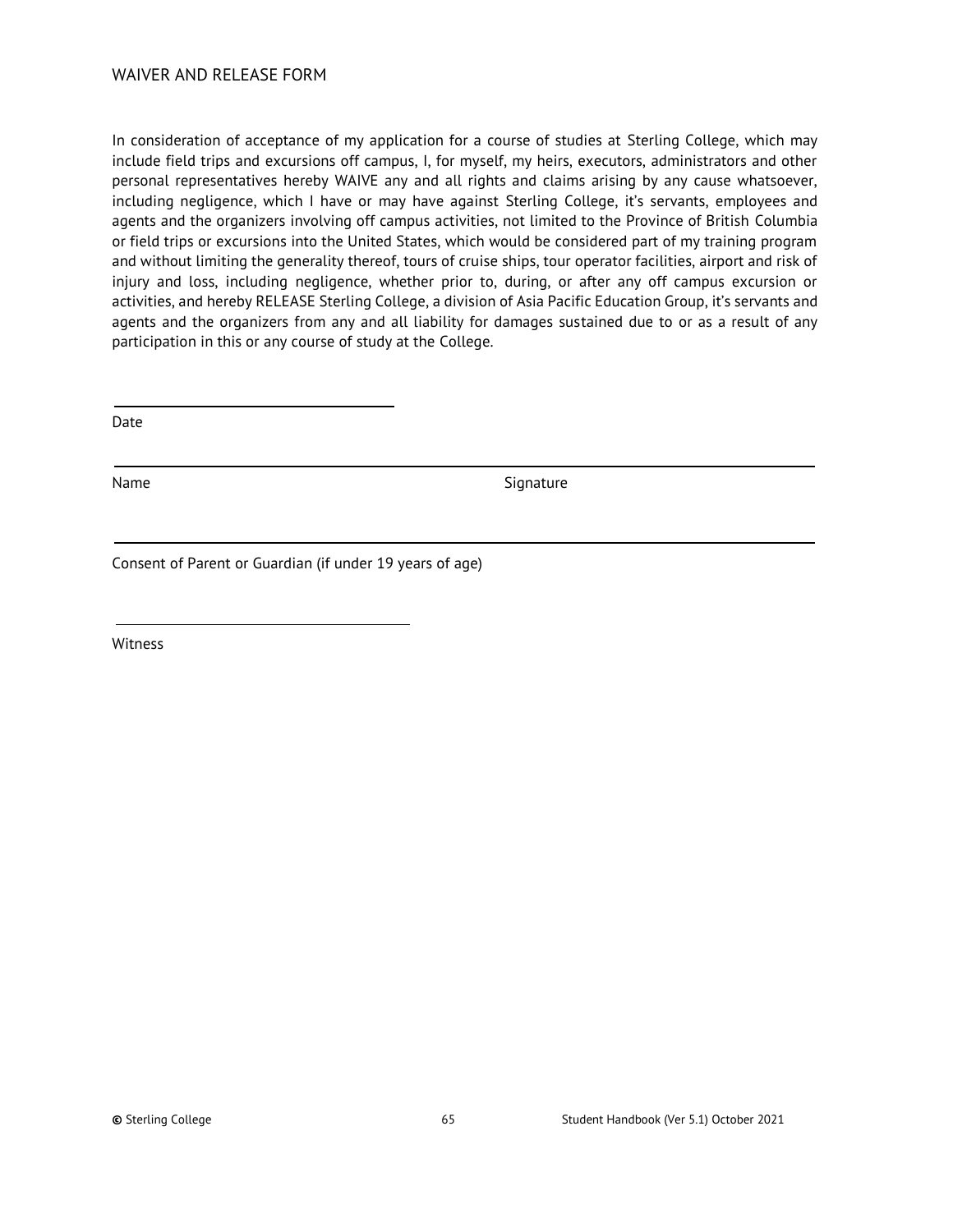<span id="page-64-0"></span>In consideration of acceptance of my application for a course of studies at Sterling College, which may include field trips and excursions off campus, I, for myself, my heirs, executors, administrators and other personal representatives hereby WAIVE any and all rights and claims arising by any cause whatsoever, including negligence, which I have or may have against Sterling College, it's servants, employees and agents and the organizers involving off campus activities, not limited to the Province of British Columbia or field trips or excursions into the United States, which would be considered part of my training program and without limiting the generality thereof, tours of cruise ships, tour operator facilities, airport and risk of injury and loss, including negligence, whether prior to, during, or after any off campus excursion or activities, and hereby RELEASE Sterling College, a division of Asia Pacific Education Group, it's servants and agents and the organizers from any and all liability for damages sustained due to or as a result of any participation in this or any course of study at the College.

Date

Name Signature

Consent of Parent or Guardian (if under 19 years of age)

Witness